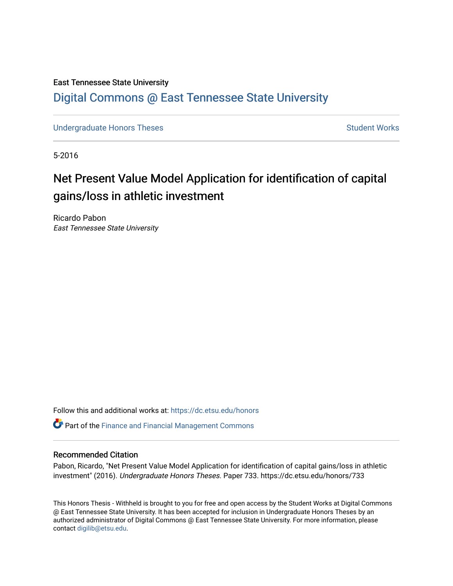#### East Tennessee State University

## [Digital Commons @ East Tennessee State University](https://dc.etsu.edu/)

[Undergraduate Honors Theses](https://dc.etsu.edu/honors) Student Works

5-2016

# Net Present Value Model Application for identification of capital gains/loss in athletic investment

Ricardo Pabon East Tennessee State University

Follow this and additional works at: [https://dc.etsu.edu/honors](https://dc.etsu.edu/honors?utm_source=dc.etsu.edu%2Fhonors%2F733&utm_medium=PDF&utm_campaign=PDFCoverPages)

**P** Part of the Finance and Financial Management Commons

#### Recommended Citation

Pabon, Ricardo, "Net Present Value Model Application for identification of capital gains/loss in athletic investment" (2016). Undergraduate Honors Theses. Paper 733. https://dc.etsu.edu/honors/733

This Honors Thesis - Withheld is brought to you for free and open access by the Student Works at Digital Commons @ East Tennessee State University. It has been accepted for inclusion in Undergraduate Honors Theses by an authorized administrator of Digital Commons @ East Tennessee State University. For more information, please contact [digilib@etsu.edu](mailto:digilib@etsu.edu).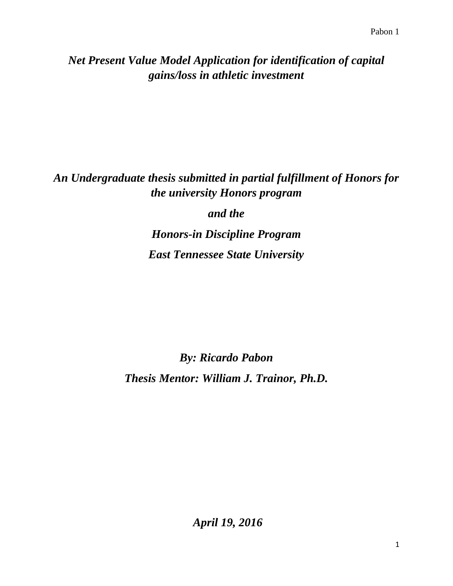## *Net Present Value Model Application for identification of capital gains/loss in athletic investment*

## *An Undergraduate thesis submitted in partial fulfillment of Honors for the university Honors program*

*and the*

*Honors-in Discipline Program East Tennessee State University*

*By: Ricardo Pabon Thesis Mentor: William J. Trainor, Ph.D.*

*April 19, 2016*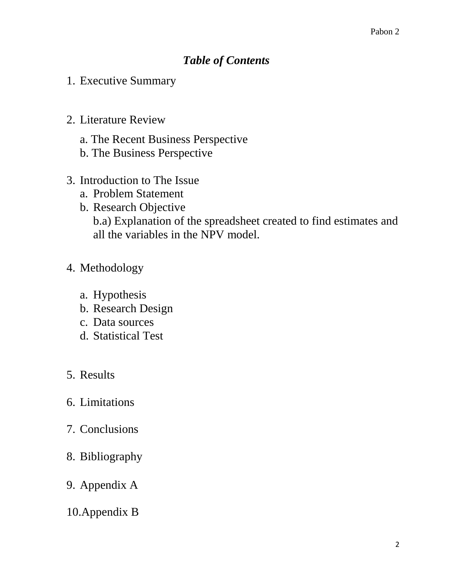## *Table of Contents*

- 1. Executive Summary
- 2. Literature Review
	- a. The Recent Business Perspective
	- b. The Business Perspective
- 3. Introduction to The Issue
	- a. Problem Statement
	- b. Research Objective b.a) Explanation of the spreadsheet created to find estimates and all the variables in the NPV model.
- 4. Methodology
	- a. Hypothesis
	- b. Research Design
	- c. Data sources
	- d. Statistical Test
- 5. Results
- 6. Limitations
- 7. Conclusions
- 8. Bibliography
- 9. Appendix A
- 10.Appendix B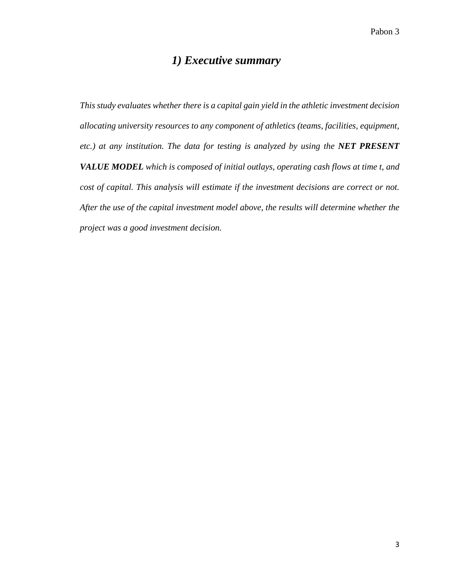## *1) Executive summary*

*This study evaluates whether there is a capital gain yield in the athletic investment decision allocating university resources to any component of athletics (teams, facilities, equipment, etc.) at any institution. The data for testing is analyzed by using the NET PRESENT VALUE MODEL which is composed of initial outlays, operating cash flows at time t, and cost of capital. This analysis will estimate if the investment decisions are correct or not. After the use of the capital investment model above, the results will determine whether the project was a good investment decision.*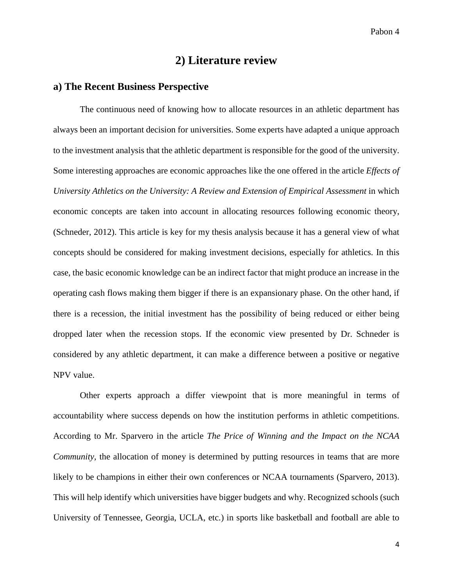## **2) Literature review**

#### **a) The Recent Business Perspective**

The continuous need of knowing how to allocate resources in an athletic department has always been an important decision for universities. Some experts have adapted a unique approach to the investment analysis that the athletic department is responsible for the good of the university. Some interesting approaches are economic approaches like the one offered in the article *Effects of University Athletics on the University: A Review and Extension of Empirical Assessment* in which economic concepts are taken into account in allocating resources following economic theory, (Schneder, 2012). This article is key for my thesis analysis because it has a general view of what concepts should be considered for making investment decisions, especially for athletics. In this case, the basic economic knowledge can be an indirect factor that might produce an increase in the operating cash flows making them bigger if there is an expansionary phase. On the other hand, if there is a recession, the initial investment has the possibility of being reduced or either being dropped later when the recession stops. If the economic view presented by Dr. Schneder is considered by any athletic department, it can make a difference between a positive or negative NPV value.

Other experts approach a differ viewpoint that is more meaningful in terms of accountability where success depends on how the institution performs in athletic competitions. According to Mr. Sparvero in the article *The Price of Winning and the Impact on the NCAA Community*, the allocation of money is determined by putting resources in teams that are more likely to be champions in either their own conferences or NCAA tournaments (Sparvero, 2013). This will help identify which universities have bigger budgets and why. Recognized schools (such University of Tennessee, Georgia, UCLA, etc.) in sports like basketball and football are able to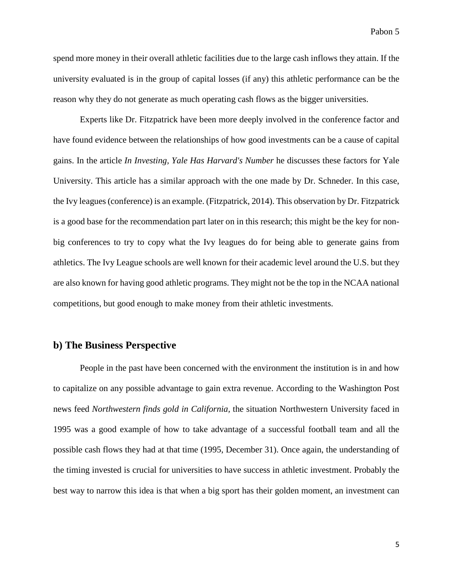spend more money in their overall athletic facilities due to the large cash inflows they attain. If the university evaluated is in the group of capital losses (if any) this athletic performance can be the reason why they do not generate as much operating cash flows as the bigger universities.

Experts like Dr. Fitzpatrick have been more deeply involved in the conference factor and have found evidence between the relationships of how good investments can be a cause of capital gains. In the article *In Investing, Yale Has Harvard's Number* he discusses these factors for Yale University. This article has a similar approach with the one made by Dr. Schneder. In this case, the Ivy leagues (conference) is an example. (Fitzpatrick, 2014). This observation by Dr. Fitzpatrick is a good base for the recommendation part later on in this research; this might be the key for nonbig conferences to try to copy what the Ivy leagues do for being able to generate gains from athletics. The Ivy League schools are well known for their academic level around the U.S. but they are also known for having good athletic programs. They might not be the top in the NCAA national competitions, but good enough to make money from their athletic investments.

#### **b) The Business Perspective**

People in the past have been concerned with the environment the institution is in and how to capitalize on any possible advantage to gain extra revenue. According to the Washington Post news feed *Northwestern finds gold in California,* the situation Northwestern University faced in 1995 was a good example of how to take advantage of a successful football team and all the possible cash flows they had at that time (1995, December 31). Once again, the understanding of the timing invested is crucial for universities to have success in athletic investment. Probably the best way to narrow this idea is that when a big sport has their golden moment, an investment can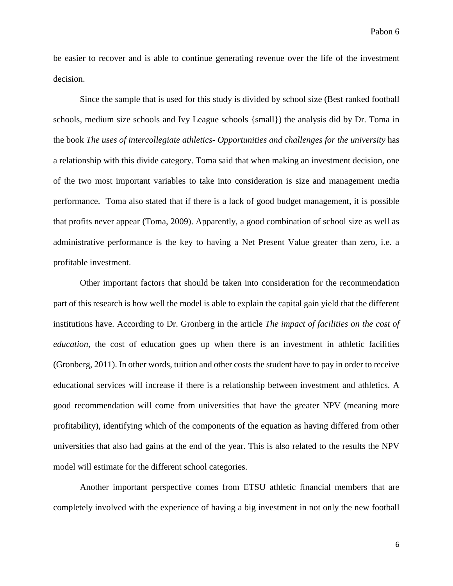be easier to recover and is able to continue generating revenue over the life of the investment decision.

Since the sample that is used for this study is divided by school size (Best ranked football schools, medium size schools and Ivy League schools {small}) the analysis did by Dr. Toma in the book *The uses of intercollegiate athletics- Opportunities and challenges for the university* has a relationship with this divide category. Toma said that when making an investment decision, one of the two most important variables to take into consideration is size and management media performance. Toma also stated that if there is a lack of good budget management, it is possible that profits never appear (Toma, 2009). Apparently, a good combination of school size as well as administrative performance is the key to having a Net Present Value greater than zero, i.e. a profitable investment.

Other important factors that should be taken into consideration for the recommendation part of this research is how well the model is able to explain the capital gain yield that the different institutions have. According to Dr. Gronberg in the article *The impact of facilities on the cost of education*, the cost of education goes up when there is an investment in athletic facilities (Gronberg, 2011). In other words, tuition and other costs the student have to pay in order to receive educational services will increase if there is a relationship between investment and athletics. A good recommendation will come from universities that have the greater NPV (meaning more profitability), identifying which of the components of the equation as having differed from other universities that also had gains at the end of the year. This is also related to the results the NPV model will estimate for the different school categories.

Another important perspective comes from ETSU athletic financial members that are completely involved with the experience of having a big investment in not only the new football

6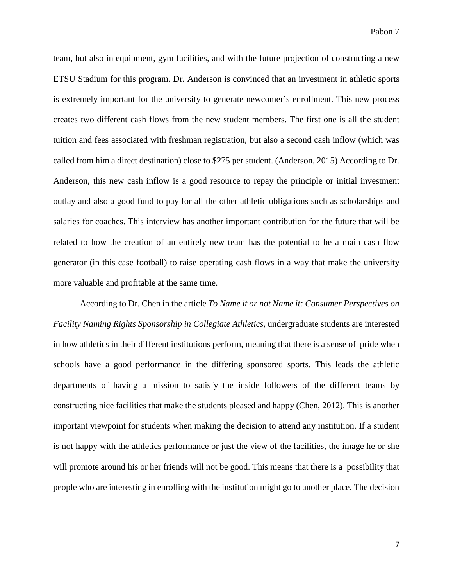team, but also in equipment, gym facilities, and with the future projection of constructing a new ETSU Stadium for this program. Dr. Anderson is convinced that an investment in athletic sports is extremely important for the university to generate newcomer's enrollment. This new process creates two different cash flows from the new student members. The first one is all the student tuition and fees associated with freshman registration, but also a second cash inflow (which was called from him a direct destination) close to \$275 per student. (Anderson, 2015) According to Dr. Anderson, this new cash inflow is a good resource to repay the principle or initial investment outlay and also a good fund to pay for all the other athletic obligations such as scholarships and salaries for coaches. This interview has another important contribution for the future that will be related to how the creation of an entirely new team has the potential to be a main cash flow generator (in this case football) to raise operating cash flows in a way that make the university more valuable and profitable at the same time.

According to Dr. Chen in the article *To Name it or not Name it: Consumer Perspectives on Facility Naming Rights Sponsorship in Collegiate Athletics,* undergraduate students are interested in how athletics in their different institutions perform, meaning that there is a sense of pride when schools have a good performance in the differing sponsored sports. This leads the athletic departments of having a mission to satisfy the inside followers of the different teams by constructing nice facilities that make the students pleased and happy (Chen, 2012). This is another important viewpoint for students when making the decision to attend any institution. If a student is not happy with the athletics performance or just the view of the facilities, the image he or she will promote around his or her friends will not be good. This means that there is a possibility that people who are interesting in enrolling with the institution might go to another place. The decision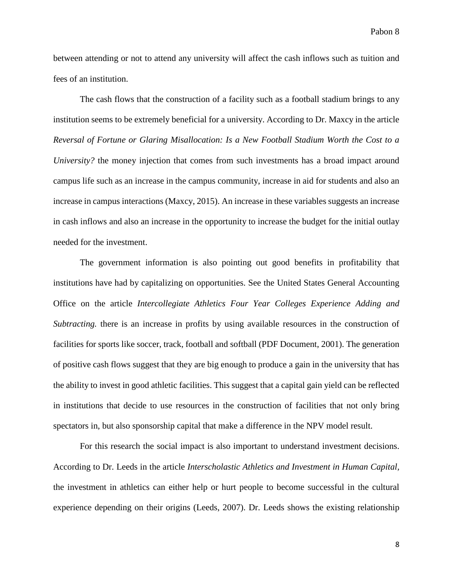between attending or not to attend any university will affect the cash inflows such as tuition and fees of an institution.

The cash flows that the construction of a facility such as a football stadium brings to any institution seems to be extremely beneficial for a university. According to Dr. Maxcy in the article *Reversal of Fortune or Glaring Misallocation: Is a New Football Stadium Worth the Cost to a University?* the money injection that comes from such investments has a broad impact around campus life such as an increase in the campus community, increase in aid for students and also an increase in campus interactions (Maxcy, 2015). An increase in these variables suggests an increase in cash inflows and also an increase in the opportunity to increase the budget for the initial outlay needed for the investment.

The government information is also pointing out good benefits in profitability that institutions have had by capitalizing on opportunities. See the United States General Accounting Office on the article *Intercollegiate Athletics Four Year Colleges Experience Adding and Subtracting.* there is an increase in profits by using available resources in the construction of facilities for sports like soccer, track, football and softball (PDF Document, 2001). The generation of positive cash flows suggest that they are big enough to produce a gain in the university that has the ability to invest in good athletic facilities. This suggest that a capital gain yield can be reflected in institutions that decide to use resources in the construction of facilities that not only bring spectators in, but also sponsorship capital that make a difference in the NPV model result.

For this research the social impact is also important to understand investment decisions. According to Dr. Leeds in the article *Interscholastic Athletics and Investment in Human Capital,* the investment in athletics can either help or hurt people to become successful in the cultural experience depending on their origins (Leeds, 2007). Dr. Leeds shows the existing relationship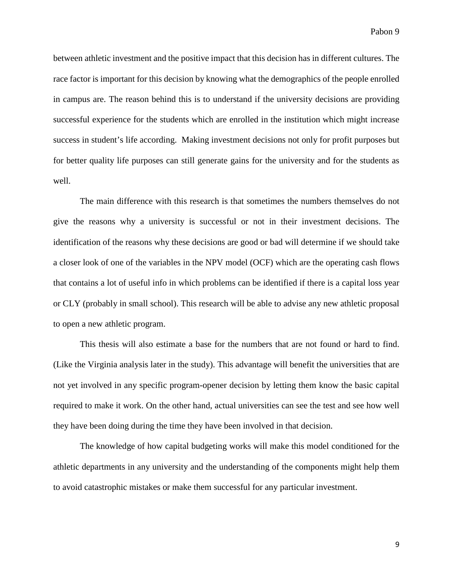between athletic investment and the positive impact that this decision has in different cultures. The race factor is important for this decision by knowing what the demographics of the people enrolled in campus are. The reason behind this is to understand if the university decisions are providing successful experience for the students which are enrolled in the institution which might increase success in student's life according. Making investment decisions not only for profit purposes but for better quality life purposes can still generate gains for the university and for the students as well.

The main difference with this research is that sometimes the numbers themselves do not give the reasons why a university is successful or not in their investment decisions. The identification of the reasons why these decisions are good or bad will determine if we should take a closer look of one of the variables in the NPV model (OCF) which are the operating cash flows that contains a lot of useful info in which problems can be identified if there is a capital loss year or CLY (probably in small school). This research will be able to advise any new athletic proposal to open a new athletic program.

This thesis will also estimate a base for the numbers that are not found or hard to find. (Like the Virginia analysis later in the study). This advantage will benefit the universities that are not yet involved in any specific program-opener decision by letting them know the basic capital required to make it work. On the other hand, actual universities can see the test and see how well they have been doing during the time they have been involved in that decision.

The knowledge of how capital budgeting works will make this model conditioned for the athletic departments in any university and the understanding of the components might help them to avoid catastrophic mistakes or make them successful for any particular investment.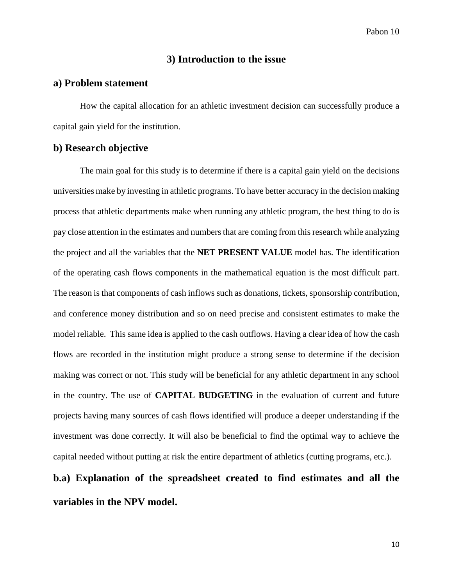#### **3) Introduction to the issue**

#### **a) Problem statement**

How the capital allocation for an athletic investment decision can successfully produce a capital gain yield for the institution.

#### **b) Research objective**

The main goal for this study is to determine if there is a capital gain yield on the decisions universities make by investing in athletic programs. To have better accuracy in the decision making process that athletic departments make when running any athletic program, the best thing to do is pay close attention in the estimates and numbers that are coming from this research while analyzing the project and all the variables that the **NET PRESENT VALUE** model has. The identification of the operating cash flows components in the mathematical equation is the most difficult part. The reason is that components of cash inflows such as donations, tickets, sponsorship contribution, and conference money distribution and so on need precise and consistent estimates to make the model reliable. This same idea is applied to the cash outflows. Having a clear idea of how the cash flows are recorded in the institution might produce a strong sense to determine if the decision making was correct or not. This study will be beneficial for any athletic department in any school in the country. The use of **CAPITAL BUDGETING** in the evaluation of current and future projects having many sources of cash flows identified will produce a deeper understanding if the investment was done correctly. It will also be beneficial to find the optimal way to achieve the capital needed without putting at risk the entire department of athletics (cutting programs, etc.).

# **b.a) Explanation of the spreadsheet created to find estimates and all the variables in the NPV model.**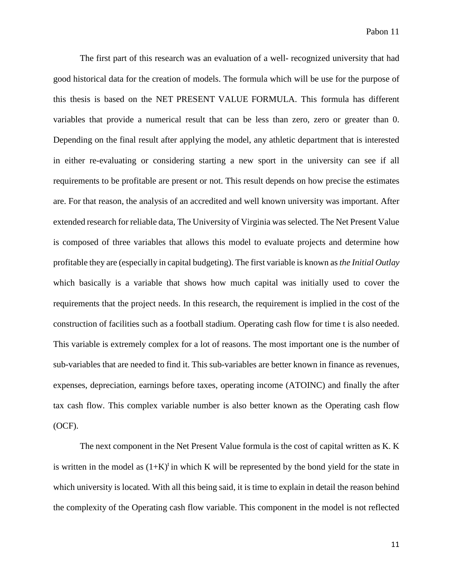The first part of this research was an evaluation of a well- recognized university that had good historical data for the creation of models. The formula which will be use for the purpose of this thesis is based on the NET PRESENT VALUE FORMULA. This formula has different variables that provide a numerical result that can be less than zero, zero or greater than 0. Depending on the final result after applying the model, any athletic department that is interested in either re-evaluating or considering starting a new sport in the university can see if all requirements to be profitable are present or not. This result depends on how precise the estimates are. For that reason, the analysis of an accredited and well known university was important. After extended research for reliable data, The University of Virginia was selected. The Net Present Value is composed of three variables that allows this model to evaluate projects and determine how profitable they are (especially in capital budgeting). The first variable is known as *the Initial Outlay* which basically is a variable that shows how much capital was initially used to cover the requirements that the project needs. In this research, the requirement is implied in the cost of the construction of facilities such as a football stadium. Operating cash flow for time t is also needed. This variable is extremely complex for a lot of reasons. The most important one is the number of sub-variables that are needed to find it. This sub-variables are better known in finance as revenues, expenses, depreciation, earnings before taxes, operating income (ATOINC) and finally the after tax cash flow. This complex variable number is also better known as the Operating cash flow (OCF).

The next component in the Net Present Value formula is the cost of capital written as K. K is written in the model as  $(1+K)^t$  in which K will be represented by the bond yield for the state in which university is located. With all this being said, it is time to explain in detail the reason behind the complexity of the Operating cash flow variable. This component in the model is not reflected

11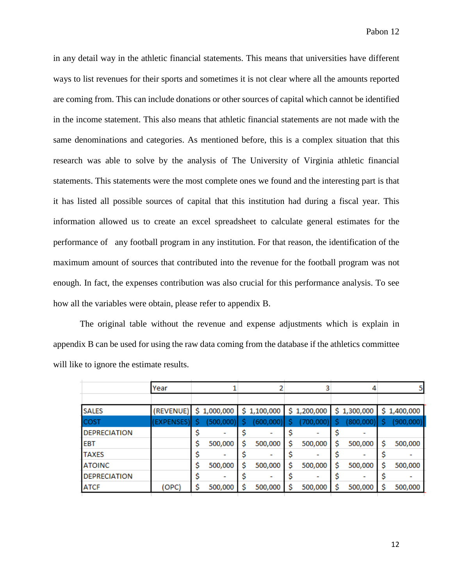in any detail way in the athletic financial statements. This means that universities have different ways to list revenues for their sports and sometimes it is not clear where all the amounts reported are coming from. This can include donations or other sources of capital which cannot be identified in the income statement. This also means that athletic financial statements are not made with the same denominations and categories. As mentioned before, this is a complex situation that this research was able to solve by the analysis of The University of Virginia athletic financial statements. This statements were the most complete ones we found and the interesting part is that it has listed all possible sources of capital that this institution had during a fiscal year. This information allowed us to create an excel spreadsheet to calculate general estimates for the performance of any football program in any institution. For that reason, the identification of the maximum amount of sources that contributed into the revenue for the football program was not enough. In fact, the expenses contribution was also crucial for this performance analysis. To see how all the variables were obtain, please refer to appendix B.

The original table without the revenue and expense adjustments which is explain in appendix B can be used for using the raw data coming from the database if the athletics committee will like to ignore the estimate results.

|                     | Year       |   |             |   |             |             |               |    | 5           |
|---------------------|------------|---|-------------|---|-------------|-------------|---------------|----|-------------|
|                     |            |   |             |   |             |             |               |    |             |
| <b>SALES</b>        | (REVENUE)  |   | \$1,000,000 |   | \$1,100,000 | \$1,200,000 | \$1,300,000   |    | \$1,400,000 |
| COST                | (EXPENSES) |   | (500,000)   |   | (600,000)   | (700,000)   | (800,000)     | s  | (900,000)   |
| <b>DEPRECIATION</b> |            |   |             |   |             |             |               |    |             |
| <b>EBT</b>          |            | Ś | 500,000     | s | 500,000     | 500,000     | \$<br>500,000 | \$ | 500,000     |
| <b>TAXES</b>        |            |   |             |   |             |             |               |    |             |
| <b>ATOINC</b>       |            |   | 500,000     |   | 500,000     | 500,000     | \$<br>500,000 | \$ | 500,000     |
| <b>DEPRECIATION</b> |            |   |             |   |             |             |               |    |             |
| <b>ATCF</b>         | (OPC)      |   | 500,000     |   | 500,000     | 500,000     | 500,000       | \$ | 500,000     |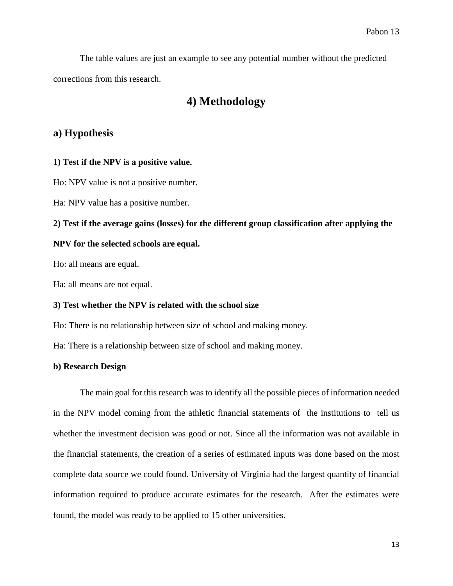The table values are just an example to see any potential number without the predicted corrections from this research.

### **4) Methodology**

#### **a) Hypothesis**

#### **1) Test if the NPV is a positive value.**

Ho: NPV value is not a positive number.

Ha: NPV value has a positive number.

#### **2) Test if the average gains (losses) for the different group classification after applying the**

#### **NPV for the selected schools are equal.**

Ho: all means are equal.

Ha: all means are not equal.

#### **3) Test whether the NPV is related with the school size**

Ho: There is no relationship between size of school and making money.

Ha: There is a relationship between size of school and making money.

#### **b) Research Design**

The main goal for this research was to identify all the possible pieces of information needed in the NPV model coming from the athletic financial statements of the institutions to tell us whether the investment decision was good or not. Since all the information was not available in the financial statements, the creation of a series of estimated inputs was done based on the most complete data source we could found. University of Virginia had the largest quantity of financial information required to produce accurate estimates for the research. After the estimates were found, the model was ready to be applied to 15 other universities.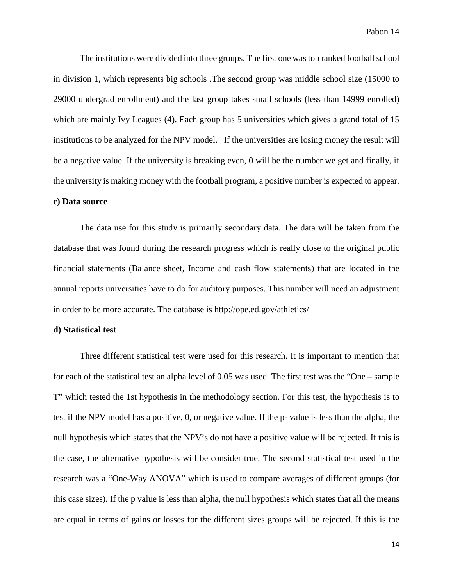The institutions were divided into three groups. The first one was top ranked football school in division 1, which represents big schools .The second group was middle school size (15000 to 29000 undergrad enrollment) and the last group takes small schools (less than 14999 enrolled) which are mainly Ivy Leagues (4). Each group has 5 universities which gives a grand total of 15 institutions to be analyzed for the NPV model. If the universities are losing money the result will be a negative value. If the university is breaking even, 0 will be the number we get and finally, if the university is making money with the football program, a positive number is expected to appear.

#### **c) Data source**

The data use for this study is primarily secondary data. The data will be taken from the database that was found during the research progress which is really close to the original public financial statements (Balance sheet, Income and cash flow statements) that are located in the annual reports universities have to do for auditory purposes. This number will need an adjustment in order to be more accurate. The database is http://ope.ed.gov/athletics/

#### **d) Statistical test**

Three different statistical test were used for this research. It is important to mention that for each of the statistical test an alpha level of 0.05 was used. The first test was the "One – sample T" which tested the 1st hypothesis in the methodology section. For this test, the hypothesis is to test if the NPV model has a positive, 0, or negative value. If the p- value is less than the alpha, the null hypothesis which states that the NPV's do not have a positive value will be rejected. If this is the case, the alternative hypothesis will be consider true. The second statistical test used in the research was a "One-Way ANOVA" which is used to compare averages of different groups (for this case sizes). If the p value is less than alpha, the null hypothesis which states that all the means are equal in terms of gains or losses for the different sizes groups will be rejected. If this is the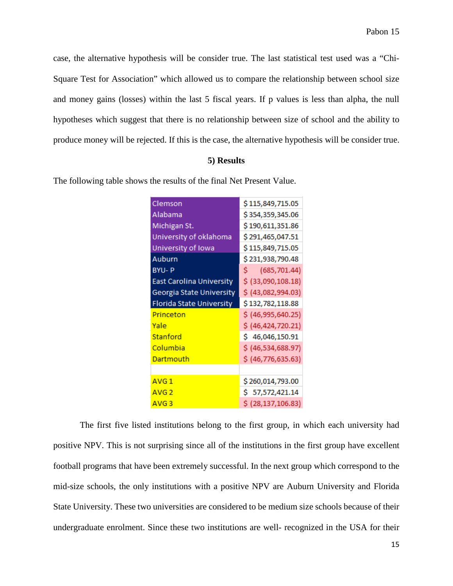case, the alternative hypothesis will be consider true. The last statistical test used was a "Chi-Square Test for Association" which allowed us to compare the relationship between school size and money gains (losses) within the last 5 fiscal years. If p values is less than alpha, the null hypotheses which suggest that there is no relationship between size of school and the ability to produce money will be rejected. If this is the case, the alternative hypothesis will be consider true.

#### **5) Results**

The following table shows the results of the final Net Present Value.

| Clemson                         | \$115,849,715.05     |
|---------------------------------|----------------------|
| Alabama                         | \$354,359,345.06     |
| Michigan St.                    | \$190,611,351.86     |
| University of oklahoma          | \$291,465,047.51     |
| University of Iowa              | \$115,849,715.05     |
| Auburn                          | \$231,938,790.48     |
| <b>BYU-P</b>                    | Ŝ.<br>(685, 701.44)  |
| <b>East Carolina University</b> | \$ (33,090,108.18)   |
| Georgia State University        | \$ (43,082,994.03)   |
|                                 |                      |
| Florida State University        | \$132,782,118.88     |
| Princeton                       | \$ (46,995,640.25)   |
| Yale                            | \$ (46,424,720.21)   |
| Stanford                        | \$46,046,150.91      |
| Columbia                        | \$ (46,534,688.97)   |
| Dartmouth                       | \$ (46, 776, 635.63) |
|                                 |                      |
| AVG <sub>1</sub>                | \$260,014,793.00     |
| AVG <sub>2</sub>                | \$57,572,421.14      |

The first five listed institutions belong to the first group, in which each university had positive NPV. This is not surprising since all of the institutions in the first group have excellent football programs that have been extremely successful. In the next group which correspond to the mid-size schools, the only institutions with a positive NPV are Auburn University and Florida State University. These two universities are considered to be medium size schools because of their undergraduate enrolment. Since these two institutions are well- recognized in the USA for their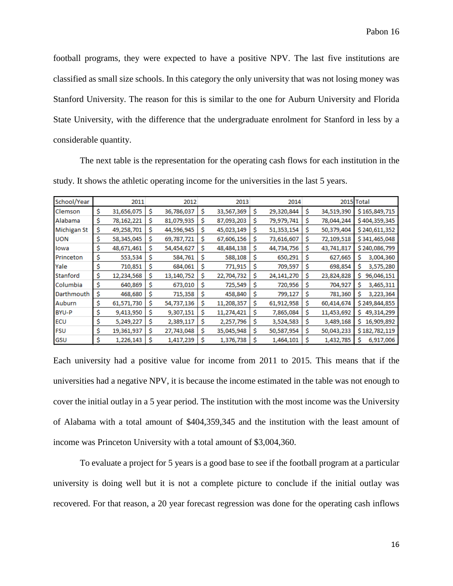football programs, they were expected to have a positive NPV. The last five institutions are classified as small size schools. In this category the only university that was not losing money was Stanford University. The reason for this is similar to the one for Auburn University and Florida State University, with the difference that the undergraduate enrolment for Stanford in less by a considerable quantity.

The next table is the representation for the operating cash flows for each institution in the study. It shows the athletic operating income for the universities in the last 5 years.

| School/Year        |    | 2011       |   | 2012       |    | 2013       |    | 2014       |   |            | 2015 Total      |
|--------------------|----|------------|---|------------|----|------------|----|------------|---|------------|-----------------|
| Clemson            | S  | 31,656,075 | s | 36,786,037 | \$ | 33,567,369 | \$ | 29,320,844 | s | 34,519,390 | \$165,849,715   |
| Alabama            | Ŝ  | 78,162,221 | s | 81,079,935 | s  | 87,093,203 | S  | 79,979,741 | s | 78,044,244 | \$404,359,345   |
| <b>Michigan St</b> | \$ | 49,258,701 | S | 44,596,945 | \$ | 45,023,149 | Ś  | 51,353,154 | s | 50,379,404 | \$240,611,352   |
| <b>UON</b>         | s  | 58,345,045 | S | 69,787,721 | \$ | 67,606,156 | s  | 73,616,607 | s | 72,109,518 | \$341,465,048   |
| lowa               |    | 48,671,461 | S | 54,454,627 | \$ | 48,484,138 | S  | 44,734,756 | s | 43,741,817 | \$240,086,799   |
| Princeton          | S  | 553,534    | S | 584,761    | \$ | 588,108    | Ŝ. | 650,291    |   | 627,665    | 3,004,360<br>S  |
| Yale               | S  | 710,851    | s | 684,061    | Ś  | 771,915    | s  | 709,597    | s | 698,854    | S<br>3,575,280  |
| Stanford           | S  | 12,234,568 | S | 13,140,752 | \$ | 22,704,732 | Ś  | 24,141,270 | s | 23,824,828 | S<br>96,046,151 |
| Columbia           | Ś  | 640,869    | S | 673,010    | S  | 725,549    | s  | 720,956    | s | 704,927    | Ŝ<br>3,465,311  |
| Darthmouth         | \$ | 468,680    | S | 715,358    | S  | 458,840    | S  | 799,127    | s | 781,360    | s<br>3,223,364  |
| Auburn             | s  | 61,571,730 | s | 54,737,136 | \$ | 11,208,357 | Ś  | 61,912,958 | s | 60,414,674 | \$249,844,855   |
| BYU-P              | s  | 9,413,950  | s | 9,307,151  | Ś  | 11,274,421 | Ŝ  | 7,865,084  | s | 11,453,692 | 49,314,299<br>s |
| <b>ECU</b>         |    | 5,249,227  | S | 2,389,117  | Ŝ  | 2,257,796  | Ś  | 3,524,583  | s | 3,489,168  | s<br>16,909,892 |
| <b>FSU</b>         | s  | 19,361,937 | s | 27,743,048 | Ś  | 35,045,948 | Ś  | 50,587,954 | s | 50,043,233 | \$182,782,119   |
| GSU                | s  | 1,226,143  | s | 1,417,239  | Ŝ  | 1,376,738  | Ŝ  | 1,464,101  | s | 1,432,785  | S<br>6,917,006  |

Each university had a positive value for income from 2011 to 2015. This means that if the universities had a negative NPV, it is because the income estimated in the table was not enough to cover the initial outlay in a 5 year period. The institution with the most income was the University of Alabama with a total amount of \$404,359,345 and the institution with the least amount of income was Princeton University with a total amount of \$3,004,360.

To evaluate a project for 5 years is a good base to see if the football program at a particular university is doing well but it is not a complete picture to conclude if the initial outlay was recovered. For that reason, a 20 year forecast regression was done for the operating cash inflows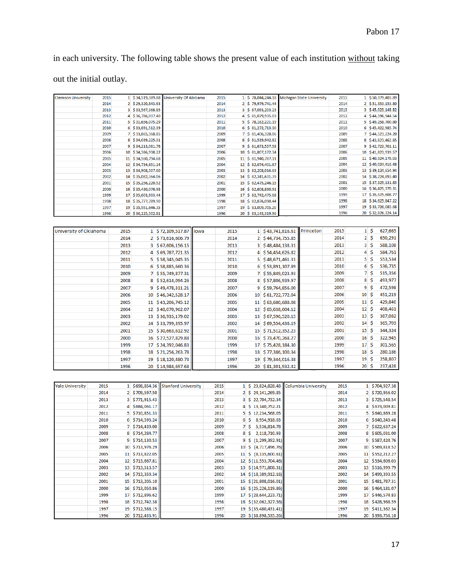in each university. The following table shows the present value of each institution without taking out the initial outlay.

| <b>Clemson University</b> | 2015 |                         | 1 \$34,519,389.88  | University Of Alabama      |      | 2015 |                | 1 \$78,044,244.18   |                                    | Michigan State University | 2015 |                 |                        | 1 \$50,379,403.89  |
|---------------------------|------|-------------------------|--------------------|----------------------------|------|------|----------------|---------------------|------------------------------------|---------------------------|------|-----------------|------------------------|--------------------|
|                           | 2014 |                         | 2 \$29,320,843.63  |                            |      | 2014 |                | 2 \$79,979,741.44   |                                    |                           | 2014 |                 |                        | 2 \$51,353,153.80  |
|                           | 2013 | $\overline{\mathbf{3}}$ | \$33,567,368.85    |                            |      | 2013 | 3              | \$87,093,203.23     |                                    |                           | 2013 | з               |                        | \$45,023,148.82    |
|                           | 2012 | 4                       | \$36,786,037.40    |                            |      | 2012 | 4              | \$81,079,935.03     |                                    |                           | 2012 | 4               |                        | \$44,596,944.54    |
|                           | 2011 | 5                       | \$31,656,075.29    |                            |      | 2011 | 5              | \$78,162,221.19     |                                    |                           | 2011 | 5               |                        | \$49,258,700.80    |
|                           | 2010 | 6                       | \$33,691,512.39    |                            |      | 2010 | 6              | \$31,272,713.30     |                                    |                           | 2010 | 6               |                        | \$45,422,985.74    |
|                           | 2009 | 7                       | \$33,865,368.85    |                            |      | 2009 | 7              |                     | \$3,406,328.06                     |                           | 2009 | 7               |                        | \$44,523,224.20    |
|                           | 2008 | 8                       | \$34,039,225.31    |                            |      | 2008 | 8              |                     | \$31,539,942.82                    |                           | 2008 | 8               |                        | \$43,623,462.65    |
|                           | 2007 | 9                       | \$34,213,081.76    |                            |      | 2007 | 9              | \$81,673,557.58     |                                    |                           | 2007 | 9               |                        | \$42,723,701.11    |
|                           | 2006 | 10                      | \$34,386,938.22    |                            |      | 2006 |                | 10 \$ 81,807,172.34 |                                    |                           | 2006 | 10              |                        | \$41,823,939.57    |
|                           | 2005 |                         | 11 \$34,560,794.68 |                            |      | 2005 |                | 11 \$ 81,940,787.11 |                                    |                           | 2005 | 11              |                        | \$40,924,178.03    |
|                           | 2004 |                         | 12 \$34,734,651.14 |                            |      | 2004 |                | 12 \$ 82,074,401.87 |                                    |                           | 2004 |                 |                        | 12 \$40,024,416.48 |
|                           | 2003 | 13                      | \$34,908,507.60    |                            |      | 2003 |                | 13 \$ 82,208,016.63 |                                    |                           | 2003 |                 |                        | 13 \$39,124,654.94 |
|                           | 2002 |                         | 14 \$35,082,364.06 |                            |      | 2002 |                | 14 \$ 82,341,631.39 |                                    |                           | 2002 |                 |                        | 14 \$38,224,893.40 |
|                           | 2001 |                         | 15 \$35,256,220.52 |                            |      | 2001 |                | 15 \$ 82,475,246.15 |                                    |                           | 2001 | 15              |                        | \$37,325,131.85    |
|                           | 2000 |                         | 16 \$35,430,076.98 |                            |      | 2000 |                | 16 \$82,608,860.91  |                                    |                           | 2000 | 16              |                        | \$36,425,370.31    |
|                           | 1999 |                         | 17 \$35,603,933.44 |                            |      | 1999 |                | 17 \$ 82,742,475.68 |                                    |                           | 1999 |                 |                        | 17 \$35,525,608.77 |
|                           | 1998 |                         | 18 \$35,777,789.90 |                            |      | 1998 |                | 18 \$ 82,876,090.44 |                                    |                           | 1998 | 18              |                        | \$34,625,847.22    |
|                           | 1997 |                         | 19 \$35,951,646.35 |                            |      | 1997 |                |                     | 19 \$83,009,705.20                 |                           | 1997 |                 |                        | 19 \$33,726,085.68 |
|                           | 1996 | 20                      | \$36,125,502.81    |                            |      | 1996 |                |                     | 20 \$ 83,143,319.96                |                           | 1996 |                 |                        | 20 \$32,826,324.14 |
|                           |      |                         |                    |                            |      |      |                |                     |                                    |                           |      |                 |                        |                    |
| University of Oklahoma    |      | 2015                    |                    | 1 \$72,109,517.87          | lowa |      | 2015           |                     | 1 \$43,741,816.61                  | Princeton                 | 2015 |                 | $1\overline{\text{S}}$ | 627,665            |
|                           |      | 2014                    | $\overline{2}$     | \$73,616,606.79            |      |      | 2014           |                     | 2 \$44,734,755.85                  |                           | 2014 | $\overline{2}$  | \$                     | 650,291            |
|                           |      | 2013                    | 3                  | \$67,606,156.15            |      |      | 2013           |                     | 3 \$48,484,138.31                  |                           | 2013 | 3               | \$                     | 588,108            |
|                           |      | 2012                    | 4                  | \$69,787,721.35            |      |      | 2012           | 4                   | \$54,454,626.82                    |                           | 2012 | 4               | \$                     | 584,761            |
|                           |      | 2011                    | 5                  | \$58,345,045.35            |      |      | 2011           |                     | 5 \$48,671,461.31                  |                           | 2011 | 5               | \$                     | 553,534            |
|                           |      | 2010                    |                    | \$58,885,660.36            |      |      | 2010           |                     | \$53,891,107.89                    |                           | 2010 | 6               | \$                     | 536,735            |
|                           |      |                         | 6                  |                            |      |      |                | 6                   |                                    |                           |      |                 |                        |                    |
|                           |      | 2009                    | 7                  | \$55,749,877.31            |      |      | 2009           |                     | 7 \$55,849,023.93                  |                           | 2009 | 7               | \$                     | 515,356            |
|                           |      | 2008                    | 8                  | \$52,614,094.26            |      |      | 2008           |                     | 8 \$57,806,939.97                  |                           | 2008 | 8               | \$                     | 493,977            |
|                           |      | 2007                    | 9                  | \$49,478,311.21            |      |      | 2007           | 9                   | \$59,764,856.00                    |                           | 2007 | 9               | \$                     | 472,598            |
|                           |      | 2006                    | 10                 | \$46,342,528.17            |      |      | 2006           | 10                  | \$61,722,772.04                    |                           | 2006 | 10              | \$                     | 451,219            |
|                           |      | 2005                    |                    | 11 \$43,206,745.12         |      |      | 2005           |                     | 11 \$63,680,688.08                 |                           | 2005 | 11              | \$                     | 429,840            |
|                           |      | 2004                    |                    | 12 \$40,070,962.07         |      |      | 2004           |                     | 12 \$65,638,604.12                 |                           | 2004 | 12 <sup>1</sup> | \$                     | 408,461            |
|                           |      |                         |                    |                            |      |      |                |                     |                                    |                           | 2003 | 13              | \$                     | 387,082            |
|                           |      | 2003                    | 13                 | \$36,935,179.02            |      |      | 2003           |                     | 13 \$67,596,520.15                 |                           |      |                 |                        |                    |
|                           |      | 2002                    |                    | 14 \$33,799,395.97         |      |      | 2002           |                     | 14 \$69,554,436.19                 |                           | 2002 | $14 \;$ \$      |                        | 365,703            |
|                           |      | 2001                    | 15                 | \$30,663,612.92            |      |      | 2001           |                     | 15 \$71,512,352.23                 |                           | 2001 | 15              | \$                     | 344,324            |
|                           |      | 2000                    |                    | 16 \$27,527,829.88         |      |      | 2000           |                     | 16 \$73,470,268.27                 |                           | 2000 | $16\frac{1}{2}$ |                        | 322,945            |
|                           |      | 1999                    | 17                 | \$24,392,046.83            |      |      | 1999           |                     | 17 \$75,428,184.30                 |                           | 1999 | 17 <sub>5</sub> |                        | 301,565            |
|                           |      | 1998                    | 18                 | \$21,256,263.78            |      |      | 1998           | 18                  | \$77,386,100.34                    |                           | 1998 | 18              | \$                     | 280,186            |
|                           |      |                         |                    |                            |      |      |                |                     |                                    |                           | 1997 | $19\frac{6}{5}$ |                        |                    |
|                           |      | 1997                    | 19                 | \$18,120,480.73            |      |      | 1997           |                     | 19 \$79,344,016.38                 |                           |      |                 |                        | 258,807            |
|                           |      | 1996                    |                    | 20 \$14,984,697.68         |      |      | 1996           |                     | 20 \$81,301,932.42                 |                           | 1996 | 20              | Ŝ                      | 237,428            |
|                           |      |                         |                    |                            |      |      |                |                     |                                    |                           |      |                 |                        |                    |
| <b>Yale University</b>    | 2015 |                         | 1 \$698,854.36     | <b>Stanford University</b> |      | 2015 |                |                     | 1 \$ 23,824,828.48                 | Columbia University       | 2015 |                 |                        | 1 \$704,927.38     |
|                           | 2014 | $\overline{2}$          | \$709,597.50       |                            |      | 2014 | $\overline{2}$ | \$                  | 24, 141, 269.85                    |                           | 2014 |                 |                        | 2 \$720,956.02     |
|                           | 2013 | з                       | \$771,915.43       |                            |      | 2013 | 3              |                     | \$22,704,732.34                    |                           | 2013 | з               |                        | \$725,548.54       |
|                           | 2012 | 4                       | \$684,061.17       |                            |      | 2012 | 4              |                     | \$13,140,752.21                    |                           | 2012 | 4               |                        | \$673,009.81       |
|                           |      |                         |                    |                            |      |      |                |                     |                                    |                           |      |                 |                        |                    |
|                           | 2011 | 5                       | \$710,851.33       |                            |      | 2011 | 5              |                     | \$12,234,568.05                    |                           | 2011 | 5               |                        | \$640,869.28       |
|                           | 2010 | 6                       | \$714,593.24       |                            |      | 2010 | 6              | \$                  | 8,954,918.63                       |                           | 2010 | 6               |                        | \$640,243.48       |
|                           | 2009 | 7                       | \$714,439.00       |                            |      | 2009 | 7              | \$                  | 5,536,814.78                       |                           | 2009 |                 |                        | 7 \$622,637.24     |
|                           | 2008 | 8                       | \$714,284.77       |                            |      | 2008 | 8              | \$                  | 2,118,710.93                       |                           | 2008 | 8               |                        | \$605,031.00       |
|                           | 2007 | 9                       | \$714,130.53       |                            |      | 2007 | 9              |                     | \$(1,299,392.91)                   |                           | 2007 | 9               |                        | \$587,424.76       |
|                           | 2006 | 10                      | \$713,976.29       |                            |      | 2006 | 10             |                     | \$ (4,717,496.76)                  |                           | 2006 | 10              |                        | \$569,818.52       |
|                           | 2005 | 11                      | \$713,822.05       |                            |      | 2005 |                |                     | $11 \mid \xi \quad (8,135,600.61)$ |                           | 2005 |                 |                        | 11 \$552,212.27    |
|                           | 2004 |                         | 12 \$713,667.81    |                            |      | 2004 |                |                     | 12 \$ (11,553,704.46)              |                           | 2004 |                 |                        | 12 \$534,606.03    |
|                           |      |                         |                    |                            |      |      |                |                     |                                    |                           |      |                 |                        |                    |

| ---- | $         -$               | ---- |                                                                                 | ---- | -- -----------  |
|------|----------------------------|------|---------------------------------------------------------------------------------|------|-----------------|
| 2005 | $11 \mid $713,822.05 \mid$ | 2005 | $11 \mid \xi \{8, 135, 600.61\}$                                                | 2005 | 11 \$552,212.27 |
| 2004 | $12 \mid $713,667.81 \mid$ | 2004 | 12 \$ (11,553,704.46)                                                           | 2004 | 12 \$534,606.03 |
| 2003 | 13 \$713,513.57            | 2003 | $13 \left  \frac{2}{3} \left( \frac{14}{971}, \frac{808.31}{1} \right) \right $ | 2003 | 13 \$516,999.79 |
| 2002 | 14 \$713,359.34            | 2002 | $14 \left  \frac{2}{3} \left( \frac{18}{389} \right) \right  912.16 \right $    | 2002 | 14 \$499,393.55 |
| 2001 | 15 \$713,205.10            | 2001 | $15 \mid \frac{2}{3} \left( \frac{21,808,016.01}{2} \right)$                    | 2001 | 15 \$481,787.31 |
| 2000 | 16 \$713,050.86            | 2000 | $16 \left  \frac{25}{226,119.86} \right $                                       | 2000 | 16 \$464,181.07 |
| 1999 | 17 \$712,896.62            | 1999 | 17 \$ (28,644,223.71)                                                           | 1999 | 17 \$446,574.83 |
| 1998 | 18 \$712,742.38            | 1998 | 18 \$ (32,062,327.56)                                                           | 1998 | 18 \$428,968.59 |
| 1997 | 19 \$712,588.15            | 1997 | $19 \mid \frac{2}{3} \left( \frac{35}{480}, \frac{431}{41} \right)$             | 1997 | 19 \$411,362.34 |
| 1006 | $20$ $212.022$ $1$         | 1006 | $20 \leq 200$ 000 525 $26$                                                      | 1006 | 20 6292.756.10  |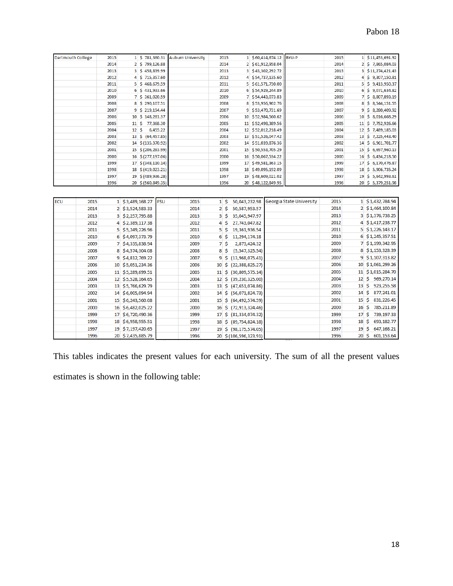| <b>Dartmouth College</b> |      | 2015 |                   | 1 \$781,360.31     |            | <b>Auburn University</b> |                | 2015                      |                    | 1 \$60,414,674.12 BYU-P |                                 | 2015 |                          |    | 1 \$11,453,691.92  |
|--------------------------|------|------|-------------------|--------------------|------------|--------------------------|----------------|---------------------------|--------------------|-------------------------|---------------------------------|------|--------------------------|----|--------------------|
|                          |      | 2014 |                   | \$799,126.88       |            |                          |                | 2014                      |                    | 2 \$61,912,958.04       |                                 | 2014 |                          |    | 2 \$ 7,865,084.03  |
|                          |      | 2013 |                   | \$458,839.99       |            |                          |                | 2013                      |                    | 3 \$43,302,292.72       |                                 | 2013 |                          |    | 3 \$11,274,421.43  |
|                          |      | 2012 | 4                 | \$715,357.60       |            |                          |                | 2012                      |                    | 4 \$54,737,135.60       |                                 | 2012 |                          |    | 4 \$ 9,307,150.81  |
|                          |      | 2011 | 5                 | \$<br>468,679.59   |            |                          |                | 2011                      |                    | 5 \$61,571,730.00       |                                 | 2011 | 5.                       |    | \$9,413,950.37     |
|                          |      | 2010 | 6                 | \$.<br>431,933.66  |            |                          |                | 2010                      |                    | 6 \$54,929,244.89       |                                 | 2010 | 6                        | -Ŝ | 9,071,634.82       |
|                          |      | 2009 |                   | \$361,020.59       |            |                          |                | 2009                      |                    | 7 \$54,443,073.83       |                                 | 2009 | 7                        | Ŝ. | 8,807,893.19       |
|                          |      | 2008 | 8                 | Ŝ<br>290,107.51    |            |                          |                | 2008                      |                    | 8 \$53,956,902.76       |                                 | 2008 | 8                        | \$ | 8,544,151.55       |
|                          |      | 2007 | 9                 | \$219,194.44       |            |                          |                | 2007                      |                    | 9 \$53,470,731.69       |                                 | 2007 | 9                        | Ŝ. | 8,280,409.92       |
|                          |      | 2006 | 10                | \$148,281.37       |            |                          |                | 2006                      | 10                 | \$52,984,560.62         |                                 | 2006 | 10                       | Ŝ. | 8,016,668.29       |
|                          |      | 2005 | 11                | \$<br>77,368.30    |            |                          |                | 2005                      |                    | 11 \$52,498,389.56      |                                 | 2005 |                          |    | 11 \$ 7,752,926.66 |
|                          |      | 2004 | 12                | \$                 | 6,455.22   |                          |                | 2004                      | 12 <sup>1</sup>    | \$52,012,218.49         |                                 | 2004 |                          |    | 12 \$7,489,185.03  |
|                          |      | 2003 | 13                | \$<br>(64, 457.85) |            |                          |                | 2003                      |                    | 13 \$51,526,047.42      |                                 | 2003 |                          |    | 13 \$ 7,225,443.40 |
|                          |      | 2002 | 14                | \$(135, 370.92)    |            |                          |                | 2002                      | 14                 | \$51,039,876.36         |                                 | 2002 | 14                       |    | \$6,961,701.77     |
|                          |      | 2001 | 15                | \$(206, 283.99)    |            |                          |                | 2001                      | 15                 | \$50,553,705.29         |                                 | 2001 | 15                       |    | \$6,697,960.13     |
|                          |      | 2000 | 16                | \$(277,197.06)     |            |                          |                | 2000                      |                    | 16 \$50,067,534.22      |                                 | 2000 | 16                       |    | \$6,434,218.50     |
|                          |      | 1999 | 17                | \$ (348, 110.14)   |            |                          |                | 1999                      |                    | 17 \$49,581,363.15      |                                 | 1999 |                          |    | 17 \$ 6,170,476.87 |
|                          |      | 1998 | 18                | \$ (419, 023.21)   |            |                          |                | 1998                      |                    | 18 \$49,095,192.09      |                                 | 1998 |                          |    | 18 \$ 5,906,735.24 |
|                          |      | 1997 | 19                | \$ (489, 936.28)   |            |                          |                | 1997                      |                    | 19 \$48,609,021.02      |                                 | 1997 |                          |    | 19 \$ 5,642,993.61 |
|                          |      | 1996 |                   | 20 \$ (560,849.35) |            |                          |                | 1996                      |                    | 20 \$48,122,849.95      |                                 | 1996 |                          |    | 20 \$ 5,379,251.98 |
|                          |      |      |                   |                    |            |                          |                |                           |                    |                         |                                 |      |                          |    |                    |
| ECU                      | 2015 |      | 1 \$3,489,168.27  |                    | <b>FSU</b> | 2015                     |                | $1\overline{\text{S}}$    | 50,043,232.98      |                         | <b>Georgia State University</b> | 2015 |                          |    | 1 \$1,432,784.94   |
|                          | 2014 |      | 2 \$3,524,583.33  |                    |            | 2014                     |                | $2\overline{\phantom{a}}$ | 50,587,953.57      |                         |                                 | 2014 |                          |    | 2 \$1,464,100.84   |
|                          | 2013 |      | 3 \$2,257,795.88  |                    |            | 2013                     | 3 <sup>1</sup> | Ŝ                         | 35,045,947.97      |                         |                                 | 2013 |                          |    | 3 \$1,376,738.25   |
|                          | 2012 |      | 4 \$2,389,117.38  |                    |            | 2012                     | 4              | \$                        | 27,743,047.82      |                         |                                 | 2012 |                          |    | 4 \$1,417,238.77   |
|                          | 2011 |      | 5 \$5,249,226.96  |                    |            | 2011                     | 5              | \$                        | 19,361,936.54      |                         |                                 | 2011 |                          |    | $5$ \$1,226,143.17 |
|                          | 2010 | 6    | \$4,097,373.79    |                    |            | 2010                     | 6              | Ŝ                         | 11,294,174.18      |                         |                                 | 2010 |                          |    | 6 \$1,245,357.51   |
|                          | 2009 |      | 7 \$4,335,838.94  |                    |            | 2009                     |                | 7 <sub>5</sub>            | 2,873,424.32       |                         |                                 | 2009 |                          |    | 7 \$1,199,342.95   |
|                          | 2008 | 8    | \$4,574,304.08    |                    |            | 2008                     | 8              | \$                        | (5,547,325.54)     |                         |                                 | 2008 |                          |    | 8 \$1,153,328.39   |
|                          | 2007 | 9    | \$4,812,769.22    |                    |            | 2007                     | 9              | \$                        | (13,968,075.41)    |                         |                                 | 2007 |                          |    | 9 \$1,107,313.82   |
|                          | 2006 |      | 10 \$5,051,234.36 |                    |            | 2006                     | 10             | \$                        | (22, 388, 825.27)  |                         |                                 | 2006 |                          |    | 10 \$1,061,299.26  |
|                          | 2005 |      | 11 \$5,289,699.51 |                    |            | 2005                     | 11             | \$                        | (30,809,575.14)    |                         |                                 | 2005 |                          |    | 11 \$1,015,284.70  |
|                          | 2004 |      | 12 \$5,528,164.65 |                    |            | 2004                     | 12             | \$                        | (39, 230, 325.00)  |                         |                                 | 2004 | 12S                      |    | 969,270.14         |
|                          | 2003 |      | 13 \$5,766,629.79 |                    |            | 2003                     | 13             | \$                        | (47,651,074.86)    |                         |                                 | 2003 | 13                       | Ŝ  | 923,255.58         |
|                          | 2002 | 14   | \$6,005,094.94    |                    |            | 2002                     | 14             | Ŝ.                        | (56,071,824.73)    |                         |                                 | 2002 | 14                       | Ŝ  | 877,241.01         |
|                          | 2001 |      | 15 \$6,243,560.08 |                    |            | 2001                     | 15S            |                           | (64, 492, 574, 59) |                         |                                 | 2001 | $15\overline{\smash{5}}$ |    | 831,226.45         |
|                          |      |      |                   |                    |            |                          |                |                           |                    |                         |                                 |      |                          |    |                    |

|         | 2000 | 16 \$6,482,025.22 | 2000                     | $16 \div (72,913,324.46)$                                   |        | 2000         |    | 16 \$ 785,211.89 |
|---------|------|-------------------|--------------------------|-------------------------------------------------------------|--------|--------------|----|------------------|
|         | 1999 | 17 \$6,720,490.36 | 1999                     | $17 \mid \xi \left( \frac{81,334,074.32}{\pi} \right) \mid$ |        | 1999         |    | 17 \$ 739,197.33 |
|         | 1998 | 18 \$6,958,955.51 | 1998                     | 18 \$ (89,754,824.18)                                       |        | 1998         |    | 18 \$ 693,182.77 |
|         | 1997 | 19 \$7,197,420.65 | 1997                     | 19 \$ (98,175,574.05)                                       |        | 1997         |    | 19 \$ 647,168.21 |
|         | 1996 | 20 \$7,435,885.79 | 1996                     | 20 \$ (106,596,323.91)                                      |        | 1996         | 20 | 601,153.64       |
|         |      |                   | $\overline{\phantom{a}}$ |                                                             | 2311   |              |    |                  |
| $T = 1$ |      |                   | - 1                      |                                                             | $\sim$ | $c = 11$ $1$ |    |                  |

This tables indicates the present values for each university. The sum of all the present values estimates is shown in the following table: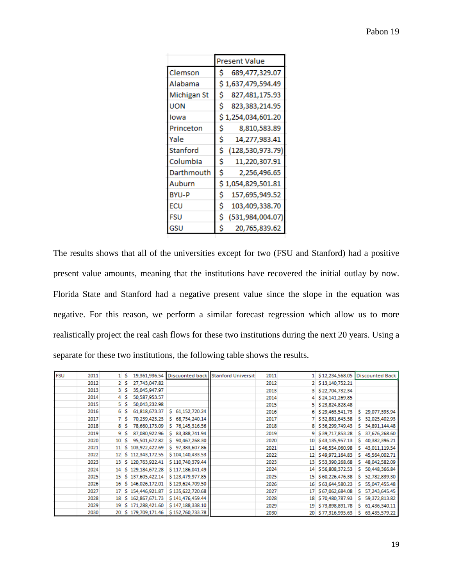|              | Present Value           |
|--------------|-------------------------|
| Clemson      | 689,477,329.07<br>s     |
| Alabama      | 1,637,479,594.49        |
| Michigan St  | 827,481,175.93<br>s     |
| UON          | Ś<br>823,383,214.95     |
| Iowa         | 1,254,034,601.20        |
| Princeton    | 8,810,583.89<br>\$      |
| Yale         | Ś<br>14,277,983.41      |
| Stanford     | (128, 530, 973.79)<br>Ś |
| Columbia     | \$<br>11,220,307.91     |
| Darthmouth   | Ś<br>2,256,496.65       |
| Auburn       | 1,054,829,501.81        |
| <b>BYU-P</b> | 157,695,949.52          |
| ECU          | \$<br>103,409,338.70    |
| FSU          | Ś<br>(531,984,004.07)   |
| GSU          | s<br>20,765,839.62      |

The results shows that all of the universities except for two (FSU and Stanford) had a positive present value amounts, meaning that the institutions have recovered the initial outlay by now. Florida State and Stanford had a negative present value since the slope in the equation was negative. For this reason, we perform a similar forecast regression which allow us to more realistically project the real cash flows for these two institutions during the next 20 years. Using a separate for these two institutions, the following table shows the results.

| <b>FSU</b> | 2011 |    | s |                      |                  | 19,361,936.54 Discuonted back Stanford Universit | 2011 |    | \$12,234,568.05    | Discounted Back     |
|------------|------|----|---|----------------------|------------------|--------------------------------------------------|------|----|--------------------|---------------------|
|            | 2012 |    | s | 27,743,047.82        |                  |                                                  | 2012 |    | 2 \$13,140,752.21  |                     |
|            | 2013 | 3  | s | 35,045,947.97        |                  |                                                  | 2013 |    | 3 \$22,704,732.34  |                     |
|            | 2014 |    | s | 50,587,953.57        |                  |                                                  | 2014 |    | \$24,141,269.85    |                     |
|            | 2015 | 5. | s | 50,043,232.98        |                  |                                                  | 2015 |    | 5 \$23,824,828.48  |                     |
|            | 2016 | 6  | s | 61,818,673.37        | \$ 61,152,720.24 |                                                  | 2016 |    | 6 \$29,463,541.73  | 29,077,393.94<br>S. |
|            | 2017 |    |   | 70,239,423.23        | \$ 68,734,240.14 |                                                  | 2017 |    | \$32,881,645.58    | 32,025,402.93<br>s. |
|            | 2018 | 8  | s | 78,660,173.09        | \$76,145,316.56  |                                                  | 2018 |    | 8 \$36,299,749.43  | \$ 34,891,144.48    |
|            | 2019 | 9  | s | 87,080,922.96        | \$ 83,388,741.94 |                                                  | 2019 | 9. | \$39,717,853.28    | 37,676,268.60<br>S. |
|            | 2020 | 10 | s | 95,501,672.82        | \$90,467,268.30  |                                                  | 2020 |    | 10 \$43,135,957.13 | \$40,382,396.21     |
|            | 2021 |    |   | 11 \$ 103,922,422.69 | \$97,383,607.86  |                                                  | 2021 |    | 11 \$46,554,060.98 | \$43,011,119.54     |
|            | 2022 |    |   | 12 \$ 112,343,172.55 | \$104,140,433.53 |                                                  | 2022 |    | 12 \$49,972,164.83 | \$45,564,002.71     |
|            | 2023 | 13 |   | \$120,763,922.41     | \$110,740,379.44 |                                                  | 2023 |    | 13 \$53,390,268.68 | 48,042,582.09<br>s. |
|            | 2024 |    |   | 14 \$ 129,184,672.28 | \$117,186,041.49 |                                                  | 2024 |    | 14 \$56,808,372.53 | \$50,448,366.84     |
|            | 2025 |    |   | 15 \$ 137,605,422.14 | \$123,479,977.85 |                                                  | 2025 |    | 15 \$60,226,476.38 | \$ 52,782,839.30    |
|            | 2026 |    |   | 16 \$146,026,172.01  | \$129,624,709.50 |                                                  | 2026 |    | 16 \$63,644,580.23 | \$55,047,455.48     |
|            | 2027 | 17 |   | \$154,446,921.87     | \$135,622,720.68 |                                                  | 2027 |    | 17 \$67,062,684.08 | \$ 57,243,645.45    |
|            | 2028 |    |   | 18 \$ 162,867,671.73 | \$141,476,459.44 |                                                  | 2028 |    | 18 \$70,480,787.93 | \$ 59,372,813.82    |
|            | 2029 |    |   | 19 \$ 171,288,421.60 | \$147,188,338.10 |                                                  | 2029 |    | 19 \$73,898,891.78 | \$ 61,436,340.11    |
|            | 2030 |    |   | 20 \$ 179,709,171.46 | \$152,760,733.78 |                                                  | 2030 |    | 20 \$77,316,995.63 | \$63,435,579.22     |
|            |      |    |   |                      |                  |                                                  |      |    |                    |                     |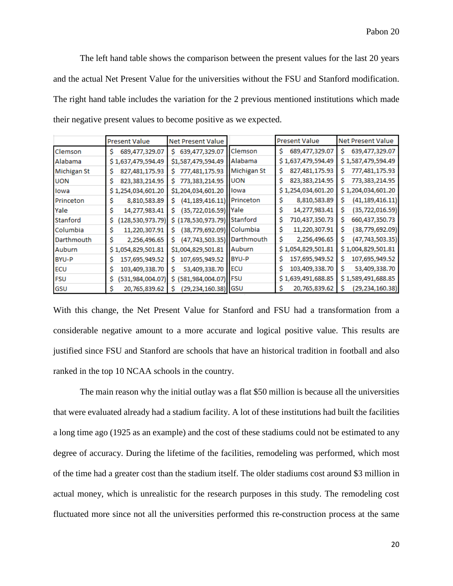The left hand table shows the comparison between the present values for the last 20 years and the actual Net Present Value for the universities without the FSU and Stanford modification. The right hand table includes the variation for the 2 previous mentioned institutions which made their negative present values to become positive as we expected.

|                    | <b>Present Value</b>     | Net Present Value                |                | <b>Present Value</b>   | Net Present Value       |
|--------------------|--------------------------|----------------------------------|----------------|------------------------|-------------------------|
| Clemson            | 689,477,329.07<br>Ŝ.     | 639,477,329.07<br>S.             | <b>Clemson</b> | 689,477,329.07<br>Ŝ    | 639,477,329.07<br>S     |
| Alabama            | \$1,637,479,594.49       | \$1,587,479,594.49               | Alabama        | \$1,637,479,594.49     | \$1,587,479,594.49      |
| <b>Michigan St</b> | 827,481,175.93<br>\$     | 777,481,175.93<br>S.             | Michigan St    | s<br>827,481,175.93    | 777,481,175.93<br>s     |
| <b>UON</b>         | 823,383,214.95<br>S      | 773,383,214.95<br>S.             | <b>UON</b>     | Ś<br>823, 383, 214. 95 | S.<br>773,383,214.95    |
| lowa               | \$1,254,034,601.20       | \$1,204,034,601.20               | lowa           | \$1,254,034,601.20     | \$1,204,034,601.20      |
| Princeton          | 8,810,583.89<br>S        | (41,189,416.11) Princeton<br>S.  |                | \$<br>8,810,583.89     | s<br>(41, 189, 416.11)  |
| Yale               | \$<br>14,277,983.41      | (35,722,016.59) Yale<br>\$.      |                | \$<br>14,277,983.41    | (35, 722, 016.59)<br>s  |
| Stanford           | (128, 530, 973.79)<br>\$ | \$ (178,530,973.79) Stanford     |                | \$<br>710,437,350.73   | Ŝ.<br>660,437,350.73    |
| Columbia           | 11,220,307.91<br>s       | (38,779,692.09) Columbia<br>Ŝ.   |                | s<br>11,220,307.91     | s<br>(38, 779, 692.09)  |
| Darthmouth         | Ŝ<br>2,256,496.65        | (47,743,503.35) Darthmouth<br>S. |                | \$<br>2,256,496.65     | Ś.<br>(47, 743, 503.35) |
| Auburn             | \$1,054,829,501.81       | \$1,004,829,501.81               | Auburn         | \$1,054,829,501.81     | \$1,004,829,501.81      |
| BYU-P              | 157,695,949.52<br>s      | 107,695,949.52<br>s              | BYU-P          | s<br>157,695,949.52    | 107,695,949.52<br>\$    |
| ECU                | 103,409,338.70<br>s      | Ś.<br>53,409,338.70              | ECU            | \$<br>103,409,338.70   | s<br>53,409,338.70      |
| <b>FSU</b>         | (531, 984, 004.07)<br>\$ | \$ (581,984,004.07) FSU          |                | \$1,639,491,688.85     | \$1,589,491,688.85      |
| GSU                | 20,765,839.62<br>S       | (29,234,160.38) GSU<br>s         |                | 20,765,839.62<br>s     | (29, 234, 160.38)<br>s  |

With this change, the Net Present Value for Stanford and FSU had a transformation from a considerable negative amount to a more accurate and logical positive value. This results are justified since FSU and Stanford are schools that have an historical tradition in football and also ranked in the top 10 NCAA schools in the country.

The main reason why the initial outlay was a flat \$50 million is because all the universities that were evaluated already had a stadium facility. A lot of these institutions had built the facilities a long time ago (1925 as an example) and the cost of these stadiums could not be estimated to any degree of accuracy. During the lifetime of the facilities, remodeling was performed, which most of the time had a greater cost than the stadium itself. The older stadiums cost around \$3 million in actual money, which is unrealistic for the research purposes in this study. The remodeling cost fluctuated more since not all the universities performed this re-construction process at the same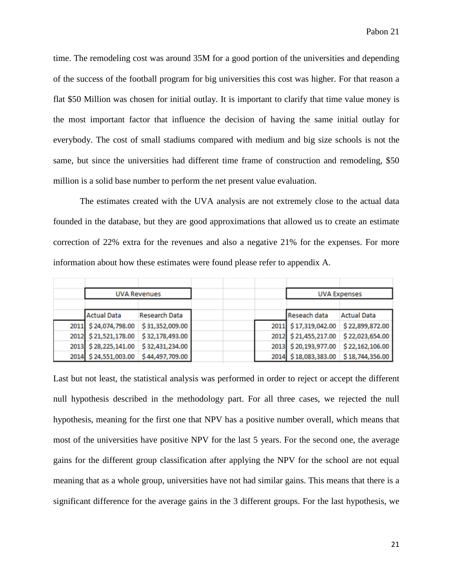time. The remodeling cost was around 35M for a good portion of the universities and depending of the success of the football program for big universities this cost was higher. For that reason a flat \$50 Million was chosen for initial outlay. It is important to clarify that time value money is the most important factor that influence the decision of having the same initial outlay for everybody. The cost of small stadiums compared with medium and big size schools is not the same, but since the universities had different time frame of construction and remodeling, \$50 million is a solid base number to perform the net present value evaluation.

The estimates created with the UVA analysis are not extremely close to the actual data founded in the database, but they are good approximations that allowed us to create an estimate correction of 22% extra for the revenues and also a negative 21% for the expenses. For more information about how these estimates were found please refer to appendix A.

|                      | <b>UVA Revenues</b>  |  |                      | <b>UVA Expenses</b> |  |
|----------------------|----------------------|--|----------------------|---------------------|--|
|                      |                      |  |                      |                     |  |
| <b>Actual Data</b>   | <b>Research Data</b> |  | Reseach data         | <b>Actual Data</b>  |  |
| 2011 \$24,074,798.00 | \$31,352,009.00      |  | 2011 \$17,319,042.00 | \$22,899,872.00     |  |
| 2012 \$21,521,178.00 | \$32,178,493.00      |  | 2012 \$21,455,217.00 | \$22,023,654.00     |  |
| 2013 \$28,225,141.00 | \$32,431,234.00      |  | 2013 \$20,193,977.00 | \$22,162,106.00     |  |
| 2014 \$24,551,003.00 | \$44,497,709.00      |  | 2014 \$18,083,383.00 | \$18,744,356.00     |  |

Last but not least, the statistical analysis was performed in order to reject or accept the different null hypothesis described in the methodology part. For all three cases, we rejected the null hypothesis, meaning for the first one that NPV has a positive number overall, which means that most of the universities have positive NPV for the last 5 years. For the second one, the average gains for the different group classification after applying the NPV for the school are not equal meaning that as a whole group, universities have not had similar gains. This means that there is a significant difference for the average gains in the 3 different groups. For the last hypothesis, we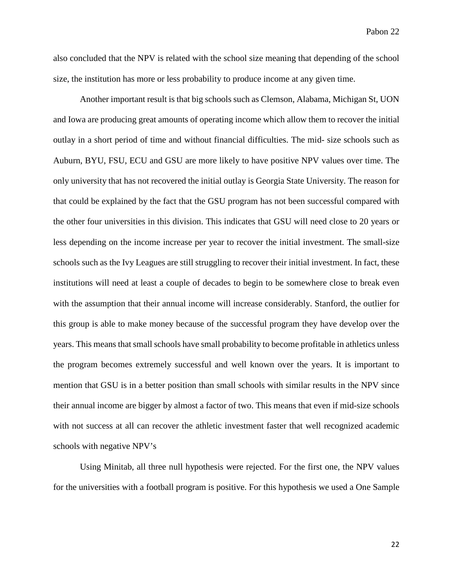also concluded that the NPV is related with the school size meaning that depending of the school size, the institution has more or less probability to produce income at any given time.

Another important result is that big schools such as Clemson, Alabama, Michigan St, UON and Iowa are producing great amounts of operating income which allow them to recover the initial outlay in a short period of time and without financial difficulties. The mid- size schools such as Auburn, BYU, FSU, ECU and GSU are more likely to have positive NPV values over time. The only university that has not recovered the initial outlay is Georgia State University. The reason for that could be explained by the fact that the GSU program has not been successful compared with the other four universities in this division. This indicates that GSU will need close to 20 years or less depending on the income increase per year to recover the initial investment. The small-size schools such as the Ivy Leagues are still struggling to recover their initial investment. In fact, these institutions will need at least a couple of decades to begin to be somewhere close to break even with the assumption that their annual income will increase considerably. Stanford, the outlier for this group is able to make money because of the successful program they have develop over the years. This means that small schools have small probability to become profitable in athletics unless the program becomes extremely successful and well known over the years. It is important to mention that GSU is in a better position than small schools with similar results in the NPV since their annual income are bigger by almost a factor of two. This means that even if mid-size schools with not success at all can recover the athletic investment faster that well recognized academic schools with negative NPV's

Using Minitab, all three null hypothesis were rejected. For the first one, the NPV values for the universities with a football program is positive. For this hypothesis we used a One Sample

22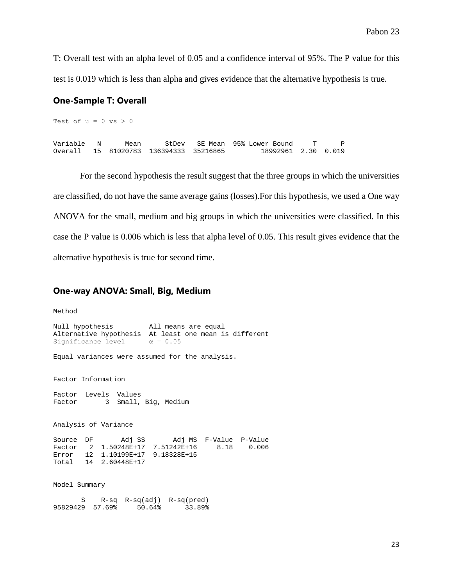T: Overall test with an alpha level of 0.05 and a confidence interval of 95%. The P value for this test is 0.019 which is less than alpha and gives evidence that the alternative hypothesis is true.

#### **One-Sample T: Overall**

Test of  $\mu = 0$  vs > 0 Variable N Mean StDev SE Mean 95% Lower Bound T P Overall 15 81020783 136394333 35216865 18992961 2.30 0.019

For the second hypothesis the result suggest that the three groups in which the universities are classified, do not have the same average gains (losses).For this hypothesis, we used a One way ANOVA for the small, medium and big groups in which the universities were classified. In this case the P value is 0.006 which is less that alpha level of 0.05. This result gives evidence that the alternative hypothesis is true for second time.

#### **One-way ANOVA: Small, Big, Medium**

```
Method
Null hypothesis All means are equal
Alternative hypothesis At least one mean is different Significance level \alpha = 0.05Significance level
Equal variances were assumed for the analysis.
Factor Information
Factor Levels Values<br>Factor 3 Small,
       3 Small, Big, Medium
Analysis of Variance
Source DF Adj SS Adj MS F-Value P-Value
Factor 2 1.50248E+17 7.51242E+16 8.18 0.006
Error 12 1.10199E+17 9.18328E+15
Total 14 2.60448E+17
Model Summary
      S R-sq R-sq(adj) R-sq(pred)<br>29 57.69% 50.64% 33.89%
95829429 57.69% 50.64%
```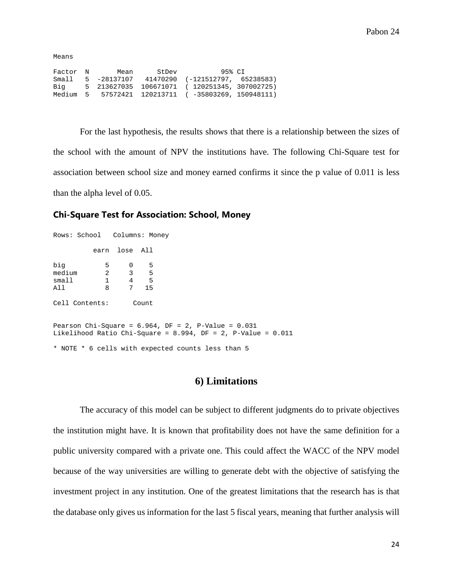Means

| Factor N | Mean              | StDev | 95% CI                                             |  |
|----------|-------------------|-------|----------------------------------------------------|--|
|          | Small 5 -28137107 |       | 41470290 (-121512797, 65238583)                    |  |
| Biq      |                   |       | 5 213627035 106671071 (120251345, 307002725)       |  |
|          |                   |       | Medium 5 57572421 120213711 (-35803269, 150948111) |  |

For the last hypothesis, the results shows that there is a relationship between the sizes of the school with the amount of NPV the institutions have. The following Chi-Square test for association between school size and money earned confirms it since the p value of 0.011 is less than the alpha level of 0.05.

#### **Chi-Square Test for Association: School, Money**

|        | Rows: School   Columns: Money |               |    |                                                                                                                          |  |
|--------|-------------------------------|---------------|----|--------------------------------------------------------------------------------------------------------------------------|--|
|        |                               | earn lose All |    |                                                                                                                          |  |
| biq    | $5 -$                         | 0             | 5  |                                                                                                                          |  |
| medium |                               | $2 \t 3$      | 5  |                                                                                                                          |  |
| small  |                               | $1 \t 4 \t 5$ |    |                                                                                                                          |  |
| All    | 8                             | 7             | 15 |                                                                                                                          |  |
|        | Cell Contents:                | Count         |    |                                                                                                                          |  |
|        |                               |               |    | Pearson Chi-Square = $6.964$ , DF = 2, P-Value = $0.031$<br>Likelihood Ratio Chi-Square = 8.994, DF = 2, P-Value = 0.011 |  |
|        |                               |               |    |                                                                                                                          |  |

\* NOTE \* 6 cells with expected counts less than 5

#### **6) Limitations**

The accuracy of this model can be subject to different judgments do to private objectives the institution might have. It is known that profitability does not have the same definition for a public university compared with a private one. This could affect the WACC of the NPV model because of the way universities are willing to generate debt with the objective of satisfying the investment project in any institution. One of the greatest limitations that the research has is that the database only gives us information for the last 5 fiscal years, meaning that further analysis will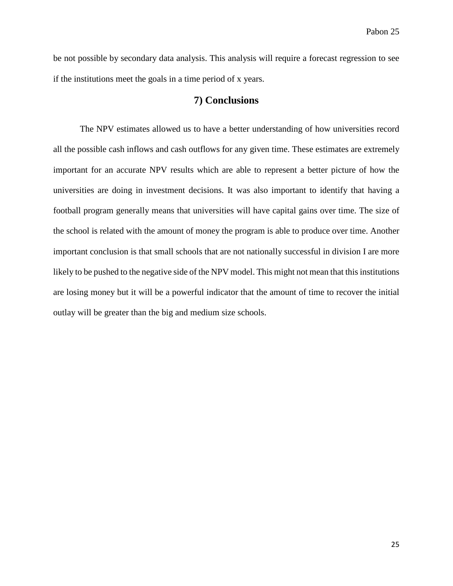be not possible by secondary data analysis. This analysis will require a forecast regression to see if the institutions meet the goals in a time period of x years.

#### **7) Conclusions**

The NPV estimates allowed us to have a better understanding of how universities record all the possible cash inflows and cash outflows for any given time. These estimates are extremely important for an accurate NPV results which are able to represent a better picture of how the universities are doing in investment decisions. It was also important to identify that having a football program generally means that universities will have capital gains over time. The size of the school is related with the amount of money the program is able to produce over time. Another important conclusion is that small schools that are not nationally successful in division I are more likely to be pushed to the negative side of the NPV model. This might not mean that this institutions are losing money but it will be a powerful indicator that the amount of time to recover the initial outlay will be greater than the big and medium size schools.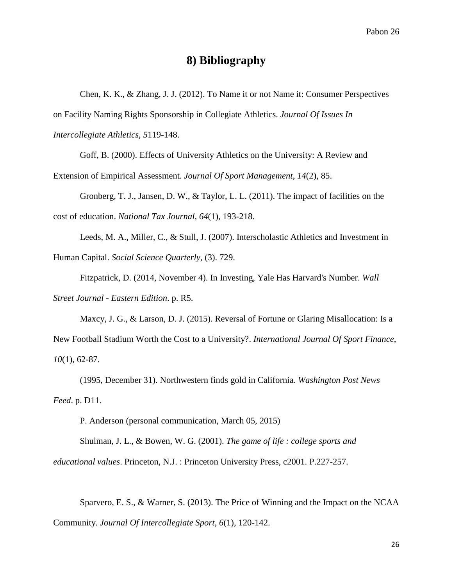### **8) Bibliography**

Chen, K. K., & Zhang, J. J. (2012). To Name it or not Name it: Consumer Perspectives on Facility Naming Rights Sponsorship in Collegiate Athletics. *Journal Of Issues In Intercollegiate Athletics*, *5*119-148.

Goff, B. (2000). Effects of University Athletics on the University: A Review and

Extension of Empirical Assessment. *Journal Of Sport Management*, *14*(2), 85.

Gronberg, T. J., Jansen, D. W., & Taylor, L. L. (2011). The impact of facilities on the cost of education. *National Tax Journal*, *64*(1), 193-218.

Leeds, M. A., Miller, C., & Stull, J. (2007). Interscholastic Athletics and Investment in Human Capital. *Social Science Quarterly*, (3). 729.

Fitzpatrick, D. (2014, November 4). In Investing, Yale Has Harvard's Number. *Wall Street Journal - Eastern Edition*. p. R5.

Maxcy, J. G., & Larson, D. J. (2015). Reversal of Fortune or Glaring Misallocation: Is a New Football Stadium Worth the Cost to a University?. *International Journal Of Sport Finance*, *10*(1), 62-87.

(1995, December 31). Northwestern finds gold in California. *Washington Post News Feed*. p. D11.

P. Anderson (personal communication, March 05, 2015)

Shulman, J. L., & Bowen, W. G. (2001). *The game of life : college sports and educational values*. Princeton, N.J. : Princeton University Press, c2001. P.227-257.

Sparvero, E. S., & Warner, S. (2013). The Price of Winning and the Impact on the NCAA Community. *Journal Of Intercollegiate Sport*, *6*(1), 120-142.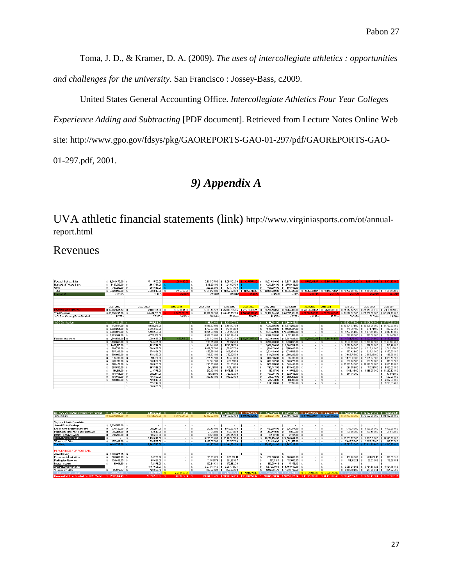Toma, J. D., & Kramer, D. A. (2009). *The uses of intercollegiate athletics : opportunities and challenges for the university*. San Francisco : Jossey-Bass, c2009.

United States General Accounting Office. *Intercollegiate Athletics Four Year Colleges Experience Adding and Subtracting* [PDF document]. Retrieved from Lecture Notes Online Web site: http://www.gpo.gov/fdsys/pkg/GAOREPORTS-GAO-01-297/pdf/GAOREPORTS-GAO-01-297.pdf, 2001.

# *9) Appendix A*

UVA athletic financial statements (link) http://www.virginiasports.com/ot/annualreport.html

## Revenues

| Football Tickets Sales          | $$6.046,675.00$ \$  |     | 5,318,555.00     | 4.590.435.00 \$  |     | 7.990.175.00    | \$ 9,066,132.00              | <b>* 9.215 554 BI</b> |                    |                   | 10,039,180.00 \$10,387,826.00     | $\pm$ 11525 184 87 $\pm$ 12 345 908 89 |                                | <b>全 9.245148.80</b>                                            |                                 | $x = 2.471850.65$                 |
|---------------------------------|---------------------|-----|------------------|------------------|-----|-----------------|------------------------------|-----------------------|--------------------|-------------------|-----------------------------------|----------------------------------------|--------------------------------|-----------------------------------------------------------------|---------------------------------|-----------------------------------|
| <b>Basketball Tickets Sales</b> | $$1487.715.00$$ \$  |     | 1463.744.00      |                  | 全   | 2,118,356.00 \$ | 1,549,175.00                 |                       | ÷.                 |                   | 4.013.896.00 \$ 2.541.482.00      |                                        |                                |                                                                 |                                 |                                   |
| Other                           | \$393.812.00\$      |     | 263,948.00       |                  |     | 225.592.00      | 436,719.00<br>李              |                       |                    | 830,206.00        | 498,405.00<br>-8                  |                                        |                                |                                                                 |                                 |                                   |
| Total                           | $$7.928.202.00$ \$  |     | 7,046,247.00     | 6,145,700.95     |     | 10,334,123.00   | \$1,052,026.00               | \$1,353,713.83        |                    | 14,883,282.00     | \$13,427,713.00                   |                                        |                                | \$ 15,159,858.81 \$ 16,260,708.21 \$ 12,192,687.00              | \$ 11,926,316.00 \$             | 11,300,321.00                     |
| Football %                      | 76.268%             |     | 75.481%          | 74.693           |     | 77.318%         | 82.031%                      | 91169                 |                    | 67.453%           | 77.361%                           | 76.024%                                | 75.925%                        | 75.825%                                                         | 75726%                          | 74.9705                           |
|                                 |                     |     |                  |                  |     |                 |                              |                       |                    |                   |                                   |                                        |                                |                                                                 |                                 |                                   |
|                                 |                     |     |                  |                  |     |                 |                              |                       |                    |                   |                                   |                                        |                                |                                                                 |                                 |                                   |
|                                 |                     |     |                  |                  |     |                 |                              |                       |                    |                   |                                   |                                        |                                |                                                                 |                                 |                                   |
|                                 | 2001-2002           |     | 2002-2003        | 2003-2004        |     | 2004-2005       | 2005-2006                    | 2006-2007             |                    | 2007-2008         | 2008-2009                         | 2009-2010                              | 2010-2011                      | 2011-2012                                                       | 2012-2013                       | 2013-2014                         |
| cothal Partial Revenue          | $$13.782.595.43$ \$ |     | 12.851.434.89 \$ | 12.028.044.29 \$ |     | 22.861.482.74   | \$25,889,265.86              | \$27,749,581,25       | $\hat{\mathbf{x}}$ | 26,416,483.59     |                                   |                                        |                                | \$29,162,106.98 \$33,432,314.65 \$36,118,912.48 \$24,042,437.20 | \$24,458,303.46                 | \$ 24,195,551,06                  |
| <b>Total Revenue</b>            | \$33,030,245.00 \$  |     | 34,454,318.00    | 35,878,391,00 \$ |     | 42.192.222.00   | \$48,459,702.00              |                       | $\bullet$          |                   | 62,192,244.00 \$63,705,491.00     |                                        |                                | \$79,177,920.00                                                 | \$75,502,070.00                 | \$82,987,760.00                   |
| % Of Rev. Coming From Football  | 41.727%             |     | 37.300%          | 33.524%          |     | 54.184%         | 53.424%                      | 55.078%               |                    | 42.476%           | 45.776%                           | 49.247%                                | 49.691%                        | 30.365%                                                         | 32.394%                         | 29.156%                           |
|                                 |                     |     |                  |                  |     |                 |                              |                       |                    |                   |                                   |                                        |                                |                                                                 |                                 |                                   |
| ACC Distribution                | 8.123.181.00 \$     |     | 8.548.218.00     |                  |     |                 | 8.899.739.00 \$ 9.456.137.00 |                       |                    | 9.396.393.00      | \$10,840,662.00                   |                                        |                                |                                                                 | \$13,204,774.00 \$16,406,066.00 | \$17,700,302.00                   |
|                                 | $$3,123,181.00$ \$  |     | 8,548,218.00     |                  | ¢   |                 | 8,899,739.00 \$ 9,456,137.00 |                       |                    |                   | 4.013.896.00 \$ 11.874.202.00 \$  | $\cdot$ $\cdot$                        |                                | \$13,204,774.00 \$16,406,066.00                                 |                                 | \$17,700,302.00                   |
|                                 | $$6.332.254.00$ \$  |     | 6.945.390.00     |                  |     |                 | 1,750.635.00 \$ 9.128.661.00 |                       |                    |                   | 11.119.358.00 \$ 11.584.061.00 \$ | $\sim$ $\sim$                          | -3                             | 415 707 00 3:                                                   | 374,741,00                      | 392,775.00<br>$\ddot{\mathbf{x}}$ |
|                                 | \$6.046.675.00\$    |     | 5,318,555.00     |                  |     |                 | 8.294.352.00 \$ 8.043.164.00 |                       |                    |                   | 9.841778.00 \$10.840.662.00 \$    | $\sim$                                 |                                | 3,187,654.00                                                    | 4.672.214.00                    | \$4,640,499.00                    |
|                                 | $$3.829.994.00$ \$  |     | 4,729,712.00     |                  |     | 6,902,500.00    | \$ 2,145,664.00              |                       |                    | 9,396,393.00      | \$4,021,157.00                    |                                        |                                | 180.850.00                                                      | 120,500.00                      | 385,401.00                        |
| Football guaranties             | $$1540.539.00$ \$   |     | 1080.627.00      | 620.715.0        | ∎ s |                 | 7.990.175.00 \$ 9.066.132.00 | \$10.647.             |                    |                   | 10.039.180.00 \$10.387.826.00     |                                        |                                | 4 784 72100                                                     | 3 003 344 00                    | 2,453,784.0                       |
|                                 | \$1530.663.00\$     |     | 1744.435.00      |                  |     | 2.118.356.00    | 1,549,175.00                 |                       |                    | 3,208,283.00      | 3,008,171,00 \$                   |                                        | $\rightarrow$                  | \$13,131,890.00                                                 | \$13,120,702.00                 | \$13,235,814.00                   |
|                                 | $$1487.715.00$ \$   |     | 1463,744.00      |                  |     | 1468.418.00     | \$1,736,377.00               |                       |                    | 2,000,000.00      | \$2,808,764.00 \$                 | $\mathbf{r}$                           |                                | \$2870.740.00                                                   | 527,666.00                      | 718,428.00                        |
|                                 | 884,796.00 \$<br>*. |     | 966.697.00       |                  |     | 1482.027.00     | 1,670,137.00<br>李.           |                       |                    |                   | 1,706.719.00 \$ 2.541.482.00 \$   | $\sim$                                 | $\mathbf{\hat{z}}$             | \$12,192,687.00 \$11,926,316.00                                 |                                 | 11.300.321.00<br>-\$              |
|                                 | 597.339.00 \$       |     | 674.924.00       |                  |     | 657,566.00      | 966,499.00                   |                       |                    | $2.924.189.00$ \$ | 1,719,586.00 \$                   | . .                                    |                                | 987.424.00                                                      | 928,190.00                      | 3,273,306.00<br>$\bullet$         |
|                                 | 500,000.00 \$       |     | 518,333.00       |                  |     | 745,624.00      | 757,675.00<br>$\pm$          |                       |                    |                   | 1,101,203.00 \$ 1,200,232.00 \$   |                                        |                                |                                                                 | 7.669.712.00 \$ 3.956.291.00    | 499,298.00                        |
|                                 | 443,018.00 \$       |     | 514.127.00       |                  |     | 225.592.00      | 436,719.00                   |                       |                    | 830.206.00        | 812.810.00 \$                     |                                        |                                |                                                                 | 4,570,193.00 \$ 2,395,072.00    | 1.020.567.00                      |
|                                 | 393.812.00 \$       |     | 330,587.00       |                  |     | 332,012.00      | 382,711.00                   |                       |                    | 804.672.00        | 626.277.00 \$                     |                                        |                                | 860.037.00                                                      | 882,578.00                      | 1,148,237.00                      |
|                                 | 365,478.00 \$<br>全  |     | 300,000.00       |                  |     | 290.850.00      | 301,058.00                   |                       |                    | 523,985.00        | 548,497.00 \$<br>-33              | $\sim$                                 |                                | \$12,963,540.00 \$14,579,508.00                                 |                                 | \$ 3,655,426.00                   |
|                                 | 286.645.00 \$       |     | 263,948.00       |                  |     | 241,181,00      | 509,131.00                   |                       |                    | 393.448.00 \$     | 498,405.00 \$                     |                                        |                                | 564.053.00 \$                                                   | 710.831.00                      | \$1,030,003.00                    |
|                                 | 194.614.00 \$       |     | 219,778.00       |                  |     | 213,408.00      | \$1,076,883.00               |                       |                    | 385,117.00 \$     | 419,562.00 \$                     | $\mathbf{r}$                           |                                |                                                                 | 1,349,198.00 \$ 1,898,050.00    | \$14,263,834.00                   |
|                                 | 188.856.00 \$       |     | 200.481.00       |                  |     | 191,291.00      | 323,752.00<br>ж.             |                       |                    | 353,364.00 \$     | 322,649.00 \$                     |                                        | $\ddot{\phantom{0}}$<br>$\sim$ | 244,740.00<br>$\hat{\mathbf{x}}$                                |                                 | 429.991.00                        |
|                                 | 184,666.00 \$       |     | 195.380.00       |                  |     | 388,496.00      | 909,828.00<br>\$             |                       |                    | 315.773.00        | 284,165.00 \$                     |                                        |                                |                                                                 |                                 | 507,209.00                        |
|                                 | 100,000.00<br>*     | - 1 | 183,640.00       |                  |     |                 |                              |                       |                    | 285,561.00        | 194, 195, 00 \$                   |                                        |                                |                                                                 |                                 | \$4.062,869.00                    |
|                                 |                     |     | 155.742.00       |                  |     |                 |                              |                       |                    | 2.949.119.00      | 12,787.00 \$                      | $\sim$                                 |                                |                                                                 |                                 | \$2,269,694.00                    |
|                                 |                     |     | 100.000.00       |                  |     |                 |                              |                       |                    |                   |                                   |                                        |                                |                                                                 |                                 |                                   |

| Xof ACC Distribution cominng from footbal | 6,195,381.43        | 6,452,252.89           | 6,816,894.29            | 6.881.132.74                      | 7.757.001.86       | 7,886,168.85                    | 6.338.123.59                     | 8,386,454.98                    | 8,099,027.82                                    | 8,323,439.26 | 10.012.567.41                                               | \$12,423,645.88                 |      | 13,269,916.41   |
|-------------------------------------------|---------------------|------------------------|-------------------------|-----------------------------------|--------------------|---------------------------------|----------------------------------|---------------------------------|-------------------------------------------------|--------------|-------------------------------------------------------------|---------------------------------|------|-----------------|
| Check mark                                | $$33.030.245.00$ \$ | 34.454.318.00 \$       | 35,878,391,00 \$        | 42.192.222.00                     |                    | \$48,459,703.00 \$50,382,021.80 | 62.192.244.00                    |                                 | \$63,705,490.00 \$67,886,546.41 \$72,686,483.53 |              |                                                             | \$75,502,069.00 \$82,987,758.00 |      |                 |
|                                           |                     |                        |                         |                                   |                    |                                 |                                  |                                 |                                                 |              |                                                             |                                 |      |                 |
| Virgina s Athletic Foundation             |                     |                        |                         |                                   |                    |                                 |                                  |                                 |                                                 |              |                                                             |                                 |      |                 |
| Annual Giving/fundings                    | \$8.690.557.00\$    |                        |                         |                                   |                    |                                 |                                  |                                 |                                                 |              |                                                             |                                 |      |                 |
| Endowment distribution/Income             | 630,422.00 \$       | 200,481.00 \$          |                         | 213,408.00                        | 1,076,883.00 \$    |                                 | 523,985.00                       | 626,277.00 \$                   |                                                 |              | 349.198.00                                                  | 1,898,050.00                    | -3   | 4,062,869.00    |
| Parking fee Revenuel Facility Rentals     | 322,184.00 \$       | 183,640.00 \$          |                         | 241,181.00                        | 509,131,00 \$      |                                 | 393,448.00                       | 419.562.00 \$                   |                                                 |              | 180.850.00                                                  | 120,500.00                      |      | 385,401.00      |
| interest Income/Earned                    | 218.238.00 \$       | 195,380.00 \$          |                         | 191,291.00                        | 323,752.00 \$      |                                 | 385,117.00 \$                    | 12,787.00 \$                    |                                                 |              |                                                             |                                 |      |                 |
| Sum Of Foundation aids                    |                     | 8,438,647.00 \$        |                         | 9,283,930.00                      | \$10,477,871.00 \$ |                                 | 13,258,754.00 \$14,788,044.00 \$ |                                 |                                                 |              | \$18,393,770.00                                             | \$17,857,158.00                 |      | \$18,949,263.00 |
| "Friends of" Gifts                        | 157,386.00 \$       | 330,587.00 \$          | $\cdot$ 3               | 1,482,027.00 \$ 1,607,137.00 \$   |                    | $\sim$                          |                                  | 2,924,189.00 \$ 4,021,157.00 \$ |                                                 |              | 7,669,712.00                                                | \$ 3,956,291,00 \$ 1,148,237,00 |      |                 |
| <b>Total Help</b>                         | 10,018,787.00 \$    | 9,348,735.00 \$        |                         | 11,411,837.00                     | \$13,994,774.00 \$ |                                 | 17,485,493.00 \$19,867,827.00    |                                 |                                                 |              | 27,593,530.00                                               | \$23,831,999.00 \$24,545,770.00 |      |                 |
|                                           |                     |                        |                         |                                   |                    |                                 |                                  |                                 |                                                 |              |                                                             |                                 |      |                 |
| PERCENTAGE FOR FOOTBALL                   |                     |                        |                         |                                   |                    |                                 |                                  |                                 |                                                 |              |                                                             |                                 |      |                 |
| Annual Giving                             | $$3,626,325.85$ \\$ |                        |                         |                                   |                    |                                 |                                  |                                 |                                                 |              |                                                             |                                 |      |                 |
| Endowment distribution                    | 263.057.43 \$       | 74.779.26 \$           |                         | 115.633.24                        | 575.317.41         |                                 | 222.565.39                       | 286.687.33 \$                   |                                                 |              | 09.685.03                                                   | 614.858.41                      | - \$ | 1,184,552,45    |
| Parking fee Revenue                       | 134,438.35 \$       | 68,497.58 \$           |                         | 130,681.79                        | 271,999.77         |                                 | 167.119.11                       | 192.060.55 \$                   |                                                 |              | 54,915.24                                                   | 39,035.03                       |      | 112,365.84      |
| interest Income                           | 91,064.60 \$        | 72.876.59 \$           |                         | 103 649 34                        | 172,962.30         |                                 | 163,580.48 \$                    | 5.853.43 \$                     |                                                 |              |                                                             |                                 |      |                 |
| Sum Of Foundation aids                    |                     | 3.147.609.03 \$        |                         | 5,030,415,45                      | 5,597,731,24       |                                 |                                  | 5,631,725,68 \$ 6,769,440.35 \$ |                                                 |              | 5,585,282.62                                                | \$5,784,686.29                  | -8   | 5,524,764.86    |
| "Friends of" Gifts                        | 65,672.77 \$        | 123,308.70             |                         | 803,023.24                        | 858,602.00         |                                 |                                  | 1242.064.70 \$ 1.840.742.59     |                                                 |              | 2,328,914.03                                                | 1,281,609.44                    |      | 334,775.00      |
| ntal Help For Football                    |                     | 3,487,071.18           | 2,793,583,35            |                                   |                    |                                 |                                  |                                 |                                                 |              |                                                             |                                 |      |                 |
| 「かんしんなん」 アート・ショー・アート あいま アート・ハイドア とうしょくしょ | <b>A PROGRESS A</b> | <b>10.000 BOD OF A</b> | <b>18 001000001 - A</b> | 55 544 556 75 - 35 55 556 656 657 |                    |                                 |                                  |                                 |                                                 |              | A 11 107 700 10 A 20 10100110 A 20 170 100 01 A 01080 000 0 |                                 |      |                 |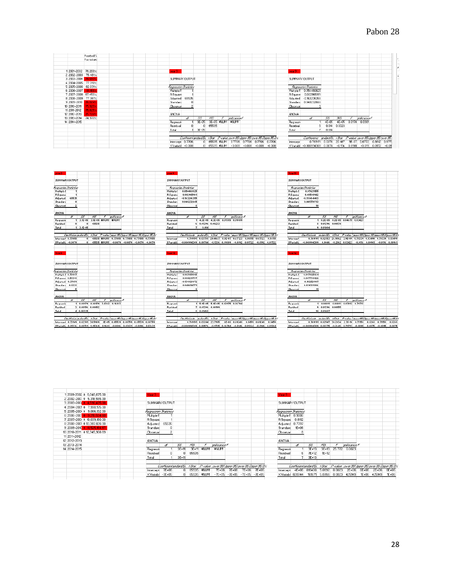|              | Football%           |  |                 |                               |           |                 |   |                   |                                               |                                                                              |                |                                                                   |           |           |        |                            |                           |  |
|--------------|---------------------|--|-----------------|-------------------------------|-----------|-----------------|---|-------------------|-----------------------------------------------|------------------------------------------------------------------------------|----------------|-------------------------------------------------------------------|-----------|-----------|--------|----------------------------|---------------------------|--|
|              | For tickets         |  |                 |                               |           |                 |   |                   |                                               |                                                                              |                |                                                                   |           |           |        |                            |                           |  |
|              |                     |  |                 |                               |           |                 |   |                   |                                               |                                                                              |                |                                                                   |           |           |        |                            |                           |  |
|              |                     |  |                 |                               |           |                 |   |                   |                                               |                                                                              |                |                                                                   |           |           |        |                            |                           |  |
|              | 1 2001-2002 76.268% |  | vear 3          |                               |           |                 |   |                   |                                               |                                                                              | vear9          |                                                                   |           |           |        |                            |                           |  |
|              | 2 2002-2003 75.481% |  |                 |                               |           |                 |   |                   |                                               |                                                                              |                |                                                                   |           |           |        |                            |                           |  |
| 3 2003-2004  | 74.693%             |  |                 | SUMMARY OUTPUT                |           |                 |   |                   |                                               |                                                                              | SUMMARY OUTPUT |                                                                   |           |           |        |                            |                           |  |
|              | 4 2004-2005 77.318% |  |                 |                               |           |                 |   |                   |                                               |                                                                              |                |                                                                   |           |           |        |                            |                           |  |
|              | 5 2005-2006 82.031% |  |                 | <b>Fiegression Statistics</b> |           |                 |   |                   |                                               |                                                                              |                | Regression Statistics                                             |           |           |        |                            |                           |  |
| 6 2006-2007  | 81.168%             |  | Multiple F      |                               |           |                 |   |                   |                                               |                                                                              |                | Multple F 0.054460825                                             |           |           |        |                            |                           |  |
|              | 7 2007-2008 67.453% |  | <b>R</b> Square |                               |           |                 |   |                   |                                               |                                                                              |                | R Square 0.002965981                                              |           |           |        |                            |                           |  |
|              | 8 2008-2009 77.361% |  | Adjusted        | 65535                         |           |                 |   |                   |                                               |                                                                              |                | Adjusted -0.163206355                                             |           |           |        |                            |                           |  |
| 9 2009-2010  | 76.024%             |  | Standard        | $\overline{0}$                |           |                 |   |                   |                                               |                                                                              |                | Standard 0.048232665                                              |           |           |        |                            |                           |  |
| 10 2010-2011 | 75.925%             |  | Observat        | $\overline{2}$                |           |                 |   |                   |                                               |                                                                              | Observat       |                                                                   |           |           |        |                            |                           |  |
| 11 2011-2012 | 75.825%             |  |                 |                               |           |                 |   |                   |                                               |                                                                              |                |                                                                   |           |           |        |                            |                           |  |
| 12 2012-2013 | 75.726%             |  | <b>ANOVA</b>    |                               |           |                 |   |                   |                                               |                                                                              | <b>ANOVA</b>   |                                                                   |           |           |        |                            |                           |  |
| 13 2013-2014 | 74.970%             |  |                 | ₩                             | 55        | MS <sup>-</sup> | F | milicance F       |                                               |                                                                              |                | ď                                                                 | 55        | MS        | F      | milioance F                |                           |  |
| 14 2014-2015 |                     |  | Regressi        |                               | $3E - 05$ |                 |   | 3E-05 #NUM! #NUM! |                                               |                                                                              | Regressi       |                                                                   | $4E - 05$ | $4E - 05$ |        | 0.0178 0.8981              |                           |  |
|              |                     |  | Residual        | $\Omega$                      | 0         | 65535           |   |                   |                                               |                                                                              | Residual       |                                                                   | 0.014     | 0.0023    |        |                            |                           |  |
|              |                     |  | Total           |                               | $3E-05$   |                 |   |                   |                                               |                                                                              | Total          |                                                                   | 0.014     |           |        |                            |                           |  |
|              |                     |  |                 |                               |           |                 |   |                   |                                               |                                                                              |                |                                                                   |           |           |        |                            |                           |  |
|              |                     |  |                 |                               |           |                 |   |                   |                                               | Coefficient and and En 1 Stat P-value, ower 35% Ipper 35% over 35.0per 35.0% |                | Coallicients andard Er. 1 Stat P-wake Jower 95% loper 95% wer 95. |           |           |        |                            |                           |  |
|              |                     |  |                 | htercept 0.7706               |           | 0 65535 #NUM!   |   |                   | 07706 0.7706 0.7706 0.7706                    |                                                                              | Intercept      | 0.769151                                                          | 0.0376    | 20.467    |        | 9E-07 0.6772 0.8612 0.677. |                           |  |
|              |                     |  |                 | X Variabl -0.008              |           |                 |   |                   | 0 65535 #NUM! - 0.008 - 0.008 - 0.008 - 0.008 |                                                                              |                | X Variabl -0.000994303 0.0074                                     |           | $-0.134$  | 0.8981 |                            | $-0.019$ $0.0172$ $-0.01$ |  |



|                              |            |                           |           |           |             |             |       |                             |                                                  | Year 9                |           |           |               |        |               |       |              |                                                                             |
|------------------------------|------------|---------------------------|-----------|-----------|-------------|-------------|-------|-----------------------------|--------------------------------------------------|-----------------------|-----------|-----------|---------------|--------|---------------|-------|--------------|-----------------------------------------------------------------------------|
| 12001-2002 \$6,046,675.00    | Year 3     |                           |           |           |             |             |       |                             |                                                  |                       |           |           |               |        |               |       |              |                                                                             |
| 2 2002-200: \$ 5,318,555.00  |            |                           |           |           |             |             |       |                             |                                                  |                       |           |           |               |        |               |       |              |                                                                             |
| 3 2003-200 \$4.530.435.00    |            | SUMMARY OUTPUT            |           |           |             |             |       |                             |                                                  | SUMMARY OUTPUT        |           |           |               |        |               |       |              |                                                                             |
| 4 2004-200 \$7.990.175.00    |            |                           |           |           |             |             |       |                             |                                                  |                       |           |           |               |        |               |       |              |                                                                             |
| 5 2005-200 \$ 9,066,132.00   |            | Regression Statistics     |           |           |             |             |       |                             |                                                  | Regression Statistics |           |           |               |        |               |       |              |                                                                             |
| 6 2006-200 \$ 9,215,554.60   | Multiple F |                           |           |           |             |             |       |                             |                                                  | Multiple F 0.9006     |           |           |               |        |               |       |              |                                                                             |
| 7 2007-200 \$ 10.039.180.00  | R Square   |                           |           |           |             |             |       |                             |                                                  | R Square 0.8112       |           |           |               |        |               |       |              |                                                                             |
| 8 2008-200 \$10,387,826.00   |            | Adjusted 65535            |           |           |             |             |       |                             |                                                  | Adjusted 0.7797       |           |           |               |        |               |       |              |                                                                             |
| 9 2009-2010 \$ 11.525.164.67 | Standard   | ٥                         |           |           |             |             |       |                             |                                                  | Standard              | $1E + 06$ |           |               |        |               |       |              |                                                                             |
| 10 2010-2011 \$12,345,908.69 | Observat   |                           |           |           |             |             |       |                             |                                                  | Observat              |           |           |               |        |               |       |              |                                                                             |
| 11 2011-2012                 |            |                           |           |           |             |             |       |                             |                                                  |                       |           |           |               |        |               |       |              |                                                                             |
| 12 2012-2013                 | ANOVA      |                           |           |           |             |             |       |                             |                                                  | ANOVA                 |           |           |               |        |               |       |              |                                                                             |
| 13 2013-2014                 |            | A                         | 55        | NS.       |             | milioance F |       |                             |                                                  |                       | ₫¥        | 55        | MS.           |        | anificance F  |       |              |                                                                             |
| 14 2014-2015                 | Regressi   |                           | $3E + 11$ | $3E + 11$ | #NUM!       | #NUM!       |       |                             |                                                  | Regressi              |           | $3E + 13$ | $3E + 13$     |        | 25.772 0.0023 |       |              |                                                                             |
|                              | Residual   | 0                         |           | 65535     |             |             |       |                             |                                                  | Residual              | 6.        | 7E+12     | $TE+12$       |        |               |       |              |                                                                             |
|                              | Total      |                           | $3E + 11$ |           |             |             |       |                             |                                                  | Total                 |           | $3E+13$   |               |        |               |       |              |                                                                             |
|                              |            |                           |           |           |             |             |       |                             |                                                  |                       |           |           |               |        |               |       |              |                                                                             |
|                              |            | CoefficientandandEn tStat |           |           |             |             |       |                             | P-value Jover 95% loper 95% aver 95.0 pper 95.0% |                       |           |           |               |        |               |       |              | Coefficientandard Er. 1 Stat P-walue Jower 95% loper 95% wer 95 Opper 95.0% |
|                              |            | Intercept 7E+06           | 0.        | 65535     | #NUM!       | 7E+06       | 7E+06 | 7E+06                       | 7E+06                                            | Intercept             | 4E+06     | 816400    | 5.0692        | 0.0023 | $2E + 06$     | 6E+06 | 2E+06        | 6E+06                                                                       |
|                              |            | X Variabl -7E+05          | n.        |           | 65535 #NUM! |             |       | -7E+05 -7E+05 -7E+05 -7E+05 |                                                  | XVariabl 820744       |           |           | 161671 5.0766 | 0.0023 | 425149        |       | 1E+06 425149 | $1E+06$                                                                     |
|                              |            |                           |           |           |             |             |       |                             |                                                  |                       |           |           |               |        |               |       |              |                                                                             |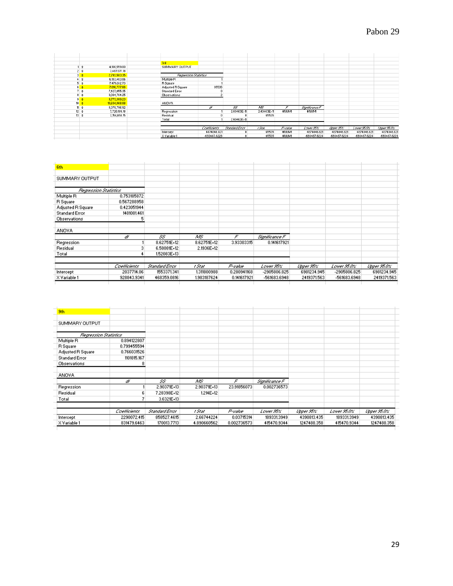|                    |                                | 3rd                   |                       |                |             |         |                |              |              |              |
|--------------------|--------------------------------|-----------------------|-----------------------|----------------|-------------|---------|----------------|--------------|--------------|--------------|
|                    | 4,180,559.00<br>∣\$            | SUMMARY OUTPUT        |                       |                |             |         |                |              |              |              |
| 2 <sub>5</sub>     | 3,487,071.18                   |                       |                       |                |             |         |                |              |              |              |
| 3 <sup>2</sup>     | 2,793,583.35                   |                       | Regression Statistics |                |             |         |                |              |              |              |
|                    | 6,183,403.06<br>4\$            | Multiple R            |                       |                |             |         |                |              |              |              |
|                    | 5 <sub>3</sub><br>7,476,612.73 | <b>R</b> Square       |                       |                |             |         |                |              |              |              |
|                    | $6 - 3$<br>7,610,777.66        | Adjusted R Square     | 65535                 |                |             |         |                |              |              |              |
|                    | $7$ \$<br>7,427,055.35         | <b>Standard Error</b> |                       |                |             |         |                |              |              |              |
|                    | 8 <sup>3</sup><br>9,094,784.25 | <b>Observations</b>   |                       |                |             |         |                |              |              |              |
| $9$ $$$            | 9,773,389.23                   |                       |                       |                |             |         |                |              |              |              |
| $10$ $\frac{1}{2}$ | 10,604,868.88                  | <b>ANOVA</b>          |                       |                |             |         |                |              |              |              |
| 11 <sup>3</sup>    | 8,378,796.92                   |                       | ď                     | $55^{\circ}$   | A/S         | F       | Significance F |              |              |              |
| $12*$              | 7,720,189.18                   | Regression            |                       | 2.40463E+11    | 2.40463E+11 | #NUM!   | #NUM!          |              |              |              |
| $13 - $$           | 7,156,458.15                   | Residual              |                       |                | 65535       |         |                |              |              |              |
|                    |                                | Total                 |                       | 2.40463E+11    |             |         |                |              |              |              |
|                    |                                |                       |                       |                |             |         |                |              |              |              |
|                    |                                |                       | Coefficients          | Standard Error | t Stat      | P-value | Lower SES      | Upper STS:   | Lower 95.05  | Upper SE OS  |
|                    |                                | Intercept             | 4874046.821           | $\theta$       | 65535       | #NUM!   | 4874046.821    | 4874046.821  | 4874046.821  | 4874046.821  |
|                    |                                | X Variable 1          | -693487.8228          | $\theta$       | 65535       | #NUM!   | -693487.8228   | -693487.8228 | -693487.8228 | -693487.8228 |
|                    |                                |                       |                       |                |             |         |                |              |              |              |

| 6th                   |              |                |             |             |                |             |              |             |
|-----------------------|--------------|----------------|-------------|-------------|----------------|-------------|--------------|-------------|
| SUMMARY OUTPUT        |              |                |             |             |                |             |              |             |
| Regression Statistics |              |                |             |             |                |             |              |             |
| Multiple R            | 0.753185872  |                |             |             |                |             |              |             |
| <b>R</b> Square       | 0.567288958  |                |             |             |                |             |              |             |
| Adjusted R Square     | 0.423051944  |                |             |             |                |             |              |             |
| <b>Standard Error</b> | 1481081.461  |                |             |             |                |             |              |             |
| <b>Observations</b>   |              |                |             |             |                |             |              |             |
| <b>ANOVA</b>          |              |                |             |             |                |             |              |             |
|                       | ď            | 55             | AIS.        | F.          | Significance F |             |              |             |
| Regression            |              | 8.62751E+12    | 8.62751E+12 | 3.93303315  | 0.141617921    |             |              |             |
| Residual              |              | 6,58081E+12    | 2.1936E+12  |             |                |             |              |             |
| Total                 |              | 1,52083E+13    |             |             |                |             |              |             |
|                       | Coefficients | Standard Error | t Stat      | P-value     | Lower 95%      | Upper 95%"  | Lower 95.0%  | Upper 95.0% |
| Intercept             | 2037714.06   | 1553371.341    | 1.311800988 | 0.280941168 | -2905806.825   | 6981234.945 | -2905806.825 | 6981234.945 |
| X Variable 1          | 928843.9341  | 468359.0816    | 1.983187624 | 0.141617921 | -561683.6948   | 2419371.563 | -561683.6948 | 2419371.563 |

| 9th                   |              |                |             |             |                |             |             |             |
|-----------------------|--------------|----------------|-------------|-------------|----------------|-------------|-------------|-------------|
|                       |              |                |             |             |                |             |             |             |
| SUMMARY OUTPUT        |              |                |             |             |                |             |             |             |
| Regression Statistics |              |                |             |             |                |             |             |             |
| Multiple R            | 0.894122807  |                |             |             |                |             |             |             |
| R Square              | 0.799455594  |                |             |             |                |             |             |             |
| Adjusted R Square     | 0.766031526  |                |             |             |                |             |             |             |
| <b>Standard Error</b> | 1101815.167  |                |             |             |                |             |             |             |
| Observations          |              |                |             |             |                |             |             |             |
| <b>ANOVA</b>          |              |                |             |             |                |             |             |             |
|                       | ď            | 55             | AIS.        | F           | Significance F |             |             |             |
| Regression            |              | 2.90371E+13    | 2.90371E+13 | 23.91856073 | 0.002736573    |             |             |             |
| Residual              |              | 7.28398E+12    | 1.214E+12   |             |                |             |             |             |
| Total                 |              | 3.6321E+13     |             |             |                |             |             |             |
|                       | Coefficients | Standard Error | t Stat      | P-value     | Lower 95%"     | Upper 95%"  | Lower 95.0% | Upper 95.0% |
| Intercept             | 2290072.415  | 858527.4615    | 2.66744224  | 0.03715314  | 189331.3949    | 4390813.435 | 189331.3949 | 4390813.435 |
| X Variable 1          | 831479.6463  | 170013.7713    | 4.890660562 | 0.002736573 | 415470.9344    | 1247488.358 | 415470.9344 | 1247488.358 |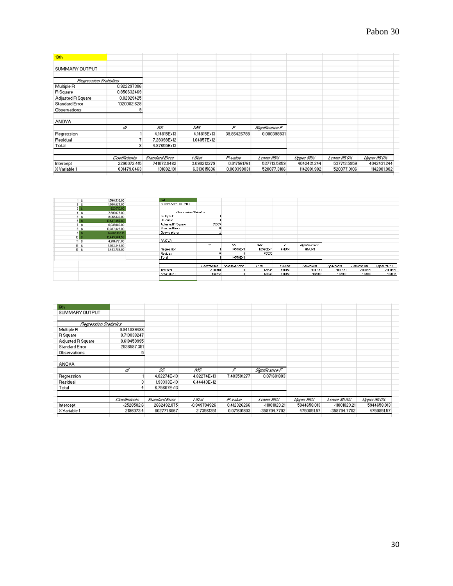| 10th                         |              |                |             |             |                |             |             |             |
|------------------------------|--------------|----------------|-------------|-------------|----------------|-------------|-------------|-------------|
|                              |              |                |             |             |                |             |             |             |
| SUMMARY OUTPUT               |              |                |             |             |                |             |             |             |
|                              |              |                |             |             |                |             |             |             |
| <b>Regression Statistics</b> |              |                |             |             |                |             |             |             |
| Multiple R                   | 0.922297386  |                |             |             |                |             |             |             |
| R Square                     | 0.850632469  |                |             |             |                |             |             |             |
| Adjusted R Square            | 0.82929425   |                |             |             |                |             |             |             |
| <b>Standard Error</b>        | 1020082.628  |                |             |             |                |             |             |             |
| Observations                 |              |                |             |             |                |             |             |             |
| <b>ANOVA</b>                 |              |                |             |             |                |             |             |             |
|                              | ď            | 55             | MS.         | F           | Significance F |             |             |             |
| Regression                   |              | 4.14815E+13    | 4.14815E+13 | 39.86426788 | 0.000398831    |             |             |             |
| Residual                     |              | 7.28398E+12    | 1.04057E+12 |             |                |             |             |             |
| Total                        | 8            | 4.87655E+13    |             |             |                |             |             |             |
|                              | Coefficients | Standard Error | t Stat      | P-value     | Lower 95%"     | Upper 95%"  | Lower 95.0% | Upper 95.0% |
| Intercept                    | 2290072.415  | 741072.8482    | 3.090212279 | 0.017561761 | 537713,5859    | 4042431.244 | 537713,5859 | 4042431.244 |
| X Variable 1                 | 831479.6463  | 131692.101     | 6.313815636 | 0.000398831 | 520077.3106    | 1142881.982 | 520077.3106 | 1142881.982 |

|                  | 1,540,539.00  | 3rd                   |              |                |                  |         |                |           |             |             |
|------------------|---------------|-----------------------|--------------|----------------|------------------|---------|----------------|-----------|-------------|-------------|
|                  | 1,080,627.00  | SUMMARY OUTPUT        |              |                |                  |         |                |           |             |             |
|                  | 620,715.00    |                       |              |                |                  |         |                |           |             |             |
| 45               | 7,990,175.00  | Regression Statistics |              |                |                  |         |                |           |             |             |
|                  | 9,066,132.00  | Multiple R            |              |                |                  |         |                |           |             |             |
| 6 <sub>5</sub>   | 10,647,857.80 | R Square              |              |                |                  |         |                |           |             |             |
|                  | 10,039,180.00 | Adjusted R Square     | 65535        |                |                  |         |                |           |             |             |
| 8 <sub>3</sub>   | 10,387,826.00 | Standard Error        |              |                |                  |         |                |           |             |             |
| 9 <sup>1</sup>   | 13,808,122.16 | Observations          |              |                |                  |         |                |           |             |             |
| 10               | 15,449,564.53 |                       |              |                |                  |         |                |           |             |             |
| 11 <sup>3</sup>  | 4,784,721.00  | <b>ANOVA</b>          |              |                |                  |         |                |           |             |             |
| $12 \pm 3$       | 3,003,344.00  |                       | ď            | 55             | AyS <sup>-</sup> | F       | Significance F |           |             |             |
| $13 \frac{1}{3}$ | 2,453,784.00  | Regression            |              | 1.0576E+11     | 1.0576E+11       | #NUM!   | #NUM!          |           |             |             |
|                  |               | Residual              |              |                | 65535            |         |                |           |             |             |
|                  |               | Total                 |              | 1.0576E+11     |                  |         |                |           |             |             |
|                  |               |                       |              |                |                  |         |                |           |             |             |
|                  |               |                       | Coefficients | Standard Error | t Stat           | P-value | Lower Stor     | Upper SES | Lower 95.0% | Upper 95.0% |
|                  |               | Intercept             | 2000451      |                | 65535            | #NUM!   | 2000451        | 2000451   | 2000451     | 2000451     |
|                  |               | X Variable 1          | -459912      |                | 65535            | #NUM!   | -459912        | -459912   | -459912     | -459912     |
|                  |               |                       |              |                |                  |         |                |           |             |             |
|                  |               |                       |              |                |                  |         |                |           |             |             |

| 6th                          |              |                |                |             |                |             |              |             |
|------------------------------|--------------|----------------|----------------|-------------|----------------|-------------|--------------|-------------|
| SUMMARY OUTPUT               |              |                |                |             |                |             |              |             |
|                              |              |                |                |             |                |             |              |             |
| <b>Regression Statistics</b> |              |                |                |             |                |             |              |             |
| Multiple R                   | 0.844889488  |                |                |             |                |             |              |             |
| <b>R</b> Square              | 0.713838247  |                |                |             |                |             |              |             |
| Adjusted R Square            | 0.618450995  |                |                |             |                |             |              |             |
| <b>Standard Error</b>        | 2538587.351  |                |                |             |                |             |              |             |
| Observations                 |              |                |                |             |                |             |              |             |
| <b>ANOVA</b>                 |              |                |                |             |                |             |              |             |
|                              | ď            | SS             | ΛÆ             | F           | Significance F |             |              |             |
| Regression                   |              | 4.82274E+13    | 4.82274E+13    | 7.483581277 | 0.071601803    |             |              |             |
| Residual                     |              | 1,93333E+13    | 6.44443E+12    |             |                |             |              |             |
| Total                        |              | 6.75607E+13    |                |             |                |             |              |             |
|                              | Coefficients | Standard Error | t Stat         | P-value     | Lower 95%      | Upper 95%   | Lower 95.0%  | Upper 95.0% |
| Intercept                    | $-2528582.6$ | 2662492.875    | $-0.949704926$ | 0.412326266 | -11001823.21   | 5944658.013 | -11001823.21 | 5944658.013 |
| X Variable 1                 | 2196073.4    | 802771.8067    | 2.73561351     | 0.071601803 | -358704.7702   | 4750851.57  | -358704.7702 | 4750851.57  |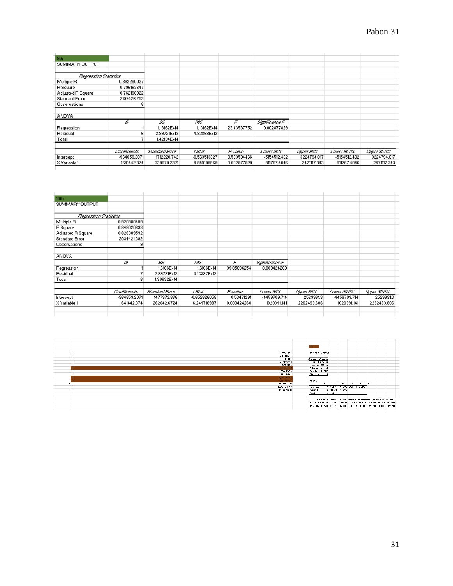| 9th                   |                     |                |              |                |                |             |                   |             |
|-----------------------|---------------------|----------------|--------------|----------------|----------------|-------------|-------------------|-------------|
| SUMMARY OUTPUT        |                     |                |              |                |                |             |                   |             |
| Regression Statistics |                     |                |              |                |                |             |                   |             |
| Multiple R            | 0.892280027         |                |              |                |                |             |                   |             |
| R Square              | 0.796163647         |                |              |                |                |             |                   |             |
| Adjusted R Square     | 0.762190922         |                |              |                |                |             |                   |             |
| <b>Standard Error</b> | 2197426.253         |                |              |                |                |             |                   |             |
| Observations          |                     |                |              |                |                |             |                   |             |
| <b>ANOVA</b>          |                     |                |              |                |                |             |                   |             |
|                       | ď                   | 55             | AVS.         | F              | Significance F |             |                   |             |
| Regression            |                     | 1.13162E+14    | 1.13162E+14  | 23.43537752    | 0.002877829    |             |                   |             |
| Residual              |                     | 2.89721E+13    | 4.82868E+12  |                |                |             |                   |             |
| Total                 |                     | 1.42134E+14    |              |                |                |             |                   |             |
|                       | <b>Coefficients</b> | Standard Error | t Stat       | <b>P-value</b> | Lower 95%"     | Upper SECC  | Lower <b>SECC</b> | Upper 95.0% |
| Intercept             | -964859.2071        | 1712220.742    | -0.563513327 | 0.593504466    | -5154512.432   | 3224794.017 | -5154512.432      | 3224794.017 |
| X Variable 1          | 1641442.374         | 339070.2321    | 4.841009969  | 0.002877829    | 811767.4046    | 2471117.343 | 811767.4046       | 2471117.343 |

| 10 <sub>th</sub>      |              |                |                |             |                |             |              |             |
|-----------------------|--------------|----------------|----------------|-------------|----------------|-------------|--------------|-------------|
| SUMMARY OUTPUT        |              |                |                |             |                |             |              |             |
|                       |              |                |                |             |                |             |              |             |
| Regression Statistics |              |                |                |             |                |             |              |             |
| Multiple R            | 0.920880499  |                |                |             |                |             |              |             |
| R Square              | 0.848020893  |                |                |             |                |             |              |             |
| Adjusted R Square     | 0.826309592  |                |                |             |                |             |              |             |
| <b>Standard Error</b> | 2034421.392  |                |                |             |                |             |              |             |
| Observations          | 9            |                |                |             |                |             |              |             |
| <b>ANOVA</b>          |              |                |                |             |                |             |              |             |
|                       | ď            | 55             | AVS.           | F           | Significance F |             |              |             |
| Regression            |              | 1.6166E+14     | 1.6166E+14     | 39.05896254 | 0.000424268    |             |              |             |
| Residual              |              | 2.89721E+13    | 4.13887E+12    |             |                |             |              |             |
| Total                 | 8            | 1.90632E+14    |                |             |                |             |              |             |
|                       | Coefficients | Standard Error | t Stat         | P-value     | Lower 95%      | Upper 95%"  | Lower 95.0%  | Upper 95.0% |
| Intercept             | -964859.2071 | 1477972.876    | $-0.652826058$ | 0.53471291  | -4459709.714   | 2529991.3   | -4459709.714 | 2529991.3   |
| X Variable 1          | 1641442.374  | 262642.6724    | 6.249716997    | 0.000424268 | 1020391.141    | 2262493.606 | 1020391.141  | 2262493.606 |
|                       |              |                |                |             |                |             |              |             |

|                 | 6,195,381.43<br>- 1 |           | <b>SUMMARY OUTPUT</b>        |                 |                   |                                                                          |  |                                                                          |
|-----------------|---------------------|-----------|------------------------------|-----------------|-------------------|--------------------------------------------------------------------------|--|--------------------------------------------------------------------------|
| 2.5             | 4,452,252.89        |           |                              |                 |                   |                                                                          |  |                                                                          |
| 3 <sub>5</sub>  | 6.816.894.29        |           | <b>Expression Statistics</b> |                 |                   |                                                                          |  |                                                                          |
| 4 <sub>5</sub>  | 6,881,132.74        |           | Multiple   0.94694           |                 |                   |                                                                          |  |                                                                          |
| 5 <sub>5</sub>  | 7,757,001.86        |           | RSquare 0.8967               |                 |                   |                                                                          |  |                                                                          |
|                 | 7,886,168.85        |           | Adjusted 0.86227             |                 |                   |                                                                          |  |                                                                          |
| 7.5             | 6,338,123.59        |           | Standard 220112              |                 |                   |                                                                          |  |                                                                          |
| 8 S             | 8,386,454.98        | Obzervat  |                              |                 |                   |                                                                          |  |                                                                          |
|                 | 8,099,027.82        |           |                              |                 |                   |                                                                          |  |                                                                          |
|                 | 8,323,439.26        | ANOVA     |                              |                 |                   |                                                                          |  |                                                                          |
| 11 <sup>2</sup> | 10,012,567.41       |           |                              |                 |                   | at 55 MS I quilicanced                                                   |  |                                                                          |
| 12 <sub>5</sub> | 12,423,645.88       | Regrezzio |                              |                 |                   | 1.3E+12 1.3E+12 26.0428 0.01455                                          |  |                                                                          |
| 13 <sub>5</sub> | 13,269,916.41       | Rezidual  |                              |                 | 3 1.5E+11 4.8E+10 |                                                                          |  |                                                                          |
|                 |                     | Tatal     |                              | $4 - 1.4E + 12$ |                   |                                                                          |  |                                                                          |
|                 |                     |           |                              |                 |                   |                                                                          |  |                                                                          |
|                 |                     |           |                              |                 |                   |                                                                          |  | Confliction and ard Er. 1 Stat Frederic Louise AS Clopes AS Clopes AS RY |
|                 |                     |           |                              |                 |                   | Intercept 5754896 230856 24.9286 0.00014 5020211 6489582 5020211 6489582 |  |                                                                          |
|                 |                     |           |                              |                 |                   | 2Variabl, 355212 69605.6 5.10321 0.01455 133696 576728 133696 576728     |  |                                                                          |
|                 |                     |           |                              |                 |                   |                                                                          |  |                                                                          |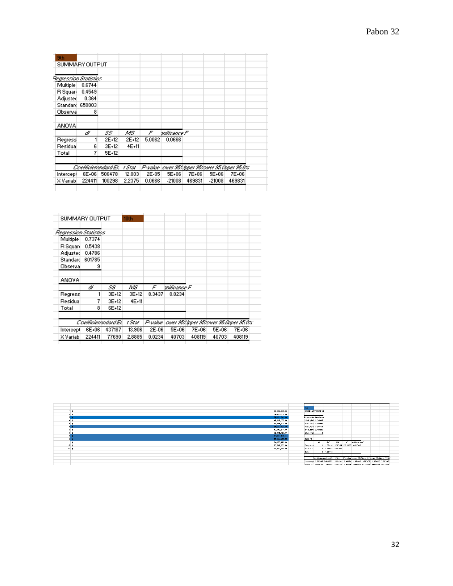| 9th                   |        |                      |        |        |                                                   |        |          |        |
|-----------------------|--------|----------------------|--------|--------|---------------------------------------------------|--------|----------|--------|
| SUMMARY OUTPUT        |        |                      |        |        |                                                   |        |          |        |
|                       |        |                      |        |        |                                                   |        |          |        |
| Regression Statistics |        |                      |        |        |                                                   |        |          |        |
| Multiple              | 0.6744 |                      |        |        |                                                   |        |          |        |
| <b>R</b> Squard       | 0.4549 |                      |        |        |                                                   |        |          |        |
| Adjusted              | 0.364  |                      |        |        |                                                   |        |          |        |
| Standard              | 650003 |                      |        |        |                                                   |        |          |        |
| Observal              | 8      |                      |        |        |                                                   |        |          |        |
| <b>ANOVA</b>          |        |                      |        |        |                                                   |        |          |        |
|                       | ď      | 55.                  | ΛÆ     | F      | mificance F                                       |        |          |        |
| Regress               |        | 2E+12                | 2E+12  | 5.0062 | 3330.0                                            |        |          |        |
| Residual              | 6      | 3E+12                | 4E+11  |        |                                                   |        |          |        |
| Total                 | 7      | 5E+12                |        |        |                                                   |        |          |        |
|                       |        | Coefficienandard Erl | t Stat |        | P-value   ower 953 lpper 953 over 95 Öpper 95.0%. |        |          |        |
| Intercept             | 6E+06  | 506478               | 12.003 | 2E-05  | 5E+06                                             | 7E+06  | 5E+06    | 7E+06  |
| X Variabi             | 224411 | 100298               | 2.2375 | 3330.0 | $-21008$                                          | 469831 | $-21008$ | 469831 |

| SUMMARY OUTPUT        |        |                      | 10th    |           |             |        |       |                                       |
|-----------------------|--------|----------------------|---------|-----------|-------------|--------|-------|---------------------------------------|
| Regression Statistics |        |                      |         |           |             |        |       |                                       |
| Multiple              | 0.7374 |                      |         |           |             |        |       |                                       |
| R Squari              | 0.5438 |                      |         |           |             |        |       |                                       |
| Adjusted              | 0.4786 |                      |         |           |             |        |       |                                       |
| Standard              | 601785 |                      |         |           |             |        |       |                                       |
| Observal              | 9      |                      |         |           |             |        |       |                                       |
| ANOVA.                |        |                      |         |           |             |        |       |                                       |
|                       | ď      | 55                   | ΜS      | F.        | milicance F |        |       |                                       |
| Regress               |        | 3E+12                | $3E+12$ | 8.3437    | 0.0234      |        |       |                                       |
| Residual              | 7      | 3E+12                | 4E+11   |           |             |        |       |                                       |
| Total                 | 8      | 6E+12                |         |           |             |        |       |                                       |
|                       |        | Coefficienandard Erl | t Stat  | P-value l |             |        |       | ower 95% ipper 95% wer 95.0pper 95.0% |
| Intercept             | 6E+06  | 437187               | 13.906  | 2E-06     | 5E+06       | 7E+06  | 5E+06 | 7E+06                                 |
| X Variabl             | 224411 | 77690                | 2.8885  | 0.0234    | 40703       | 408119 | 40703 | 408119                                |

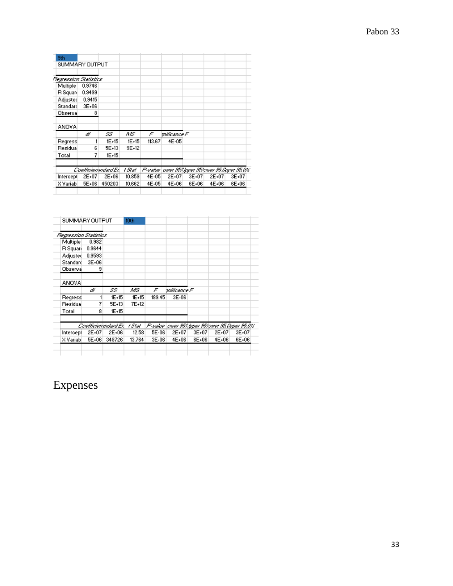| SUMMARY OUTPUT<br>Regression Statistics<br>0.9746<br>0.9499<br>0.9415<br>3E+06<br>8 |         |                      |        |       |           |             |                                                   |
|-------------------------------------------------------------------------------------|---------|----------------------|--------|-------|-----------|-------------|---------------------------------------------------|
|                                                                                     |         |                      |        |       |           |             |                                                   |
|                                                                                     |         |                      |        |       |           |             |                                                   |
|                                                                                     |         |                      |        |       |           |             |                                                   |
|                                                                                     |         |                      |        |       |           |             |                                                   |
|                                                                                     |         |                      |        |       |           |             |                                                   |
|                                                                                     |         |                      |        |       |           |             |                                                   |
|                                                                                     |         |                      |        |       |           |             |                                                   |
|                                                                                     |         |                      |        |       |           |             |                                                   |
|                                                                                     |         |                      |        |       |           |             |                                                   |
| ď                                                                                   | 55.     | ΛÆ                   | F      |       |           |             |                                                   |
| 1                                                                                   | 1E+15   | 1E+15                | 113.67 | 4E-05 |           |             |                                                   |
| 6                                                                                   | 5E+13   | 9E+12                |        |       |           |             |                                                   |
| 7                                                                                   | $1E+15$ |                      |        |       |           |             |                                                   |
|                                                                                     |         | t Stat.              |        |       |           |             |                                                   |
| 2E+07                                                                               | 2E+06   | 10.859               | 4E-05  | 2E+07 | $3E + 07$ | 2E+07       | 3E+07                                             |
| 5E+06                                                                               | 450203  | 10.662               |        | 4E+06 | 6E+06     | 4E+06       | 6E+06                                             |
|                                                                                     |         | Coefficienandard Erl |        |       | 4E-05     | milicance F | P-value   ower 95% (pper 95% ower 95.00per 95.0%) |

| Regression Statistics<br>0.982<br>0.9644<br>0.9593<br>3E+06<br>9<br>55<br>$1E+15$ | ΛÆ<br>$1E+15$  | F                                       | milicance F     |                |                |                                                  |
|-----------------------------------------------------------------------------------|----------------|-----------------------------------------|-----------------|----------------|----------------|--------------------------------------------------|
|                                                                                   |                |                                         |                 |                |                |                                                  |
|                                                                                   |                |                                         |                 |                |                |                                                  |
|                                                                                   |                |                                         |                 |                |                |                                                  |
|                                                                                   |                |                                         |                 |                |                |                                                  |
|                                                                                   |                |                                         |                 |                |                |                                                  |
|                                                                                   |                |                                         |                 |                |                |                                                  |
|                                                                                   |                |                                         |                 |                |                |                                                  |
|                                                                                   |                |                                         |                 |                |                |                                                  |
|                                                                                   |                | 189.45                                  | 3E-06           |                |                |                                                  |
| 7<br>5E+13                                                                        | 7E+12          |                                         |                 |                |                |                                                  |
| 8<br>1E+15                                                                        |                |                                         |                 |                |                |                                                  |
|                                                                                   | t Stat         |                                         |                 |                |                |                                                  |
|                                                                                   |                |                                         |                 | 3E+07          | 2E+07          | 3E+07                                            |
|                                                                                   |                |                                         |                 | 6E+06          | 4E+06          | 6E+06                                            |
|                                                                                   | 2E+07<br>5E+06 | Coefficienandard Erl<br>2E+06<br>348726 | 12.58<br>13.764 | 5E-06<br>3E-06 | 2E+07<br>4E+06 | P-value   ower 953 Ipper 953ower 95 Opper 95.0%" |

# Expenses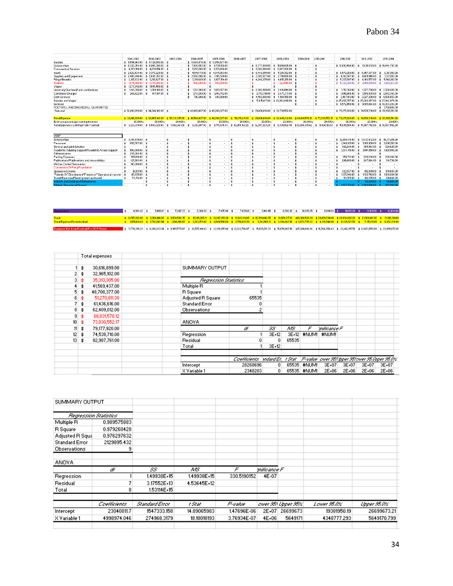|                                                                                |     | 2001-2002                             |                    | 2002-2003                |                            | 2003-2004                | 2004-2005                         | 2005-2006                                     |                            | 2006-2007                | 2007-2008                                      |                    | 2008-2009    | 2009-2010                                  | 2010-2011                              | 2011-2012                                       | 2012-2013                                             |                    | 2013-2014               |
|--------------------------------------------------------------------------------|-----|---------------------------------------|--------------------|--------------------------|----------------------------|--------------------------|-----------------------------------|-----------------------------------------------|----------------------------|--------------------------|------------------------------------------------|--------------------|--------------|--------------------------------------------|----------------------------------------|-------------------------------------------------|-------------------------------------------------------|--------------------|-------------------------|
| Salaries                                                                       |     | \$9.594,963.00                        |                    | $$3,729.593.00$ \$       |                            |                          | \$13,664,474.00                   | \$17,558,577.00                               |                            |                          |                                                |                    |              |                                            |                                        |                                                 |                                                       |                    |                         |
| Scholarships                                                                   |     | 6.332.254.00 \$ 6.945.390.00 \$       |                    |                          |                            | $\sim$                   | \$7.926,552.00                    | \$ 8,728,136.00                               |                            |                          | \$ 9,777,809.00 \$ 11,881,665.00 \$            |                    |              | $\overline{\phantom{a}}$                   | 朱                                      |                                                 | \$12,800,494.00 \$13,311,913.00 \$14,444,793.00       |                    |                         |
| Contraactual Services                                                          |     | 4,373,108.00 \$4,236,514.00 \$        |                    |                          |                            |                          | 5.291.066.00<br>\$                | \$ 6,331,688.00                               |                            |                          | $$3.362,086.00$$ $$3.007,330.00$$ $$$          |                    |              |                                            | $\ast$                                 |                                                 |                                                       |                    |                         |
| travel                                                                         |     | 2,820,434.00 \$ 3,379,220.00 \$       |                    |                          |                            |                          | 4,549,178.00<br>$\ast$            | 4,944,903.00<br>$\hat{\mathbf{x}}$            |                            |                          | $$6,448,655,00$ $$5,125,382,00$ $$$            |                    |              |                                            |                                        | \$ 6,579,260.00                                 | $$5.957.377.00$ \$                                    |                    | 6,361,193,00            |
| Supplies and Equipement                                                        |     | 2,485,648.00 \$ 2,636,352.00 \$       |                    |                          |                            | $\overline{\phantom{a}}$ | 2.587.606.00<br>\$                | 3.115.570.00<br>-\$                           |                            |                          | $$3.585.597.00 \t\t $2.741.656.00 \t\t $$      |                    |              | $\overline{\phantom{a}}$                   | 朱                                      | 4.102.867.00<br>素                               | \$4.001.945.00\$                                      |                    | 3.971,103.00            |
| <b>Fringe Benefits</b>                                                         |     | 2.317.832.00                          |                    | $$2,210,627.00$ \$       |                            |                          | 3,390,801.00<br>金                 | 3,807,154.00                                  |                            |                          | $$4,246,275.00$ $$4,650,170.00$ $$$            |                    |              | ٠                                          | $\ast$                                 | 5,327,887.00<br>\$                              | $\frac{1}{2}$ 6,103,557.00 $\frac{1}{2}$ 5,942,182.00 |                    |                         |
| <b>Tranfers</b>                                                                |     | 1874,000.00                           |                    | $\pm$ 1,379,000,00 $\pm$ |                            | $\sim$                   | 500,000.00<br>$\mathbf{\ast}$     | 500,000.00                                    |                            |                          | 素                                              | 类                  | 322,540.00   | $\hat{z}$                                  | -3.                                    | 5,332,380.00<br>金                               | \$2.969.981.00                                        |                    | \$3,653,931.00          |
| Wages                                                                          | 素   | 1277.642.00                           |                    | \$1545.489.00\$          |                            | $\sim$                   | -\$                               | 读<br>٠                                        |                            |                          | 査                                              | -\$                |              | \$<br>$\sim$                               | 素<br>$\overline{\phantom{a}}$          |                                                 |                                                       |                    |                         |
| University Overhead/ and contibutions                                          |     | 1,146,396.00                          | -\$                | 1.364.100.00 \$          |                            | $\overline{\phantom{a}}$ | 1,721,900.00<br>\$                | 1,881,567.00<br>$\ast$                        |                            |                          | \$2.968.980.00                                 | $\hat{z}$          | 2.416.644.00 | -\$<br>$\sim$                              | $\mathbf{\hat{z}}$                     | 1,712.300.00<br>\$                              | 1.927.780.00 \$ 2.520.380.00<br>$\hat{z}$             |                    |                         |
| Continuos Charges                                                              |     | 268,622.00                            |                    | 917,817,00               | $\mathbf{\hat{z}}$         | ۰.                       | 1731060.00<br>素                   | 1,650,782.00                                  |                            |                          | \$2,772,791,00                                 | $\hat{z}$          | 2,473,717.00 | ٠                                          |                                        | 1,995,904.00<br>\$                              | 1.584.408.00<br>t.                                    | 素                  | 2.542.340.00            |
| <b>Debt Services</b>                                                           |     |                                       |                    |                          |                            |                          | 706.800.00<br>\$                  | 690,000.00<br>素                               |                            |                          | $$4.459,006.00$$ $$4.108.350.00$$ $$$          |                    |              | $\overline{\phantom{a}}$                   | - 1                                    | 6,487,013,00<br>\$                              | \$ 3,627,298.00                                       |                    | \$4,505,657.00          |
| Salaries and Wages                                                             |     |                                       |                    |                          |                            |                          |                                   |                                               |                            |                          | \$17,815,417.00 \$20,003,498.00                |                    |              | - \$<br>٠                                  | 朱                                      | \$25,267,357.00                                 | \$25,083,367.00                                       |                    | \$27,042,979.00         |
| Services                                                                       |     |                                       |                    |                          |                            |                          |                                   |                                               |                            |                          |                                                |                    |              | *                                          |                                        | \$9,572,458.00                                  | 9,971,084.00 \$ 10,303,203.00<br>\$                   |                    |                         |
| FOOTBALL AND BASKEBALL GUARANTEE                                               |     |                                       |                    |                          |                            |                          |                                   |                                               |                            |                          |                                                |                    |              |                                            |                                        |                                                 |                                                       |                    | \$1700.000.00           |
| Subtotal                                                                       |     | $$32,490.899.00 \t$34.344.102.00 \t$$ |                    |                          |                            |                          |                                   | \$42,069,437.00 \$49,208,377.00               |                            |                          | \$ 61,436,616.00 \$ 62,731,552.00              |                    |              |                                            |                                        |                                                 | \$79.177.920.00 \$74.538.710.00 \$82.987.761.00       |                    |                         |
|                                                                                |     |                                       |                    |                          |                            |                          |                                   |                                               |                            |                          |                                                |                    |              |                                            |                                        |                                                 |                                                       |                    |                         |
| <b>Total Expense</b>                                                           |     | \$30,616,899.00                       |                    | \$32,965,102.00          |                            |                          | \$35,313,305,00 \$41,569,437,00   | \$48,708,377.00                               |                            | \$51,270.811.30          | $$61,436,616,00$ $$62,409,012,00$              |                    |              | \$68,031,578.12                            | \$73,030,552.17                        | \$79,177,920.00                                 | \$74,538,710.00 \$82,987,761.00                       |                    |                         |
| Estimate percentage coming from rev                                            |     | 20.000%                               |                    | 20.000%                  |                            | 20.000%                  | 20.000%                           | 20.000%                                       |                            | 20.000%                  | 20.000%                                        |                    | 20.000%      | 20.000%                                    | 20,000%                                | 20.000%                                         | 20.000%                                               |                    | 20.000%                 |
| <b>Total Expenses Coming From Football</b>                                     |     | \$ 6,123,379.80                       |                    | \$ 6,593,020.40          |                            | \$7,062,661.00           | \$ 8,313,887.40                   | \$9,741,675.40                                |                            | \$10,254,162.26          | \$12,287,323.20 \$12,481,802.40                |                    |              | \$13,606,315.62                            | \$14,606,110.43                        | \$15,835,584.00 \$14,907,742.00 \$16,597,552.20 |                                                       |                    |                         |
|                                                                                |     |                                       |                    |                          |                            |                          |                                   |                                               |                            |                          |                                                |                    |              |                                            |                                        |                                                 |                                                       |                    |                         |
| <b>VSAF</b>                                                                    |     |                                       |                    |                          |                            |                          |                                   |                                               |                            |                          |                                                |                    |              |                                            |                                        |                                                 |                                                       |                    |                         |
| Scholarships                                                                   | \$. | 6.197.570.00 \$                       |                    | $\blacksquare$           | \$                         | $\overline{\phantom{a}}$ | -\$<br>$\sim$                     | €<br>$\overline{\phantom{a}}$                 | \$                         | ٠                        | \$<br>$\ddot{\phantom{0}}$                     | -\$                |              | 全<br>$\overline{\phantom{a}}$              | -33                                    | \$12,688,414.00                                 | \$13,437,612.00 \$14,371,819.00                       |                    |                         |
| Personnel                                                                      | ۰   | 659,707.00                            | 素                  |                          | s.                         | $\overline{\phantom{a}}$ | $\mathbf{\hat{x}}$<br>$\sim$      | $\sim$                                        | 朱                          | ٠                        | $\mathbf{\hat{x}}$<br>×.                       | $\hat{\mathbf{s}}$ |              | $\mathbf{\hat{x}}$<br>$\sim$               | -33                                    | 1,949.921.00<br>金                               | 1,989,100.00<br>s.                                    | <b>s</b>           | 2.096.581.00            |
| General and administrative                                                     |     |                                       | $\mathbf{\ast}$    | ٠                        | $\mathbf{\hat{z}}$         | $\epsilon$               | $\mathbf{\hat{z}}$<br>$\sim$      | $\ast$<br>٠                                   | $\bullet$                  | ٠                        | \$<br>٠                                        | $\mathbf{\hat{z}}$ | $\sim$       | $\mathbf{\hat{z}}$<br>٠                    | -3                                     | 402.248.00<br>\$                                | 365,063.00<br>$\mathbf{\hat{z}}$                      | *                  | 329,625.00              |
| Academic Advising Support/Academic Affairs Support                             |     | 500,000.00                            |                    | $\sim$                   | \$                         | $\overline{\phantom{a}}$ | \$<br>$\sim$                      | $\sim$                                        | 金                          | ٠.                       | 杢<br>٠.                                        | -\$                | $\sim$       | 素                                          | 素                                      | 1,074,145.00<br>\$                              | 1,044,150.00<br>\$                                    | ∣ ≴                | 1,128,949.00            |
| Administrative                                                                 |     | 245.094.00                            | -33                | $\sim$                   | ÷.                         | $\sim$                   | 3<br>$\sim$                       | $\mathbf{r}$                                  | 素                          | $\sim$                   | 査<br>$\overline{\phantom{a}}$                  | <b>s</b>           |              | \$<br>$\sim$                               | 朱<br>$\overline{\phantom{a}}$          |                                                 | 3                                                     | $\hat{\mathbf{x}}$ | - 20                    |
| Parking Expenses                                                               |     | 195,816.00                            |                    |                          | <b>s</b>                   |                          | $\mathbf{\hat{z}}$                |                                               | $\boldsymbol{\mathcal{R}}$ | ٠                        | $\star$                                        |                    |              | $\ast$                                     |                                        | 250.712.00                                      | 228.238.00                                            | $\mathbf{A}$       | 236,260.00              |
| Publications/Publications and stewardships                                     |     | 127,983.00                            | \$                 |                          | \$                         |                          | $\mathbf{\hat{z}}$                |                                               | $\boldsymbol{3}$           | $\overline{\phantom{a}}$ | $\mathbf{\hat{x}}$                             | -3                 |              | $\star$                                    |                                        | 299,480.00                                      | 247.864.00                                            | - 1                | 310,708.00              |
| McCue Center Renovation                                                        |     |                                       |                    |                          | 3                          | $\overline{\phantom{a}}$ | $\mathbf{\hat{z}}$<br>$\sim$      | ÷                                             | 朱                          | $\bullet$                | 査<br>$\mathbf{r}$                              | <b>s</b>           |              | 全<br>$\mathbf{r}$                          | 读<br>٠                                 | \$                                              |                                                       | \$                 |                         |
|                                                                                |     | 100,000.00                            | 素                  |                          |                            |                          |                                   |                                               |                            |                          |                                                |                    |              |                                            |                                        |                                                 |                                                       | $\star$            |                         |
| <b>Conversion Of Perry Foundation</b>                                          |     |                                       | $\mathbf{\hat{x}}$ |                          | $\mathbf{s}$               | $\cdot$                  | $\mathbf{\hat{z}}$<br>$\cdot$     | ٠                                             | $\boldsymbol{\mathcal{R}}$ | ٠                        | <b>A</b><br>×.                                 | $\mathbf{A}$       | $\cdot$      | $\mathbf{\hat{z}}$                         | 朱                                      | $\boldsymbol{\hat{x}}$                          | $\cdot$                                               |                    |                         |
| Sponsored Events                                                               |     | 90.113.00                             |                    |                          |                            | $\overline{\phantom{a}}$ | $\mathbf{\hat{z}}$<br>$\sim$      | ٠                                             | $\boldsymbol{3}$           |                          | $\mathbf{\hat{z}}$<br>٠                        | \$                 |              | $\mathbf{\hat{x}}$                         |                                        | 322 537.00                                      | 352 681.00                                            | $\hat{z}$          | 819,683.00              |
| "Friends Of" Distribution/"Friends of" Operational transfer                    |     | 85,635.00                             | -\$                | $\sim$                   | \$                         | $\sim$                   | $\ddot{\bm{x}}$<br>$\overline{a}$ | 素<br>÷.                                       | 柰                          | $\overline{a}$           | \$<br>$\sim$                                   | -\$                | $\sim$       | $\hat{\mathbf{z}}$<br>$\sim$               | 素                                      | 1,125,846.00 \$<br>金                            | 1,133,743.00 \$                                       |                    | 1139.934.00             |
| Travel Expenses/Development and travel                                         | 朱   | 53.174.00                             | $\mathbf{\hat{z}}$ | $\sim$                   | $\ddot{\bm{x}}$            | ٠                        | $\ddot{\bm{x}}$<br>$\sim$         | $\ast$<br>٠                                   | 金                          | $\sim$                   | $\ddot{\bm{x}}$<br>$\sim$                      | s.                 | $\sim$       | $\hat{\mathbf{x}}$<br>$\ddot{\phantom{0}}$ | 李<br>٠                                 | 192,515.00<br>$\mathbf{\hat{z}}$                | 186,225.00 \$                                         |                    | 201,666.00              |
| <b>Website and Database Maintenance</b><br><b>Athletic Operational Support</b> |     |                                       | \$<br>素            | л.                       | $\mathbf{\hat{z}}$<br>- 33 | $\mathbf{r}$             | $\ddot{\bm{x}}$<br>х.<br>素        | $\mathbf{\hat{z}}$<br>٠<br>$\hat{\mathbf{x}}$ | $\bullet$<br>$\Lambda$     | ×.                       | $\mathbf{\hat{z}}$<br>×.<br>$\hat{\mathbf{x}}$ | \$<br>$\hat{z}$    | . .          | $\bullet$<br>$\hat{\mathbf{x}}$            | - \$<br>$\mathbf{r}$<br>- <del>↑</del> | 2.517.179.00                                    | 86.239.00<br>$4 - 2.883$ GSS 00                       |                    | 86,094.00<br>882.368.00 |

| <b>Depreciation</b>                       | $4.664.32$ \$ |  | 5,066.01 \$ 5,387.27 \$ 6,388.30 \$                                                                                                                                                                                      |  |  |  |  | 7,485.40 \$ 7,821.69 \$ 9,441.45 \$ 9,590.89 \$ 10,378.65 \$ 11,691.03 \$ 11,863.00 \$ 12,031.00 \$ 12,494.00 |  |  |  |  |  |
|-------------------------------------------|---------------|--|--------------------------------------------------------------------------------------------------------------------------------------------------------------------------------------------------------------------------|--|--|--|--|---------------------------------------------------------------------------------------------------------------|--|--|--|--|--|
|                                           |               |  |                                                                                                                                                                                                                          |  |  |  |  |                                                                                                               |  |  |  |  |  |
| Total                                     |               |  | \$ 8,255,092.00 \$ 8,966,014.69 \$ 9,534,592.35 \$ 11,306,265.11 \$ 13,247,950.01 \$ 13,843,119.05 \$ 16,709,840.65 \$ 16,974,317.81 \$18,368,526.09 \$ 20,691,230.00 \$ 20,834,860.00 \$ 21,866,612.00 \$ 21,616,181.00 |  |  |  |  |                                                                                                               |  |  |  |  |  |
| <b>Total Expense From football</b>        |               |  | \$ 1,551,018,40 \$ 1,793,202,94 \$ 1,906,918,47 \$ 2,261,253,02 \$ 2,649,590,00 \$ 2,768,623,81 \$ 3,341,968,13 \$ 3,394,863,56 \$ 3,673,705,22 \$ 4,138,246.00 \$ 6,326,52150 \$ 7,115,911,69 \$ 6,308,319,90           |  |  |  |  |                                                                                                               |  |  |  |  |  |
|                                           |               |  |                                                                                                                                                                                                                          |  |  |  |  |                                                                                                               |  |  |  |  |  |
| Expenses Est, from Football For OCF Model |               |  | \$7,774,398.20 \$8,386,223.34 \$8,969,579.47 \$10,575,140.42 \$12,391,265.40 \$13,022,786.07 \$15,629,291.33 \$15,876,665.96 \$17,280,020.84 \$18,744,356.43 \$2,02162,105.50 \$22,023,653.69 \$22,939,872.10            |  |  |  |  |                                                                                                               |  |  |  |  |  |

|                 | Total expenses      |                       |                         |         |        |             |                                                   |       |           |       |  |
|-----------------|---------------------|-----------------------|-------------------------|---------|--------|-------------|---------------------------------------------------|-------|-----------|-------|--|
|                 |                     |                       |                         |         |        |             |                                                   |       |           |       |  |
|                 | 30,616,899.00<br>\$ | SUMMARY OUTPUT        |                         |         |        |             |                                                   |       |           |       |  |
|                 | 32,965,102.00<br>\$ |                       |                         |         |        |             |                                                   |       |           |       |  |
| 31              | 35,313,305.00<br>\$ | Regression Statistics |                         |         |        |             |                                                   |       |           |       |  |
|                 | 41,569,437.00<br>\$ | Multiple R            |                         |         |        |             |                                                   |       |           |       |  |
| 5.              | 48,708,377.00<br>\$ | <b>R</b> Square       |                         |         |        |             |                                                   |       |           |       |  |
| 6               | 51,270,811.30<br>\$ | Adjusted R Square     | 65535                   |         |        |             |                                                   |       |           |       |  |
|                 | 61,436,616.00<br>\$ | <b>Standard Error</b> |                         |         |        |             |                                                   |       |           |       |  |
| 8               | 62,409,012.00<br>\$ | Observations          |                         |         |        |             |                                                   |       |           |       |  |
| 9               | 68,031,578.12<br>\$ |                       |                         |         |        |             |                                                   |       |           |       |  |
| 10 <sup>1</sup> | \$<br>73,030,552.17 | <b>ANOVA</b>          |                         |         |        |             |                                                   |       |           |       |  |
| 11              | 79,177,920.00<br>\$ |                       | ď                       | 55      | ΛS     | F           | milicance F                                       |       |           |       |  |
| 12              | 74,538,710.00<br>\$ | Regression            |                         | 3E+12   |        | 3E+12 #NUM! | #NUM!                                             |       |           |       |  |
| 13              | 82,987,761.00<br>\$ | Residual              |                         | 0.      | 65535  |             |                                                   |       |           |       |  |
|                 |                     | Total                 |                         | $3E+12$ |        |             |                                                   |       |           |       |  |
|                 |                     |                       |                         |         |        |             |                                                   |       |           |       |  |
|                 |                     |                       | Coefficients andard Er. |         | t Stat |             | P-value   ower 953 Ipper 95 lower 95 Opper 95.033 |       |           |       |  |
|                 |                     | Intercept             | 28268696                | 0.      |        | 65535 #NUM! | $3E + 07$                                         | 3E+07 | $3E + 07$ | 3E+07 |  |
|                 |                     | X Variable 1          | 2348203                 | 0.      |        | 65535 #NUM! | 2E+06                                             | 2E+06 | 2E+06     | 2E+06 |  |

| SUMMARY OUTPUT        |                       |                |             |             |             |                    |             |             |
|-----------------------|-----------------------|----------------|-------------|-------------|-------------|--------------------|-------------|-------------|
|                       |                       |                |             |             |             |                    |             |             |
|                       |                       |                |             |             |             |                    |             |             |
|                       | Regression Statistics |                |             |             |             |                    |             |             |
| Multiple R            | 0.989575883           |                |             |             |             |                    |             |             |
| <b>R</b> Square       | 0.979260428           |                |             |             |             |                    |             |             |
| Adjusted R Squa       | 0.976297632           |                |             |             |             |                    |             |             |
| <b>Standard Error</b> | 2129895.432           |                |             |             |             |                    |             |             |
| <b>Observations</b>   | 9                     |                |             |             |             |                    |             |             |
|                       |                       |                |             |             |             |                    |             |             |
| ANOVA                 |                       |                |             |             |             |                    |             |             |
|                       | ď                     | 55.            | ΑÆ          | F           | milicance F |                    |             |             |
| Regression            |                       | 1,49938E+15    | 1,49938E+15 | 330.5190152 | 4E-07       |                    |             |             |
| Residual              |                       | 3.17552E+13    | 4.53645E+12 |             |             |                    |             |             |
| Total                 | 8                     | 1.53114E+15    |             |             |             |                    |             |             |
|                       |                       |                |             |             |             |                    |             |             |
|                       | Coefficients          | Standard Error | t Stat      | P-value     |             | ower 951 Upper 95% | Lower 95.0% | Upper 95.0% |
| Intercept             | 23040811.7            | 1547333.158    | 14.89065983 | 1,47696E-06 | 2E+07       | 26699673           | 19381950.19 | 26699673.21 |
| X Variable 1          | 4998974.046           | 274968.3179    | 18.18018193 | 3.76934E-07 | 4E+06       | 5649171            | 4348777.293 | 5649170.799 |
|                       |                       |                |             |             |             |                    |             |             |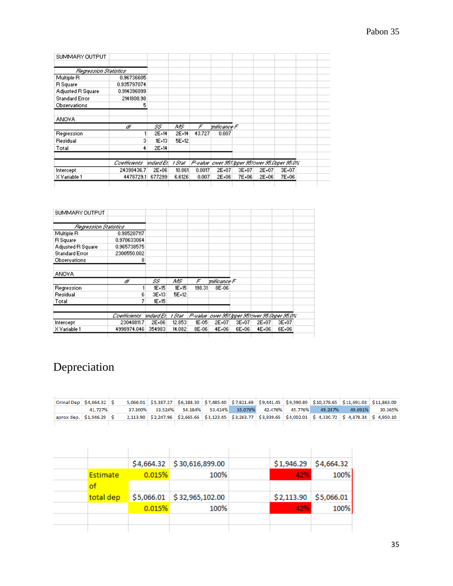| SUMMARY OUTPUT        |              |            |        |        |             |       |                                                    |       |  |
|-----------------------|--------------|------------|--------|--------|-------------|-------|----------------------------------------------------|-------|--|
|                       |              |            |        |        |             |       |                                                    |       |  |
| Regression Statistics |              |            |        |        |             |       |                                                    |       |  |
| Multiple R            | 0.96736605   |            |        |        |             |       |                                                    |       |  |
| R Square              | 0.935797074  |            |        |        |             |       |                                                    |       |  |
| Adjusted R Square     | 0.914396099  |            |        |        |             |       |                                                    |       |  |
| <b>Standard Error</b> | 2141808.98   |            |        |        |             |       |                                                    |       |  |
| <b>Observations</b>   | 5            |            |        |        |             |       |                                                    |       |  |
| <b>ANOVA</b>          |              |            |        |        |             |       |                                                    |       |  |
|                       | ď            | 55         | ΛS     | F      | mificance F |       |                                                    |       |  |
| Regression            |              | 2E+14      | 2E+14  | 43.727 | 0.007       |       |                                                    |       |  |
| Residual              | 3            | $1E+13$    | 5E+12  |        |             |       |                                                    |       |  |
| Total                 | 4            | 2E+14      |        |        |             |       |                                                    |       |  |
|                       | Coefficients | andard Erl | t Stat |        |             |       | P-value   ower 953 loper 953 over 95 Ooper 95.0%". |       |  |
| Intercept             | 24398436.7   | 2E+06      | 10.861 | 0.0017 | 2E+07       | 3E+07 | 2E+07                                              | 3E+07 |  |
| X Variable 1          | 4478729.1    | 677299     | 6.6126 | 0.007  | 2E+06       | 7E+06 | 2E+06                                              | 7E+06 |  |
|                       |              |            |        |        |             |       |                                                    |       |  |

| SUMMARY OUTPUT        |              |            |        |         |             |       |       |                                                  |
|-----------------------|--------------|------------|--------|---------|-------------|-------|-------|--------------------------------------------------|
|                       |              |            |        |         |             |       |       |                                                  |
| Regression Statistics |              |            |        |         |             |       |       |                                                  |
| Multiple R            | 0.985207117  |            |        |         |             |       |       |                                                  |
| R Square              | 0.970633064  |            |        |         |             |       |       |                                                  |
| Adjusted R Square     | 0.965738575  |            |        |         |             |       |       |                                                  |
| <b>Standard Error</b> | 2300550.002  |            |        |         |             |       |       |                                                  |
| Observations          | 8            |            |        |         |             |       |       |                                                  |
| ANOVA                 |              |            |        |         |             |       |       |                                                  |
|                       | ď            | 55         | ΛÆ     | F       | milicance F |       |       |                                                  |
| Regression            |              | 1E+15      | 1E+15  | 198.31  | 8E-06       |       |       |                                                  |
| Residual              | 6            | 3E+13      | 5E+12  |         |             |       |       |                                                  |
| Total                 | 7            | 1E+15      |        |         |             |       |       |                                                  |
|                       | Coefficients | andard Er. | t Stat |         |             |       |       | P-value   ower 953 Ipper 953 over 95 Opper 95.0% |
| Intercept             | 23040811.7   | 2E+06      | 12.853 | $IE-05$ | 2E+07       | 3E+07 | 2E+07 | 3E+07                                            |
| X Variable 1          | 4998974.046  | 354983     | 14.082 | 8E-06   | 4E+06       | 6E+06 | 4E+06 | 6E+06                                            |

# Depreciation

| $\vert$ Orinal Dep $\vert$ \$4,664.32 $\vert$ \$ |         |  |  |  |  |                                                                 |         | 5,066.01 \$5,387.27 \$6,388.30 \$7,485.40 \$7,821.69 \$9,441.45 \$9,590.89 \$10,378.65 \$11,691.03 \$11,863.00 |
|--------------------------------------------------|---------|--|--|--|--|-----------------------------------------------------------------|---------|----------------------------------------------------------------------------------------------------------------|
|                                                  | 41.727% |  |  |  |  | 37.300% 33.524% 54.184% 53.424% 55.078% 42.476% 45.776% 49.247% | 49.691% | 30.365%                                                                                                        |
| $aprox dep.$ $$1,946.29$ $$$                     |         |  |  |  |  |                                                                 |         | 2,113.90 \$2,247.96 \$2,665.66 \$3,123.45 \$3,263.77 \$3,939.65 \$4,002.01 \$4,330.72 \$4,878.34 \$4,950.10    |
|                                                  |         |  |  |  |  |                                                                 |         |                                                                                                                |

|           |        | $$4,664.32$ $$30,616,899.00$ | \$1,946.29 | \$4,664.32 |
|-----------|--------|------------------------------|------------|------------|
| Estimate  | 0.015% | 100%                         | 42%        | 100%       |
|           |        |                              |            |            |
| total dep |        | $$5,066.01$ $$32,965,102.00$ | \$2,113.90 | \$5,066.01 |
|           | 0.015% | 100%                         | 42%        | 100%       |
|           |        |                              |            |            |
|           |        |                              |            |            |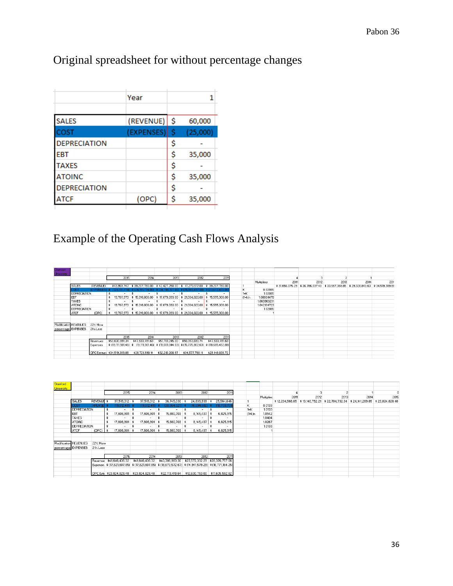# Original spreadsheet for without percentage changes

|                     | Year      |    |          |
|---------------------|-----------|----|----------|
|                     |           |    |          |
| <b>SALES</b>        | (REVENUE) | \$ | 60,000   |
| COST                | (EXPENSES | Ś  | (25,000) |
| <b>DEPRECIATION</b> |           | \$ |          |
| EBT                 |           | \$ | 35,000   |
| <b>TAXES</b>        |           | \$ |          |
| <b>ATOINC</b>       |           | \$ | 35,000   |
| <b>DEPRECIATION</b> |           | \$ |          |
| ATCF                | (OPC)     | \$ | 35,000   |

# Example of the Operating Cash Flows Analysis

| Clemson<br><b>University</b> |                       |                   |                              |                 |                                 |                                                                                                |                                   |          |             |      |      |                                                                                 |      |      |
|------------------------------|-----------------------|-------------------|------------------------------|-----------------|---------------------------------|------------------------------------------------------------------------------------------------|-----------------------------------|----------|-------------|------|------|---------------------------------------------------------------------------------|------|------|
|                              |                       |                   | 2015                         | 2014            | 2013                            | 2012                                                                                           | 2011                              |          |             |      |      |                                                                                 |      |      |
|                              |                       |                   |                              |                 |                                 |                                                                                                |                                   |          | Multipliers | 2011 | 2012 | 2013                                                                            | 2014 | 2019 |
|                              | SALES                 | (REVENUE)         |                              |                 |                                 | \$43,959,747 \$39,207,780.00 \$42,427,250.00 \$41,273,517.00 \$39,207,780.00                   |                                   |          |             |      |      | \$31,656,075.29 \$36,786,037.40 \$33,567,368.85 \$29,320,843.63 \$34,519,389.88 |      |      |
|                              | cost                  | (EXPENSES) :      | (24.191.774)                 |                 |                                 |                                                                                                | (19,969,497.00) \$ (23,652,472.00 | к        | 0.02085     |      |      |                                                                                 |      |      |
|                              | DEPRECIATION          |                   |                              |                 | ∣\$                             | ×.                                                                                             |                                   | $1 + K$  | 1.02085     |      |      |                                                                                 |      |      |
|                              | EBT                   |                   |                              |                 |                                 | 19,767,973 \$ 15,016,006.00 \$ 17,679,093.00 \$ 21,304,020.00 \$ 15,555,308.00                 |                                   | $(1+k)n$ | 1,08604478  |      |      |                                                                                 |      |      |
|                              | TAXES                 |                   |                              |                 | -\$<br>$\overline{\phantom{a}}$ | ÷.                                                                                             |                                   |          | 1.063863231 |      |      |                                                                                 |      |      |
|                              | <b>ATOINC</b>         |                   |                              |                 |                                 | 19,767,973 \$ 15,016,006.00 \$ 17,679,093.00 \$ 21,304,020.00 \$ 15,555,308.00                 |                                   |          | 1.042134723 |      |      |                                                                                 |      |      |
|                              | DEPRECIATION          |                   |                              |                 | $\bullet$                       |                                                                                                |                                   |          | 1,02085     |      |      |                                                                                 |      |      |
|                              | ATCF                  | (OPC)             |                              |                 |                                 | 19,767,973 \$ 15,016,006.00 \$ 17,679,093.00 \$ 21,304,020.00 \$ 15,555,308.00                 |                                   |          |             |      |      |                                                                                 |      |      |
|                              |                       |                   |                              |                 |                                 |                                                                                                |                                   |          |             |      |      |                                                                                 |      |      |
|                              | Modification REVENUES |                   |                              |                 |                                 |                                                                                                |                                   |          |             |      |      |                                                                                 |      |      |
|                              |                       | 22% More          |                              |                 |                                 |                                                                                                |                                   |          |             |      |      |                                                                                 |      |      |
|                              | percentage: EXPENSES  | 21% Less          |                              |                 |                                 |                                                                                                |                                   |          |             |      |      |                                                                                 |      |      |
|                              |                       |                   |                              |                 |                                 |                                                                                                |                                   |          |             |      |      |                                                                                 |      |      |
|                              |                       |                   | 2015                         | 2014            | 2013                            | 2012                                                                                           | 2011                              |          |             |      |      |                                                                                 |      |      |
|                              |                       | <b>I</b> Revenues | \$53,630,891.34              | \$47,833,491.60 | \$51,761,245.00                 | \$50,353,690.74                                                                                | \$47,833,491.60                   |          |             |      |      |                                                                                 |      |      |
|                              |                       | Expenses          |                              |                 |                                 | \$ (19.111.501.46) \$ (19.111.501.46) \$ (19.551.044.03) \$ (15.775.902.63) \$ (18.685.452.88) |                                   |          |             |      |      |                                                                                 |      |      |
|                              |                       |                   | OPC Estimate \$34,519,389.88 |                 |                                 | \$28,721,990.14 \$32,210,200.97 \$34,577,788.11                                                | \$29,148,038.72                   |          |             |      |      |                                                                                 |      |      |

| <b>Stanford</b>   |                       |                   |     |               |      |                                          |     |                                                                                                         |                                 |                          |          |             |      |      |                                                                 |      |                 |
|-------------------|-----------------------|-------------------|-----|---------------|------|------------------------------------------|-----|---------------------------------------------------------------------------------------------------------|---------------------------------|--------------------------|----------|-------------|------|------|-----------------------------------------------------------------|------|-----------------|
| <b>University</b> |                       |                   |     |               |      |                                          |     |                                                                                                         |                                 |                          |          |             |      |      |                                                                 |      |                 |
|                   |                       |                   |     | 2015          |      | 2014                                     |     | 2013                                                                                                    | 2012                            | 2011                     |          |             |      |      |                                                                 |      |                 |
|                   |                       |                   |     |               |      |                                          |     |                                                                                                         |                                 |                          |          | Multiplier: | 2011 | 2012 | 2013                                                            | 2014 | 2015            |
|                   | <b>SALES</b>          | <b>REVENUE \$</b> |     | 37,519,312 \$ |      | 37,519,312                               |     | 36,745,030                                                                                              | 24,839,939                      | 25,564,646               |          |             |      |      | \$12,234,568.05 \$13,140,752.21 \$22,704,732.34 \$24,141,269.85 |      | \$23,824,828.48 |
|                   | <b>COST</b>           | <b>EXPENSE</b>    |     | (19.912.411)  |      | 19.912.                                  |     |                                                                                                         |                                 | 18,738,73                | Κ        | 0.0133      |      |      |                                                                 |      |                 |
|                   | <b>DEPRECIATION</b>   |                   |     | $-$ \$        |      | $\sim$                                   | -\$ |                                                                                                         | $\sim$                          |                          | $1 + K$  | 1.0133      |      |      |                                                                 |      |                 |
|                   | EBT                   |                   | -3  | 17,606,901    | - \$ | 17,606,901                               |     | 15,880,703 \$                                                                                           | 8,145,437                       | \$<br>6,825,915          | $(1+k)n$ | 1.0542      |      |      |                                                                 |      |                 |
|                   | <b>TAXES</b>          |                   |     | ۰             | - \$ |                                          | -\$ |                                                                                                         | -                               |                          |          | 1.0404      |      |      |                                                                 |      |                 |
|                   | <b>ATOINC</b>         |                   | . ≴ | 17,606,901 \$ |      | 17,606,901 \$                            |     | 15,880,703 \$                                                                                           | $8,145,437$ \$                  | 6,825,915                |          | 1.0267      |      |      |                                                                 |      |                 |
|                   | DEPRECIATION          |                   |     | ۰             |      |                                          |     |                                                                                                         |                                 | $\overline{\phantom{a}}$ |          | 1.0133      |      |      |                                                                 |      |                 |
|                   | <b>ATCF</b>           | $(DPC)$   \$      |     | 17,606.901 \$ |      | 17,606,901 \$                            |     | 15,880,703 \$                                                                                           | 8,145,437 \$                    | 6,825,915                |          |             |      |      |                                                                 |      |                 |
|                   |                       |                   |     |               |      |                                          |     |                                                                                                         |                                 |                          |          |             |      |      |                                                                 |      |                 |
|                   |                       |                   |     |               |      |                                          |     |                                                                                                         |                                 |                          |          |             |      |      |                                                                 |      |                 |
|                   | Modification REVENUES | 22% More          |     |               |      |                                          |     |                                                                                                         |                                 |                          |          |             |      |      |                                                                 |      |                 |
|                   | percentage EXPENSES   | 21% Less          |     |               |      |                                          |     |                                                                                                         |                                 |                          |          |             |      |      |                                                                 |      |                 |
|                   |                       |                   |     |               |      |                                          |     |                                                                                                         |                                 |                          |          |             |      |      |                                                                 |      |                 |
|                   |                       |                   |     | 2015          |      | 2014                                     |     | 2013                                                                                                    | 2012                            | 2011                     |          |             |      |      |                                                                 |      |                 |
|                   |                       |                   |     |               |      | Revenue \$41,646,436.32 \$41,646,436.32  |     | \$40,786,983.30                                                                                         | \$27,572,332,29 \$28,376,757.06 |                          |          |             |      |      |                                                                 |      |                 |
|                   |                       |                   |     |               |      |                                          |     | Expense: \$ (17,821,607.85) \$ (17,821,607.85) \$ (18,673,572.67) \$ (14,941,579.29) \$ (16,771,164.25) |                                 |                          |          |             |      |      |                                                                 |      |                 |
|                   |                       |                   |     |               |      |                                          |     |                                                                                                         |                                 |                          |          |             |      |      |                                                                 |      |                 |
|                   |                       |                   |     |               |      | OPC Esti \$23,824,828.48 \$23,824,828.48 |     | \$22,113,410.64 \$12,630,753.00 \$11,605,592.82                                                         |                                 |                          |          |             |      |      |                                                                 |      |                 |
|                   |                       |                   |     |               |      |                                          |     |                                                                                                         |                                 |                          |          |             |      |      |                                                                 |      |                 |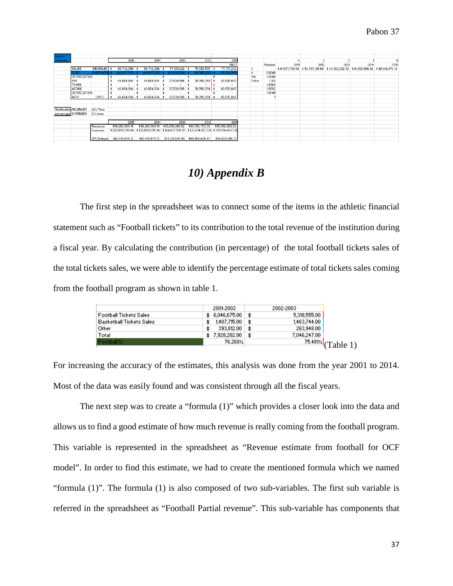| Auburn               |                       |                     |                          |                          |                                                 |                 |                                                                                                |          |             |      |      |                                                                 |      |                 |
|----------------------|-----------------------|---------------------|--------------------------|--------------------------|-------------------------------------------------|-----------------|------------------------------------------------------------------------------------------------|----------|-------------|------|------|-----------------------------------------------------------------|------|-----------------|
| <b>University</b>    |                       |                     | 2015                     | 2014                     | 2013                                            | 2012            | 2011                                                                                           |          |             |      |      |                                                                 |      |                 |
|                      |                       |                     |                          |                          |                                                 |                 | 18627                                                                                          |          | Multiplier: | 2011 | 2012 | 2013                                                            | 2014 | 2015            |
|                      | <b>SALES</b>          | (REVENUE) \$        | 86,742,256 \$            | 86,742,256               | 77.170.242 \$                                   | 75,092,576      | 77,170,242                                                                                     |          |             |      |      | \$61,571,730.00 \$54,737,135.60 \$43,302,292.72 \$61,912,958.04 |      | \$60,414,674.12 |
|                      | COST.                 | <b>(EXPENSES)</b>   | (40,077,352)             | 40.077<br>.3521          | .2561                                           | (36,306,282)    | (33,334,595                                                                                    | Κ        | 0.0248      |      |      |                                                                 |      |                 |
|                      | DEPRECIATION          |                     | $\sim$                   | $\sim$ $-$               | $\sim$                                          | $\sim$          | ٠                                                                                              | $1+K$    | 1.0248      |      |      |                                                                 |      |                 |
|                      | EBT                   |                     | 46,664,904               | 46,664,904               | 27,530,986                                      | 38,786,294      | 43,835,647                                                                                     | $(1+k)n$ | 1.103       |      |      |                                                                 |      |                 |
|                      | TAXES                 |                     | $\overline{\phantom{a}}$ | $\overline{\phantom{a}}$ | $\sim$                                          |                 | $\overline{\phantom{a}}$                                                                       |          | 1.0763      |      |      |                                                                 |      |                 |
|                      | <b>ATOINC</b>         |                     | 46,664,904 \$<br>٠       | 46,664,904               | 27,530,986<br>∣\$                               | 38,786,294      | 43,835,647                                                                                     |          | 1.0502      |      |      |                                                                 |      |                 |
|                      | DEPRECIATION          |                     |                          |                          |                                                 |                 | ۰                                                                                              |          | 1.0248      |      |      |                                                                 |      |                 |
|                      | LATCE.                | (DPC)               | 46,664,904 \$            | 46,664,904 \$            | 27,530,986                                      | 38,786,294 \$   | 43,835,647                                                                                     |          |             |      |      |                                                                 |      |                 |
|                      |                       |                     |                          |                          |                                                 |                 |                                                                                                |          |             |      |      |                                                                 |      |                 |
|                      | Modification REVENUES | 22% More            |                          |                          |                                                 |                 |                                                                                                |          |             |      |      |                                                                 |      |                 |
| percentage: EXPENSES |                       | 21% Less            |                          |                          |                                                 |                 |                                                                                                |          |             |      |      |                                                                 |      |                 |
|                      |                       |                     | 2015                     | 2014                     | 2013                                            | 2012            | 2011                                                                                           |          |             |      |      |                                                                 |      |                 |
|                      |                       | Revenues            | \$96,283,904.16          |                          | \$96,283,904,16 \$85,658,968,62 \$83,352,759.36 |                 | \$85,658,968.62                                                                                |          |             |      |      |                                                                 |      |                 |
|                      |                       | Expenses            |                          |                          |                                                 |                 | \$ (35,869,230.04) \$ (35,869,230.04) \$ (44,427,134.12) \$ (32,494,122.39) \$ (29,834,462.53) |          |             |      |      |                                                                 |      |                 |
|                      |                       | <b>OPC</b> Estimate | \$60,414,674.12          | \$60,414,674.12          | \$41,231,834.50                                 | \$50,858,636.97 | \$55,824,506.10                                                                                |          |             |      |      |                                                                 |      |                 |

## *10) Appendix B*

The first step in the spreadsheet was to connect some of the items in the athletic financial statement such as "Football tickets" to its contribution to the total revenue of the institution during a fiscal year. By calculating the contribution (in percentage) of the total football tickets sales of the total tickets sales, we were able to identify the percentage estimate of total tickets sales coming from the football program as shown in table 1.

|                                 | 2001-2002      | 2002-2003                           |
|---------------------------------|----------------|-------------------------------------|
| <b>Football Tickets Sales</b>   | \$6,046,675,00 | \$<br>5,318,555.00                  |
| <b>Basketball Tickets Sales</b> | 1,487,715.00   | \$<br>1,463,744.00                  |
| Other                           | 393,812.00     | \$<br>263,948.00                    |
| Total                           | \$7,928,202.00 | \$<br>7,046,247.00                  |
| Football X                      | 76.268%        | $\frac{75.481\times}{70}$ (Table 1) |
|                                 |                |                                     |

For increasing the accuracy of the estimates, this analysis was done from the year 2001 to 2014. Most of the data was easily found and was consistent through all the fiscal years.

The next step was to create a "formula (1)" which provides a closer look into the data and allows us to find a good estimate of how much revenue is really coming from the football program. This variable is represented in the spreadsheet as "Revenue estimate from football for OCF model". In order to find this estimate, we had to create the mentioned formula which we named "formula (1)". The formula (1) is also composed of two sub-variables. The first sub variable is referred in the spreadsheet as "Football Partial revenue". This sub-variable has components that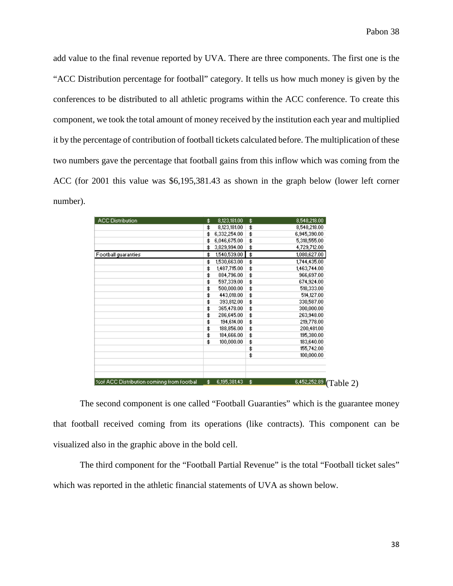add value to the final revenue reported by UVA. There are three components. The first one is the "ACC Distribution percentage for football" category. It tells us how much money is given by the conferences to be distributed to all athletic programs within the ACC conference. To create this component, we took the total amount of money received by the institution each year and multiplied it by the percentage of contribution of football tickets calculated before. The multiplication of these two numbers gave the percentage that football gains from this inflow which was coming from the ACC (for 2001 this value was \$6,195,381.43 as shown in the graph below (lower left corner number).

| <b>ACC Distribution</b>                     | \$<br>8,123,181.00 | \$<br>8,548,218.00              |
|---------------------------------------------|--------------------|---------------------------------|
|                                             | \$<br>8,123,181.00 | \$<br>8,548,218.00              |
|                                             | \$<br>6,332,254.00 | \$<br>6,945,390.00              |
|                                             | \$<br>6,046,675.00 | \$<br>5,318,555.00              |
|                                             | \$<br>3,829,994.00 | \$<br>4,729,712.00              |
| Football guaranties                         | \$<br>1,540,539.00 | \$<br>1,080,627.00              |
|                                             | \$<br>1,530,663.00 | \$<br>1,744,435.00              |
|                                             | \$<br>1,487,715.00 | \$<br>1,463,744.00              |
|                                             | \$<br>884,796.00   | \$<br>966,697.00                |
|                                             | \$<br>597,339.00   | \$<br>674,924.00                |
|                                             | \$<br>500,000.00   | \$<br>518,333.00                |
|                                             | \$<br>443,018.00   | \$<br>514,127.00                |
|                                             | \$<br>393,812.00   | \$<br>330,587.00                |
|                                             | \$<br>365,478.00   | \$<br>300,000.00                |
|                                             | \$<br>286,645.00   | \$<br>263,948.00                |
|                                             | \$<br>194,614.00   | \$<br>219,778.00                |
|                                             | \$<br>188,856.00   | \$<br>200,481.00                |
|                                             | \$<br>184,666.00   | \$<br>195,380.00                |
|                                             | \$<br>100,000.00   | \$<br>183,640.00                |
|                                             |                    | \$<br>155,742.00                |
|                                             |                    | \$<br>100,000.00                |
|                                             |                    |                                 |
| % Xof ACC Distribution cominng from footbal | \$<br>6,195,381.43 | \$<br>6,452,252.89<br>(Table 2) |

The second component is one called "Football Guaranties" which is the guarantee money that football received coming from its operations (like contracts). This component can be visualized also in the graphic above in the bold cell.

The third component for the "Football Partial Revenue" is the total "Football ticket sales" which was reported in the athletic financial statements of UVA as shown below.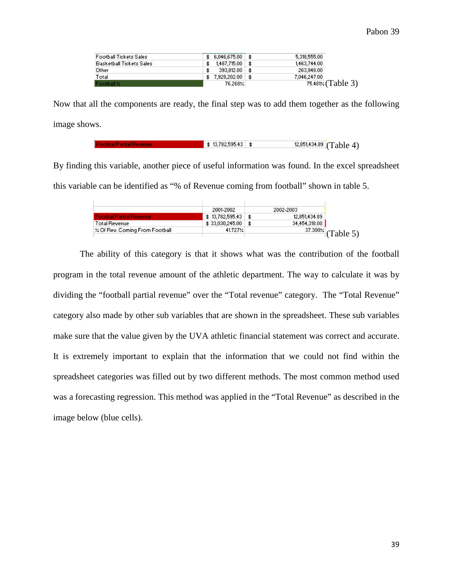| Football Tickets Sales          |     |                     | 5,318,555,00              |
|---------------------------------|-----|---------------------|---------------------------|
| <b>Basketball Tickets Sales</b> | \$. | $1.487.715.00$   \$ | 1,463,744.00              |
| Other                           |     | $393.812.00$   \$   | 263,948.00                |
| Total                           |     |                     | 7.046.247.00              |
| Football X                      |     | 76.268%             | $75.481 \times (Table 3)$ |

Now that all the components are ready, the final step was to add them together as the following image shows.

```
$13,782,595.43 \$
                               12,851,434.89 (Table 4)
```
By finding this variable, another piece of useful information was found. In the excel spreadsheet this variable can be identified as "% of Revenue coming from football" shown in table 5.

|                                       | 2001-2002           | 2002-2003     |                                     |
|---------------------------------------|---------------------|---------------|-------------------------------------|
| <b>Footbal Partial Revenue</b>        | $$13,782,595,43$ \$ | 12,851,434.89 |                                     |
| Total Revenue                         |                     | 34,454,318,00 |                                     |
| $\times$ Of Rev. Coming From Football | 41.727%             |               | $\frac{37.300 \times}{2}$ (Table 5) |
|                                       |                     |               |                                     |

The ability of this category is that it shows what was the contribution of the football program in the total revenue amount of the athletic department. The way to calculate it was by dividing the "football partial revenue" over the "Total revenue" category. The "Total Revenue" category also made by other sub variables that are shown in the spreadsheet. These sub variables make sure that the value given by the UVA athletic financial statement was correct and accurate. It is extremely important to explain that the information that we could not find within the spreadsheet categories was filled out by two different methods. The most common method used was a forecasting regression. This method was applied in the "Total Revenue" as described in the image below (blue cells).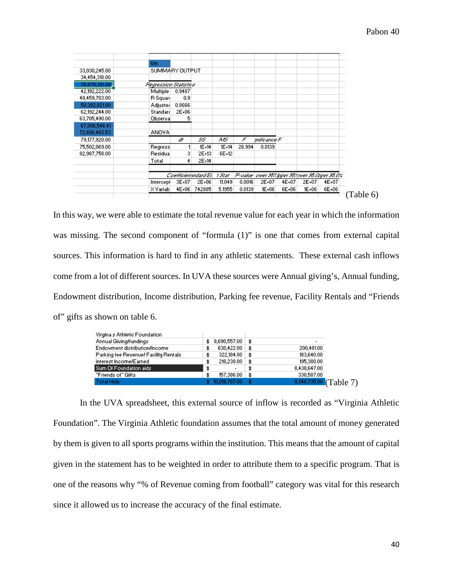|               | 6th                   |        |                      |         |        |             |       |         |                                                   |
|---------------|-----------------------|--------|----------------------|---------|--------|-------------|-------|---------|---------------------------------------------------|
| 33,030,245.00 | SUMMARY OUTPUT        |        |                      |         |        |             |       |         |                                                   |
| 34,454,318.00 |                       |        |                      |         |        |             |       |         |                                                   |
| 35,878,391,00 | Regression Statistics |        |                      |         |        |             |       |         |                                                   |
| 42,192,222.00 | Multiple              | 0.9487 |                      |         |        |             |       |         |                                                   |
| 48,459,703.00 | R Squari              | 0.9    |                      |         |        |             |       |         |                                                   |
| 50,382,021.80 | Adjusted              | 0.8666 |                      |         |        |             |       |         |                                                   |
| 62,192,244.00 | Standard              | 2E+06  |                      |         |        |             |       |         |                                                   |
| 63,705,490.00 | Observal              | 5      |                      |         |        |             |       |         |                                                   |
| 67,886,546.41 |                       |        |                      |         |        |             |       |         |                                                   |
| 72,686,483.53 | ANOVA.                |        |                      |         |        |             |       |         |                                                   |
| 79,177,920.00 |                       | ď      | 55                   | ΛÆ      | F      | mificance F |       |         |                                                   |
| 75,502,069.00 | Regress               |        | $1E+14$              | $1E+14$ | 26.994 | 0.0139      |       |         |                                                   |
| 82,987,758.00 | Residual              | 3      | 2E+13                | 6E+12   |        |             |       |         |                                                   |
|               | Total                 | 4      | 2E+14                |         |        |             |       |         |                                                   |
|               |                       |        | Coefficienandard Erl | t Stat. |        |             |       |         | P-value   ower 953 Ipper 953 over 95 Opper 95.0%" |
|               | Intercept             | 3E+07  | 2E+06                | 11.049  | 0.0016 | 2E+07       | 4E+07 | 2E+07   | 4E+07                                             |
|               | X Variabl             | 4E+06  | 742885               | 5.1955  | 0.0139 | 1E+06       | 6E+06 | $IE+06$ | 6E+06                                             |
|               |                       |        |                      |         |        |             |       |         |                                                   |

In this way, we were able to estimate the total revenue value for each year in which the information was missing. The second component of "formula  $(1)$ " is one that comes from external capital sources. This information is hard to find in any athletic statements. These external cash inflows come from a lot of different sources. In UVA these sources were Annual giving's, Annual funding, Endowment distribution, Income distribution, Parking fee revenue, Facility Rentals and "Friends of" gifts as shown on table 6.

| Virgina's Athletic Foundation         |     |                     |      |                          |  |
|---------------------------------------|-----|---------------------|------|--------------------------|--|
| Annual Giving/fundings                | \$  | $8,690,557.00$ \ \$ |      | $\overline{\phantom{a}}$ |  |
| Endowment distribution/Income         | \$  | 630,422.00          | \$   | 200,481.00               |  |
| Parking fee Revenuel Facility Rentals | \$  | 322,184.00          | \$   | 183,640.00               |  |
| interest Income/Earned                | \$  | 218,238.00          | \$   | 195,380.00               |  |
| Sum Of Foundation aids                | \$  | ٠                   |      | 8,438,647.00             |  |
| "Friends of" Gifts                    | \$. | 157,386.00          | -\$  | 330,587.00               |  |
| <b>Total Help</b>                     |     | 10,018,787.00       | - \$ | $9,348,735.00$ (Table 7) |  |

In the UVA spreadsheet, this external source of inflow is recorded as "Virginia Athletic Foundation". The Virginia Athletic foundation assumes that the total amount of money generated by them is given to all sports programs within the institution. This means that the amount of capital given in the statement has to be weighted in order to attribute them to a specific program. That is one of the reasons why "% of Revenue coming from football" category was vital for this research since it allowed us to increase the accuracy of the final estimate.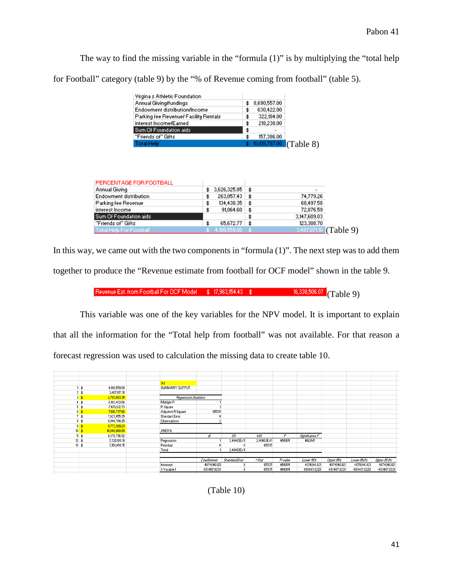The way to find the missing variable in the "formula (1)" is by multiplying the "total help for Football" category (table 9) by the "% of Revenue coming from football" (table 5).

| Virgina's Athletic Foundation         |                           |
|---------------------------------------|---------------------------|
| Annual Giving/fundings                | 8,690,557.00<br>\$        |
| Endowment distribution/Income         | 630,422.00<br>\$          |
| Parking fee Revenuel Facility Rentals | 322,184.00<br>\$          |
| interest Incorne/Earned               | 218,238.00<br>\$          |
| Sum Of Foundation aids                | \$                        |
| "Friends of" Gifts                    | 157,386.00<br>\$          |
| <b>Total Help</b>                     | $10,018,787.00$ (Table 8) |

| PERCENTAGE FOR FOOTBALL       |                        |     |                          |  |
|-------------------------------|------------------------|-----|--------------------------|--|
| Annual Giving                 | $3,626,325.85$ \$      |     | $\overline{\phantom{a}}$ |  |
| <b>Endowment distribution</b> | \$<br>$263,057.43$ \$  |     | 74,779.26                |  |
| Parking fee Revenue           | \$<br>134,438.35       | -\$ | 68,497.58                |  |
| interest Income               | \$<br>91,064.60        | ∣\$ | 72,876.59                |  |
| Sum Of Foundation aids        |                        |     | 3,147,609.03             |  |
| "Friends of" Gifts            | \$<br>$65,672.77$   \$ |     | 123,308.70               |  |
| Total Help For Football       | $$4,180,559,00$ \ \$   |     | $3,487,071.18$ (Table 9) |  |

In this way, we came out with the two components in "formula  $(1)$ ". The next step was to add them together to produce the "Revenue estimate from football for OCF model" shown in the table 9.

Revenue Est. from Football For OCF Model \$17,963,154.43 \$16.38,506.07 (Table 9)

This variable was one of the key variables for the NPV model. It is important to explain that all the information for the "Total help from football" was not available. For that reason a forecast regression was used to calculation the missing data to create table 10.

|                 |                 |               | 3rd                   |              |                |             |         |                |              |              |              |
|-----------------|-----------------|---------------|-----------------------|--------------|----------------|-------------|---------|----------------|--------------|--------------|--------------|
|                 |                 | 4,180,559.00  | SUMMARY OUTPUT        |              |                |             |         |                |              |              |              |
|                 | $2$ \$          | 3,487,071.18  |                       |              |                |             |         |                |              |              |              |
| $\frac{3}{2}$   |                 | 2,793,583.35  | Regression Statistics |              |                |             |         |                |              |              |              |
|                 |                 | 6,183,403.06  | Multiple R            |              |                |             |         |                |              |              |              |
|                 | 5<br>\$         | 7,476,612.73  | R Square              |              |                |             |         |                |              |              |              |
| 6               |                 | 7,610,777.66  | Adjusted R Square     | 65535        |                |             |         |                |              |              |              |
|                 | $7$ \$          | 7,427,055.35  | Standard Error        |              |                |             |         |                |              |              |              |
|                 | 8 <sup>3</sup>  | 9,094,784.25  | Observations          |              |                |             |         |                |              |              |              |
| $\overline{3}$  |                 | 9,773,389.23  |                       |              |                |             |         |                |              |              |              |
| 10 <sup>1</sup> |                 | 10,604,868.88 | <b>ANOVA</b>          |              |                |             |         |                |              |              |              |
|                 | 11 <sup>3</sup> | 8,378,796.92  |                       | ď            | 55             | AIS         | F       | Significance F |              |              |              |
|                 | 12 <sub>3</sub> | 7,720,189.18  | Regression            |              | 2.40463E+11    | 2.40463E+11 | #NUM!   | #NUM!          |              |              |              |
|                 | 13 <sup>3</sup> | 7,156,458.15  | Residual              |              | 0              | 65535       |         |                |              |              |              |
|                 |                 |               | Total                 |              | 2.40463E+11    |             |         |                |              |              |              |
|                 |                 |               |                       |              |                |             |         |                |              |              |              |
|                 |                 |               |                       | Coefficients | Standard Error | t Stat      | P-value | Lower 95%      | Upper 95%    | Lower SE OS  | Upper 95.0%  |
|                 |                 |               | Intercept             | 4874046.821  |                | 65535       | #NUM!   | 4874046.821    | 4874046.821  | 4874046.821  | 4874046.821  |
|                 |                 |               | X Variable 1          | -693487.8228 |                | 65535       | #NUM!   | -693487.8228   | -693487.8228 | -693487.8228 | -693487.8228 |
|                 |                 |               |                       |              |                |             |         |                |              |              |              |

(Table 10)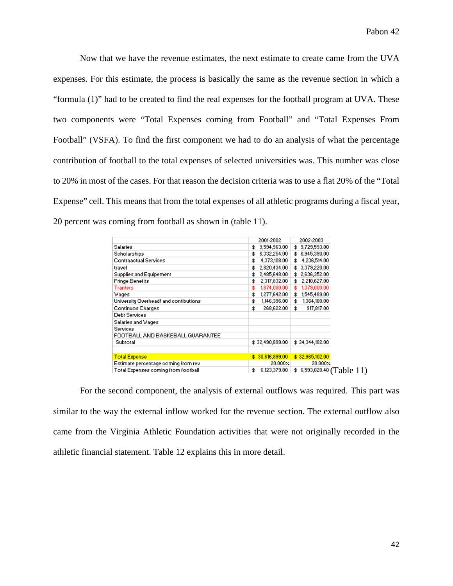Now that we have the revenue estimates, the next estimate to create came from the UVA expenses. For this estimate, the process is basically the same as the revenue section in which a "formula (1)" had to be created to find the real expenses for the football program at UVA. These two components were "Total Expenses coming from Football" and "Total Expenses From Football" (VSFA). To find the first component we had to do an analysis of what the percentage contribution of football to the total expenses of selected universities was. This number was close to 20% in most of the cases. For that reason the decision criteria was to use a flat 20% of the "Total Expense" cell. This means that from the total expenses of all athletic programs during a fiscal year, 20 percent was coming from football as shown in (table 11).

|                                        | 2001-2002            | 2002-2003                             |
|----------------------------------------|----------------------|---------------------------------------|
| <b>Salaries</b>                        | 9,594,963.00<br>\$.  | \$3,729,593.00                        |
| Scholarships                           | 6,332,254.00<br>\$.  | \$6,945,390.00                        |
| <b>Contraactual Services</b>           | 4,373,108.00  <br>\$ | 4,236,514.00<br>\$.                   |
| travel                                 | 2,820,434.00<br>\$   | \$3,379,220.00                        |
| Supplies and Equipement                | 2,485,648.00<br>\$   | \$2,636,352.00                        |
| <b>Fringe Benefits</b>                 | 2,317,832.00<br>\$   | 2,210,627.00<br>\$.                   |
| Tranfers                               | 1,874,000.00<br>\$.  | 1,379,000.00<br>\$.                   |
| Wages                                  | 1,277,642.00<br>\$   | 1,545,489.00<br>\$.                   |
| University Overhead/ and contibutions. | 1,146,396.00<br>\$   | 1,364,100.00<br>\$                    |
| Continuos Charges                      | 268,622.00<br>\$     | \$<br>917,817.00                      |
| Debt Services                          |                      |                                       |
| Salaries and Wages                     |                      |                                       |
| Services                               |                      |                                       |
| FOOTBALL AND BASKEBALL GUARANTEE       |                      |                                       |
| Subtotal                               | \$32,490,899.00      | \$34,344,102.00                       |
| <b>Total Expense</b>                   | \$30,616,899.00      | \$32,965,102.00                       |
| Estimate percentage coming from rev-   | $20.000 \times$      | 20.000%                               |
| Total Expenses coming from football    | 6,123,379.80<br>\$   | $\frac{1}{2}$ 6,593,020.40 (Table 11) |

For the second component, the analysis of external outflows was required. This part was similar to the way the external inflow worked for the revenue section. The external outflow also came from the Virginia Athletic Foundation activities that were not originally recorded in the athletic financial statement. Table 12 explains this in more detail.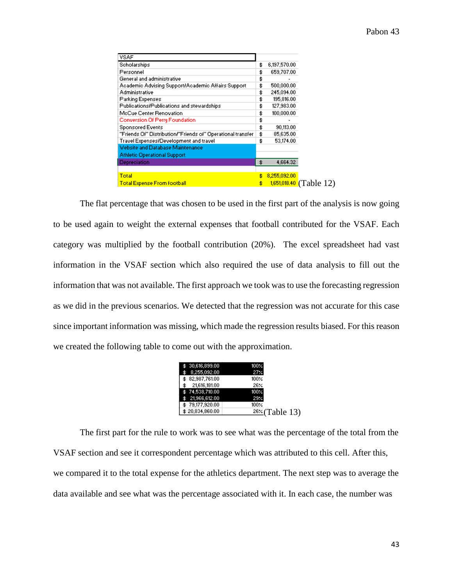| <b>VSAF</b>                                                                    |  |
|--------------------------------------------------------------------------------|--|
| Scholarships<br>6,197,570.00<br>\$                                             |  |
| Personnel<br>659,707.00<br>\$                                                  |  |
| General and administrative<br>\$                                               |  |
| 500,000.00<br>Academic Advising Support/Academic Affairs Support<br>\$         |  |
| Administrative<br>245,094.00<br>\$                                             |  |
| 195,816.00<br><b>Parking Expenses</b><br>\$                                    |  |
| Publications/Publications and stewardships<br>127,983.00<br>\$                 |  |
| McCue Center Renovation<br>100,000.00<br>\$                                    |  |
| <b>Conversion Of Perry Foundation</b><br>\$                                    |  |
| <b>Sponsored Events</b><br>90,113.00<br>\$                                     |  |
| "Friends Of" Distribution!"Friends of" Operational transfer<br>85,635.00<br>\$ |  |
| Travel Expenses/Development and travel<br>53,174.00<br>\$                      |  |
| Website and Database Maintenance                                               |  |
| <b>Athletic Operational Support</b>                                            |  |
| Depreciation<br>4,664.32<br>\$                                                 |  |
|                                                                                |  |
| Total<br>8,255,092.00<br>\$                                                    |  |
|                                                                                |  |

The flat percentage that was chosen to be used in the first part of the analysis is now going to be used again to weight the external expenses that football contributed for the VSAF. Each category was multiplied by the football contribution (20%). The excel spreadsheet had vast information in the VSAF section which also required the use of data analysis to fill out the information that was not available. The first approach we took was to use the forecasting regression as we did in the previous scenarios. We detected that the regression was not accurate for this case since important information was missing, which made the regression results biased. For this reason we created the following table to come out with the approximation.

| \$30,616,899,00 | $100\%$               |
|-----------------|-----------------------|
| 8,255,092.00    | 27%                   |
| \$82,987,761.00 | 100%                  |
| 21,616,181.00   | 26%                   |
| \$74,538,710,00 | $100\times$           |
| \$21.966.612.00 | 29%                   |
| \$79,177,920.00 | $100\%$               |
| \$20,834,860.00 | <u>26%</u> (Table 13) |
|                 |                       |

The first part for the rule to work was to see what was the percentage of the total from the VSAF section and see it correspondent percentage which was attributed to this cell. After this, we compared it to the total expense for the athletics department. The next step was to average the data available and see what was the percentage associated with it. In each case, the number was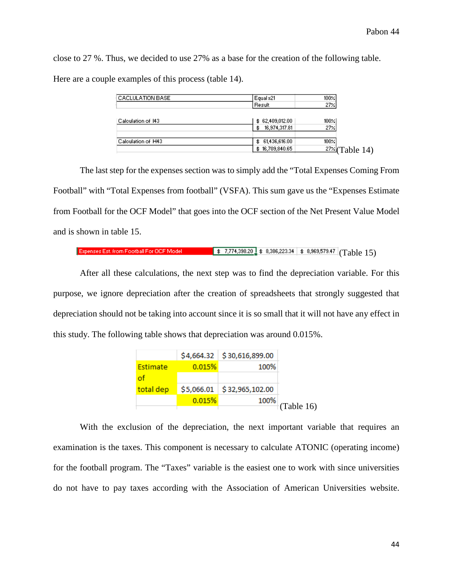close to 27 %. Thus, we decided to use 27% as a base for the creation of the following table. Here are a couple examples of this process (table 14).

| CACLULATION BASE   | Equal x21            | $100 \times$      |
|--------------------|----------------------|-------------------|
|                    | Result               | $27 \times$       |
|                    |                      |                   |
| Calculation of 143 | \$62,409,012.00      | $100 \times$      |
|                    | 16,974,317.81<br>\$. | $27 \times$       |
| Calculation of H43 | \$ 61,436,616.00     | $100 \times$      |
|                    | \$16,709,840.65      | $27\%$ (Table 14) |

The last step for the expenses section was to simply add the "Total Expenses Coming From Football" with "Total Expenses from football" (VSFA). This sum gave us the "Expenses Estimate from Football for the OCF Model" that goes into the OCF section of the Net Present Value Model and is shown in table 15.

#### $\frac{1}{2}$   $\frac{1}{2}$  7,774,398.20  $\frac{1}{2}$   $\frac{1}{2}$  8,386,223.34  $\frac{1}{2}$  8,969,579.47 (Table 15) Expenses Est, from Football For OCF Model

After all these calculations, the next step was to find the depreciation variable. For this purpose, we ignore depreciation after the creation of spreadsheets that strongly suggested that depreciation should not be taking into account since it is so small that it will not have any effect in this study. The following table shows that depreciation was around 0.015%.

|           |        | $$4,664.32$ $$30,616,899.00$ |                  |
|-----------|--------|------------------------------|------------------|
| Estimate  | 0.015% | 100%                         |                  |
| of        |        |                              |                  |
| total dep |        | $$5,066.01$ $$32,965,102.00$ |                  |
|           | 0.015% | 100%                         |                  |
|           |        |                              | $\pm$ (Table 16) |

With the exclusion of the depreciation, the next important variable that requires an examination is the taxes. This component is necessary to calculate ATONIC (operating income) for the football program. The "Taxes" variable is the easiest one to work with since universities do not have to pay taxes according with the Association of American Universities website.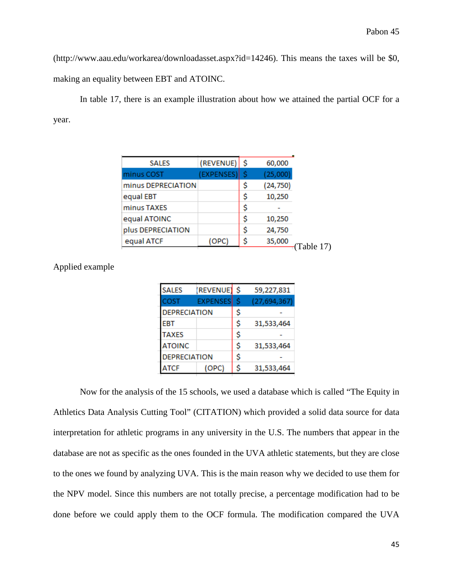(http://www.aau.edu/workarea/downloadasset.aspx?id=14246). This means the taxes will be \$0, making an equality between EBT and ATOINC.

In table 17, there is an example illustration about how we attained the partial OCF for a year.

| <b>SALES</b>       | (REVENUE)  | -Ŝ | 60,000    |
|--------------------|------------|----|-----------|
| minus COST         | (EXPENSES) | S  | (25,000)  |
| minus DEPRECIATION |            | \$ | (24, 750) |
| equal EBT          |            | \$ | 10,250    |
| minus TAXES        |            | \$ |           |
| equal ATOINC       |            | \$ | 10,250    |
| plus DEPRECIATION  |            | \$ | 24,750    |
| equal ATCF         | (OPC)      | \$ | 35,000    |
|                    |            |    |           |

| <b>SALES</b>        | (REVENUE)       | \$ | 59,227,831     |
|---------------------|-----------------|----|----------------|
| COST                | <b>EXPENSES</b> | S  | (27, 694, 367) |
| <b>DEPRECIATION</b> |                 | \$ |                |
| <b>EBT</b>          |                 | \$ | 31,533,464     |
| <b>TAXES</b>        |                 | \$ |                |
| <b>ATOINC</b>       |                 | \$ | 31,533,464     |
| <b>DEPRECIATION</b> |                 | \$ |                |
| ATCF                | OPC)            | S  | 31,533,464     |

Applied example

Now for the analysis of the 15 schools, we used a database which is called "The Equity in Athletics Data Analysis Cutting Tool" (CITATION) which provided a solid data source for data interpretation for athletic programs in any university in the U.S. The numbers that appear in the database are not as specific as the ones founded in the UVA athletic statements, but they are close to the ones we found by analyzing UVA. This is the main reason why we decided to use them for the NPV model. Since this numbers are not totally precise, a percentage modification had to be done before we could apply them to the OCF formula. The modification compared the UVA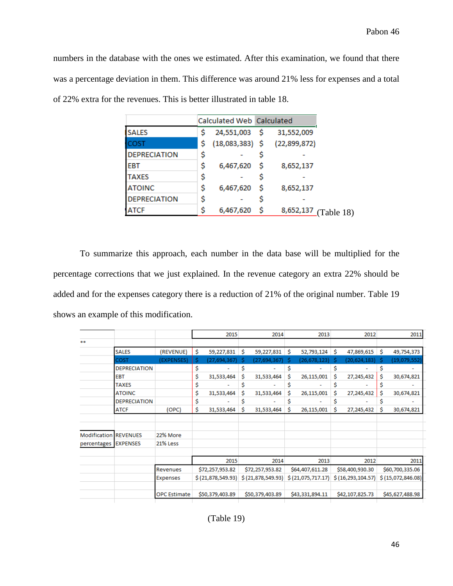numbers in the database with the ones we estimated. After this examination, we found that there was a percentage deviation in them. This difference was around 21% less for expenses and a total of 22% extra for the revenues. This is better illustrated in table 18.

|                     |    | Calculated Web Calculated |     |              |
|---------------------|----|---------------------------|-----|--------------|
| <b>SALES</b>        | s  | 24,551,003                | - S | 31,552,009   |
| COST                |    | $(18,083,383)$ \$         |     | (22,899,872) |
| <b>DEPRECIATION</b> | Ş  |                           |     |              |
| EBT                 | \$ | 6,467,620                 | - S | 8,652,137    |
| <b>TAXES</b>        | \$ |                           |     |              |
| <b>ATOINC</b>       | \$ | 6,467,620                 | s   | 8,652,137    |
| <b>DEPRECIATION</b> | \$ |                           |     |              |
| <b>ATCF</b>         | s  | 6,467,620                 | S   | 8,652,137    |

To summarize this approach, each number in the data base will be multiplied for the percentage corrections that we just explained. In the revenue category an extra 22% should be added and for the expenses category there is a reduction of 21% of the original number. Table 19 shows an example of this modification.

|                              |                     |                     |    | 2015              |    | 2014              |    | 2013              |    | 2012                |    | 2011              |
|------------------------------|---------------------|---------------------|----|-------------------|----|-------------------|----|-------------------|----|---------------------|----|-------------------|
| $***$                        |                     |                     |    |                   |    |                   |    |                   |    |                     |    |                   |
|                              | <b>SALES</b>        | (REVENUE)           | Ŝ  | 59,227,831        | Ŝ. | 59,227,831        | -S | 52,793,124        | -S | 47,869,615          | Ŝ. | 49,754,373        |
|                              | COST                | (EXPENSES)          | s  | (27,694,367       |    | (27,694,367       |    | (26,678,123)      | .S | (20, 624, 183)      | .S | (19,079,552)      |
|                              | <b>DEPRECIATION</b> |                     | \$ |                   | Ś  |                   | Ś  |                   | Ś  |                     | \$ |                   |
|                              | <b>EBT</b>          |                     | \$ | 31,533,464        | \$ | 31,533,464        | \$ | 26,115,001        | \$ | 27,245,432          | \$ | 30,674,821        |
|                              | <b>TAXES</b>        |                     | \$ |                   | S  |                   | S  |                   | S  |                     | s  |                   |
|                              | <b>ATOINC</b>       |                     | \$ | 31,533,464        | Ś  | 31,533,464        | Ś  | 26,115,001        | Ś  | 27,245,432          | Ŝ  | 30,674,821        |
|                              | <b>DEPRECIATION</b> |                     | \$ |                   | Ś  |                   | Ś  |                   | Ś  |                     | Ś  |                   |
|                              | <b>ATCF</b>         | (OPC)               | Ś  | 31,533,464        | \$ | 31,533,464        | \$ | 26,115,001        | S  | 27,245,432          | S  | 30,674,821        |
|                              |                     |                     |    |                   |    |                   |    |                   |    |                     |    |                   |
| <b>Modification REVENUES</b> |                     | 22% More            |    |                   |    |                   |    |                   |    |                     |    |                   |
| percentages                  | <b>EXPENSES</b>     | 21% Less            |    |                   |    |                   |    |                   |    |                     |    |                   |
|                              |                     |                     |    | 2015              |    | 2014              |    | 2013              |    | 2012                |    | 2011              |
|                              |                     | Revenues            |    | \$72,257,953.82   |    | \$72,257,953.82   |    | \$64,407,611.28   |    | \$58,400,930.30     |    | \$60,700,335.06   |
|                              |                     | Expenses            |    | \$(21,878,549.93) |    | \$(21,878,549.93) |    | \$(21,075,717.17) |    | \$(16, 293, 104.57) |    | \$(15,072,846.08) |
|                              |                     | <b>OPC</b> Estimate |    | \$50,379,403.89   |    | \$50,379,403.89   |    | \$43,331,894.11   |    | \$42,107,825.73     |    | \$45,627,488.98   |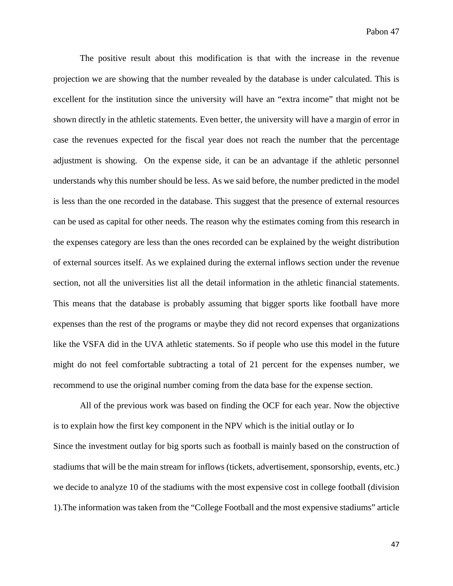The positive result about this modification is that with the increase in the revenue projection we are showing that the number revealed by the database is under calculated. This is excellent for the institution since the university will have an "extra income" that might not be shown directly in the athletic statements. Even better, the university will have a margin of error in case the revenues expected for the fiscal year does not reach the number that the percentage adjustment is showing. On the expense side, it can be an advantage if the athletic personnel understands why this number should be less. As we said before, the number predicted in the model is less than the one recorded in the database. This suggest that the presence of external resources can be used as capital for other needs. The reason why the estimates coming from this research in the expenses category are less than the ones recorded can be explained by the weight distribution of external sources itself. As we explained during the external inflows section under the revenue section, not all the universities list all the detail information in the athletic financial statements. This means that the database is probably assuming that bigger sports like football have more expenses than the rest of the programs or maybe they did not record expenses that organizations like the VSFA did in the UVA athletic statements. So if people who use this model in the future might do not feel comfortable subtracting a total of 21 percent for the expenses number, we recommend to use the original number coming from the data base for the expense section.

All of the previous work was based on finding the OCF for each year. Now the objective is to explain how the first key component in the NPV which is the initial outlay or Io Since the investment outlay for big sports such as football is mainly based on the construction of stadiums that will be the main stream for inflows (tickets, advertisement, sponsorship, events, etc.) we decide to analyze 10 of the stadiums with the most expensive cost in college football (division 1).The information was taken from the "College Football and the most expensive stadiums" article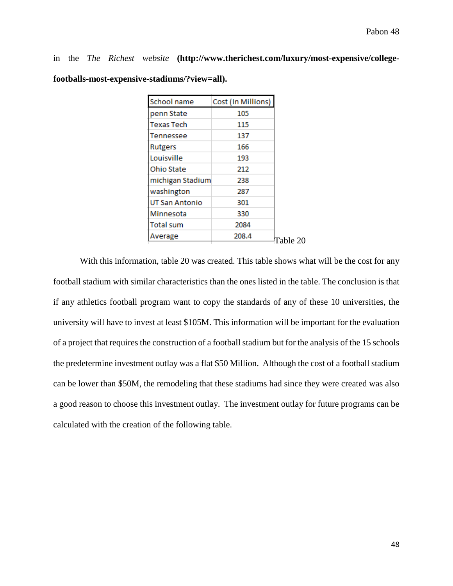in the *The Richest website* **(http://www.therichest.com/luxury/most-expensive/collegefootballs-most-expensive-stadiums/?view=all).**

| School name      | Cost (In Millions) |
|------------------|--------------------|
| penn State       | 105                |
| Texas Tech       | 115                |
| Tennessee        | 137                |
| <b>Rutgers</b>   | 166                |
| Louisville       | 193                |
| Ohio State       | 212                |
| michigan Stadium | 238                |
| washington       | 287                |
| UT San Antonio   | 301                |
| Minnesota        | 330                |
| <b>Total sum</b> | 2084               |
| Average          | 208.4              |
|                  |                    |

With this information, table 20 was created. This table shows what will be the cost for any football stadium with similar characteristics than the ones listed in the table. The conclusion is that if any athletics football program want to copy the standards of any of these 10 universities, the university will have to invest at least \$105M. This information will be important for the evaluation of a project that requires the construction of a football stadium but for the analysis of the 15 schools the predetermine investment outlay was a flat \$50 Million. Although the cost of a football stadium can be lower than \$50M, the remodeling that these stadiums had since they were created was also a good reason to choose this investment outlay. The investment outlay for future programs can be calculated with the creation of the following table.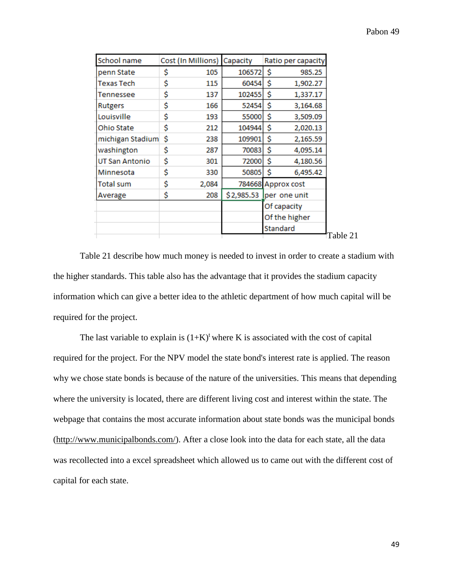| \$<br>\$<br>105<br>106572<br>985.25<br>penn State<br>\$<br>Ś<br>60454<br>Texas Tech<br>115<br>1,902.27<br>\$<br>\$<br>137<br>102455<br>1,337.17<br>Tennessee<br>\$<br>Ś<br>52454<br>3,164.68<br>166<br>Rutgers<br>\$<br>\$<br>Louisville<br>55000<br>193<br>3,509.09<br>\$<br>\$<br>104944<br>Ohio State<br>212<br>2,020.13<br>\$<br>Ś<br>michigan Stadium<br>109901<br>238<br>2,165.59<br>Ś<br>\$<br>washington<br>70083<br>4,095.14<br>287<br>\$<br>\$<br>UT San Antonio<br>301<br>72000<br>4,180.56<br>\$<br>Ś<br>50805<br>330<br>6,495.42<br>Minnesota<br>\$<br>Total sum<br>2,084<br>784668 Approx cost<br>\$<br>\$2,985.53<br>208<br>per one unit<br>Average<br>Of capacity<br>Of the higher<br>Standard | School name | Cost (In Millions) | Capacity | Ratio per capacity |
|----------------------------------------------------------------------------------------------------------------------------------------------------------------------------------------------------------------------------------------------------------------------------------------------------------------------------------------------------------------------------------------------------------------------------------------------------------------------------------------------------------------------------------------------------------------------------------------------------------------------------------------------------------------------------------------------------------------|-------------|--------------------|----------|--------------------|
|                                                                                                                                                                                                                                                                                                                                                                                                                                                                                                                                                                                                                                                                                                                |             |                    |          |                    |
|                                                                                                                                                                                                                                                                                                                                                                                                                                                                                                                                                                                                                                                                                                                |             |                    |          |                    |
|                                                                                                                                                                                                                                                                                                                                                                                                                                                                                                                                                                                                                                                                                                                |             |                    |          |                    |
|                                                                                                                                                                                                                                                                                                                                                                                                                                                                                                                                                                                                                                                                                                                |             |                    |          |                    |
|                                                                                                                                                                                                                                                                                                                                                                                                                                                                                                                                                                                                                                                                                                                |             |                    |          |                    |
|                                                                                                                                                                                                                                                                                                                                                                                                                                                                                                                                                                                                                                                                                                                |             |                    |          |                    |
|                                                                                                                                                                                                                                                                                                                                                                                                                                                                                                                                                                                                                                                                                                                |             |                    |          |                    |
|                                                                                                                                                                                                                                                                                                                                                                                                                                                                                                                                                                                                                                                                                                                |             |                    |          |                    |
|                                                                                                                                                                                                                                                                                                                                                                                                                                                                                                                                                                                                                                                                                                                |             |                    |          |                    |
|                                                                                                                                                                                                                                                                                                                                                                                                                                                                                                                                                                                                                                                                                                                |             |                    |          |                    |
|                                                                                                                                                                                                                                                                                                                                                                                                                                                                                                                                                                                                                                                                                                                |             |                    |          |                    |
|                                                                                                                                                                                                                                                                                                                                                                                                                                                                                                                                                                                                                                                                                                                |             |                    |          |                    |
|                                                                                                                                                                                                                                                                                                                                                                                                                                                                                                                                                                                                                                                                                                                |             |                    |          |                    |
|                                                                                                                                                                                                                                                                                                                                                                                                                                                                                                                                                                                                                                                                                                                |             |                    |          |                    |
|                                                                                                                                                                                                                                                                                                                                                                                                                                                                                                                                                                                                                                                                                                                |             |                    |          |                    |

Table 21 describe how much money is needed to invest in order to create a stadium with the higher standards. This table also has the advantage that it provides the stadium capacity information which can give a better idea to the athletic department of how much capital will be required for the project.

The last variable to explain is  $(1+K)^t$  where K is associated with the cost of capital required for the project. For the NPV model the state bond's interest rate is applied. The reason why we chose state bonds is because of the nature of the universities. This means that depending where the university is located, there are different living cost and interest within the state. The webpage that contains the most accurate information about state bonds was the municipal bonds [\(http://www.municipalbonds.com/\)](http://www.municipalbonds.com/). After a close look into the data for each state, all the data was recollected into a excel spreadsheet which allowed us to came out with the different cost of capital for each state.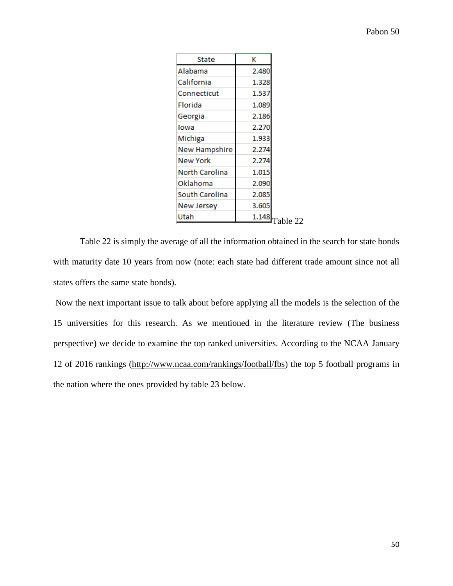| State                | к                |  |
|----------------------|------------------|--|
| Alabama              | 2.480            |  |
| California           | 1.328            |  |
| Connecticut          | 1.537            |  |
| Florida              | 1.089            |  |
| Georgia              | 2.186            |  |
| Iowa                 | 2.270            |  |
| Michiga              | 1.933            |  |
| <b>New Hampshire</b> | 2.274            |  |
| New York             | 2.274            |  |
| North Carolina       | 1.015            |  |
| Oklahoma             | 2.090            |  |
| South Carolina       | 2.085            |  |
| New Jersey           | 3.605            |  |
| Utah                 | $1.148$ Table 22 |  |

Table 22 is simply the average of all the information obtained in the search for state bonds with maturity date 10 years from now (note: each state had different trade amount since not all states offers the same state bonds).

Now the next important issue to talk about before applying all the models is the selection of the 15 universities for this research. As we mentioned in the literature review (The business perspective) we decide to examine the top ranked universities. According to the NCAA January 12 of 2016 rankings [\(http://www.ncaa.com/rankings/football/fbs\)](http://www.ncaa.com/rankings/football/fbs) the top 5 football programs in the nation where the ones provided by table 23 below.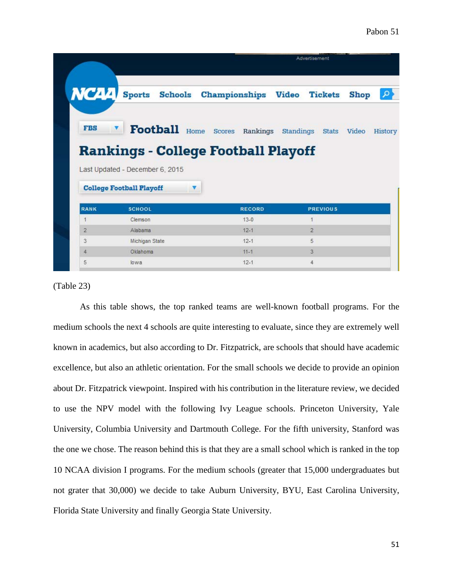|                |                                                                               |                                                     | Advertisement   |                    |
|----------------|-------------------------------------------------------------------------------|-----------------------------------------------------|-----------------|--------------------|
| NCAA           |                                                                               | Sports Schools Championships Video Tickets          |                 | : م<br><b>Shop</b> |
| <b>FBS</b>     |                                                                               | Football Home Scores Rankings Standings Stats Video |                 | History            |
|                | <b>Rankings - College Football Playoff</b><br>Last Updated - December 6, 2015 |                                                     |                 |                    |
|                | <b>College Football Playoff</b>                                               |                                                     |                 |                    |
| <b>RANK</b>    | <b>SCHOOL</b>                                                                 | <b>RECORD</b>                                       | <b>PREVIOUS</b> |                    |
| 1              | Clemson                                                                       | $13 - 0$                                            | 1               |                    |
| $\overline{2}$ | Alabama                                                                       | $12 - 1$                                            | $\overline{2}$  |                    |
| 3              | Michigan State                                                                | $12 - 1$                                            | 5               |                    |
| 4              | Oklahoma                                                                      | $11 - 1$                                            | 3               |                    |

#### (Table 23)

As this table shows, the top ranked teams are well-known football programs. For the medium schools the next 4 schools are quite interesting to evaluate, since they are extremely well known in academics, but also according to Dr. Fitzpatrick, are schools that should have academic excellence, but also an athletic orientation. For the small schools we decide to provide an opinion about Dr. Fitzpatrick viewpoint. Inspired with his contribution in the literature review, we decided to use the NPV model with the following Ivy League schools. Princeton University, Yale University, Columbia University and Dartmouth College. For the fifth university, Stanford was the one we chose. The reason behind this is that they are a small school which is ranked in the top 10 NCAA division I programs. For the medium schools (greater that 15,000 undergraduates but not grater that 30,000) we decide to take Auburn University, BYU, East Carolina University, Florida State University and finally Georgia State University.